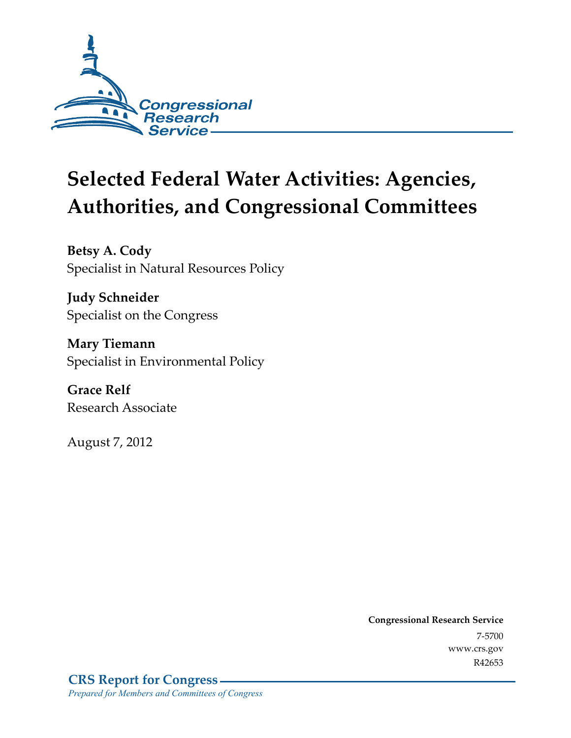

# **Selected Federal Water Activities: Agencies, Authorities, and Congressional Committees**

**Betsy A. Cody**  Specialist in Natural Resources Policy

**Judy Schneider**  Specialist on the Congress

**Mary Tiemann**  Specialist in Environmental Policy

**Grace Relf**  Research Associate

August 7, 2012

**Congressional Research Service**  7-5700 www.crs.gov R42653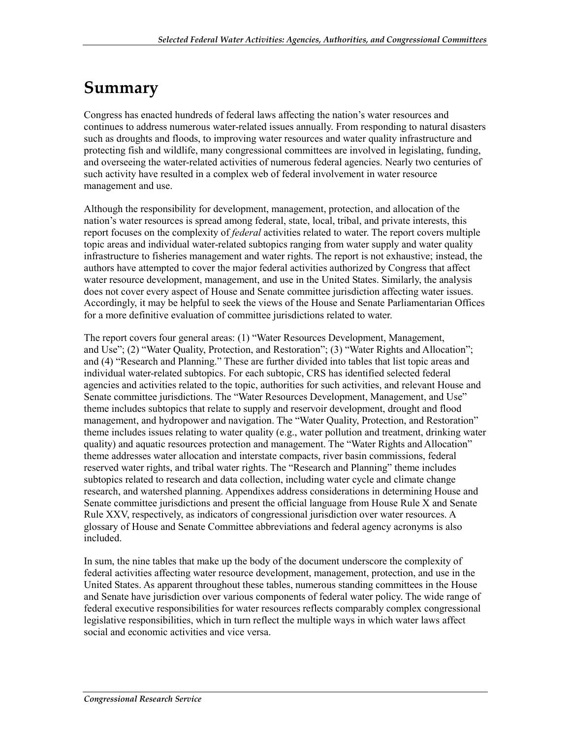## **Summary**

Congress has enacted hundreds of federal laws affecting the nation's water resources and continues to address numerous water-related issues annually. From responding to natural disasters such as droughts and floods, to improving water resources and water quality infrastructure and protecting fish and wildlife, many congressional committees are involved in legislating, funding, and overseeing the water-related activities of numerous federal agencies. Nearly two centuries of such activity have resulted in a complex web of federal involvement in water resource management and use.

Although the responsibility for development, management, protection, and allocation of the nation's water resources is spread among federal, state, local, tribal, and private interests, this report focuses on the complexity of *federal* activities related to water. The report covers multiple topic areas and individual water-related subtopics ranging from water supply and water quality infrastructure to fisheries management and water rights. The report is not exhaustive; instead, the authors have attempted to cover the major federal activities authorized by Congress that affect water resource development, management, and use in the United States. Similarly, the analysis does not cover every aspect of House and Senate committee jurisdiction affecting water issues. Accordingly, it may be helpful to seek the views of the House and Senate Parliamentarian Offices for a more definitive evaluation of committee jurisdictions related to water.

The report covers four general areas: (1) "Water Resources Development, Management, and Use"; (2) "Water Quality, Protection, and Restoration"; (3) "Water Rights and Allocation"; and (4) "Research and Planning." These are further divided into tables that list topic areas and individual water-related subtopics. For each subtopic, CRS has identified selected federal agencies and activities related to the topic, authorities for such activities, and relevant House and Senate committee jurisdictions. The "Water Resources Development, Management, and Use" theme includes subtopics that relate to supply and reservoir development, drought and flood management, and hydropower and navigation. The "Water Quality, Protection, and Restoration" theme includes issues relating to water quality (e.g., water pollution and treatment, drinking water quality) and aquatic resources protection and management. The "Water Rights and Allocation" theme addresses water allocation and interstate compacts, river basin commissions, federal reserved water rights, and tribal water rights. The "Research and Planning" theme includes subtopics related to research and data collection, including water cycle and climate change research, and watershed planning. Appendixes address considerations in determining House and Senate committee jurisdictions and present the official language from House Rule X and Senate Rule XXV, respectively, as indicators of congressional jurisdiction over water resources. A glossary of House and Senate Committee abbreviations and federal agency acronyms is also included.

In sum, the nine tables that make up the body of the document underscore the complexity of federal activities affecting water resource development, management, protection, and use in the United States. As apparent throughout these tables, numerous standing committees in the House and Senate have jurisdiction over various components of federal water policy. The wide range of federal executive responsibilities for water resources reflects comparably complex congressional legislative responsibilities, which in turn reflect the multiple ways in which water laws affect social and economic activities and vice versa.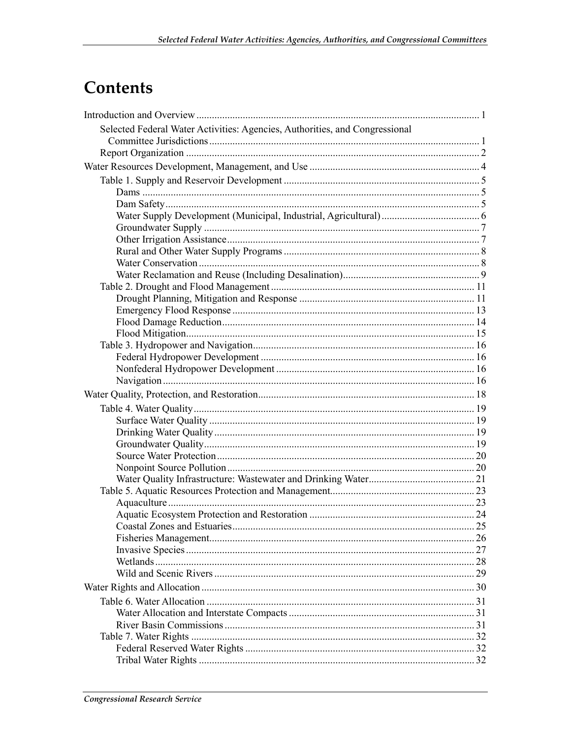## Contents

| Selected Federal Water Activities: Agencies, Authorities, and Congressional |  |
|-----------------------------------------------------------------------------|--|
|                                                                             |  |
|                                                                             |  |
|                                                                             |  |
|                                                                             |  |
|                                                                             |  |
|                                                                             |  |
|                                                                             |  |
|                                                                             |  |
|                                                                             |  |
|                                                                             |  |
|                                                                             |  |
|                                                                             |  |
|                                                                             |  |
|                                                                             |  |
|                                                                             |  |
|                                                                             |  |
|                                                                             |  |
|                                                                             |  |
|                                                                             |  |
|                                                                             |  |
|                                                                             |  |
|                                                                             |  |
|                                                                             |  |
|                                                                             |  |
|                                                                             |  |
|                                                                             |  |
|                                                                             |  |
|                                                                             |  |
|                                                                             |  |
|                                                                             |  |
|                                                                             |  |
|                                                                             |  |
|                                                                             |  |
|                                                                             |  |
|                                                                             |  |
|                                                                             |  |
|                                                                             |  |
|                                                                             |  |
|                                                                             |  |
|                                                                             |  |
|                                                                             |  |
|                                                                             |  |
|                                                                             |  |
|                                                                             |  |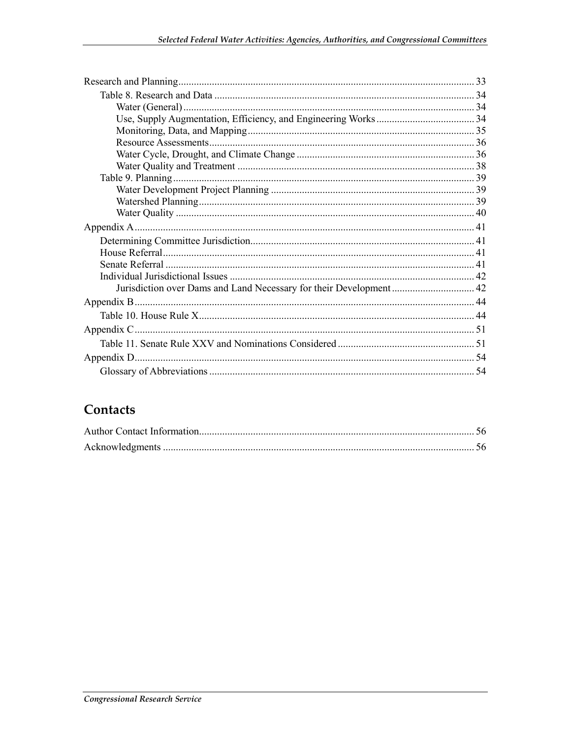#### Contacts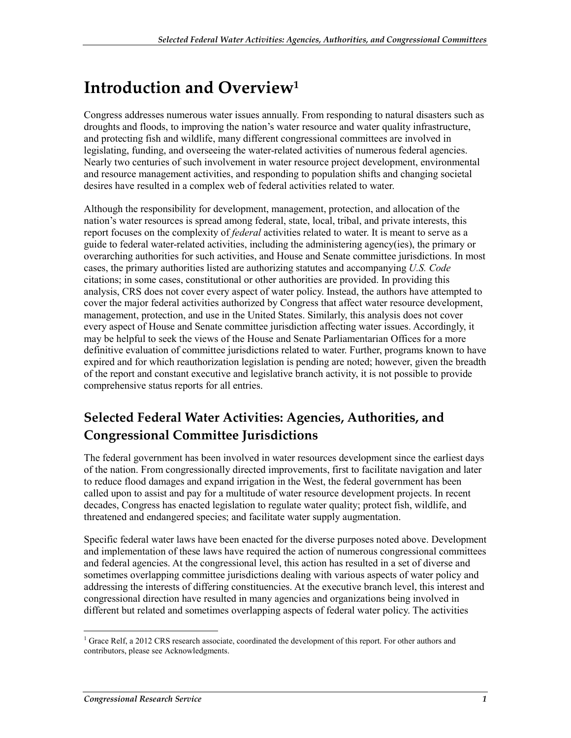## **Introduction and Overview1**

Congress addresses numerous water issues annually. From responding to natural disasters such as droughts and floods, to improving the nation's water resource and water quality infrastructure, and protecting fish and wildlife, many different congressional committees are involved in legislating, funding, and overseeing the water-related activities of numerous federal agencies. Nearly two centuries of such involvement in water resource project development, environmental and resource management activities, and responding to population shifts and changing societal desires have resulted in a complex web of federal activities related to water.

Although the responsibility for development, management, protection, and allocation of the nation's water resources is spread among federal, state, local, tribal, and private interests, this report focuses on the complexity of *federal* activities related to water. It is meant to serve as a guide to federal water-related activities, including the administering agency(ies), the primary or overarching authorities for such activities, and House and Senate committee jurisdictions. In most cases, the primary authorities listed are authorizing statutes and accompanying *U.S. Code* citations; in some cases, constitutional or other authorities are provided. In providing this analysis, CRS does not cover every aspect of water policy. Instead, the authors have attempted to cover the major federal activities authorized by Congress that affect water resource development, management, protection, and use in the United States. Similarly, this analysis does not cover every aspect of House and Senate committee jurisdiction affecting water issues. Accordingly, it may be helpful to seek the views of the House and Senate Parliamentarian Offices for a more definitive evaluation of committee jurisdictions related to water. Further, programs known to have expired and for which reauthorization legislation is pending are noted; however, given the breadth of the report and constant executive and legislative branch activity, it is not possible to provide comprehensive status reports for all entries.

#### **Selected Federal Water Activities: Agencies, Authorities, and Congressional Committee Jurisdictions**

The federal government has been involved in water resources development since the earliest days of the nation. From congressionally directed improvements, first to facilitate navigation and later to reduce flood damages and expand irrigation in the West, the federal government has been called upon to assist and pay for a multitude of water resource development projects. In recent decades, Congress has enacted legislation to regulate water quality; protect fish, wildlife, and threatened and endangered species; and facilitate water supply augmentation.

Specific federal water laws have been enacted for the diverse purposes noted above. Development and implementation of these laws have required the action of numerous congressional committees and federal agencies. At the congressional level, this action has resulted in a set of diverse and sometimes overlapping committee jurisdictions dealing with various aspects of water policy and addressing the interests of differing constituencies. At the executive branch level, this interest and congressional direction have resulted in many agencies and organizations being involved in different but related and sometimes overlapping aspects of federal water policy. The activities

The 1 Grace Relf, a 2012 CRS research associate, coordinated the development of this report. For other authors and contributors, please see Acknowledgments.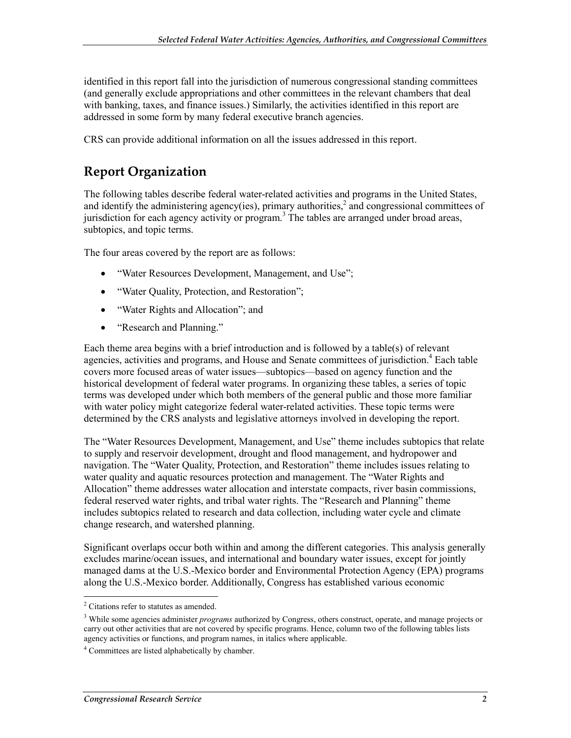identified in this report fall into the jurisdiction of numerous congressional standing committees (and generally exclude appropriations and other committees in the relevant chambers that deal with banking, taxes, and finance issues.) Similarly, the activities identified in this report are addressed in some form by many federal executive branch agencies.

CRS can provide additional information on all the issues addressed in this report.

#### **Report Organization**

The following tables describe federal water-related activities and programs in the United States, and identify the administering agency(ies), primary authorities,<sup>2</sup> and congressional committees of jurisdiction for each agency activity or program.<sup>3</sup> The tables are arranged under broad areas, subtopics, and topic terms.

The four areas covered by the report are as follows:

- "Water Resources Development, Management, and Use";
- "Water Quality, Protection, and Restoration";
- "Water Rights and Allocation"; and
- "Research and Planning."

Each theme area begins with a brief introduction and is followed by a table(s) of relevant agencies, activities and programs, and House and Senate committees of jurisdiction.<sup>4</sup> Each table covers more focused areas of water issues—subtopics—based on agency function and the historical development of federal water programs. In organizing these tables, a series of topic terms was developed under which both members of the general public and those more familiar with water policy might categorize federal water-related activities. These topic terms were determined by the CRS analysts and legislative attorneys involved in developing the report.

The "Water Resources Development, Management, and Use" theme includes subtopics that relate to supply and reservoir development, drought and flood management, and hydropower and navigation. The "Water Quality, Protection, and Restoration" theme includes issues relating to water quality and aquatic resources protection and management. The "Water Rights and Allocation" theme addresses water allocation and interstate compacts, river basin commissions, federal reserved water rights, and tribal water rights. The "Research and Planning" theme includes subtopics related to research and data collection, including water cycle and climate change research, and watershed planning.

Significant overlaps occur both within and among the different categories. This analysis generally excludes marine/ocean issues, and international and boundary water issues, except for jointly managed dams at the U.S.-Mexico border and Environmental Protection Agency (EPA) programs along the U.S.-Mexico border. Additionally, Congress has established various economic

<sup>1</sup> <sup>2</sup> Citations refer to statutes as amended.

<sup>3</sup> While some agencies administer *programs* authorized by Congress, others construct, operate, and manage projects or carry out other activities that are not covered by specific programs. Hence, column two of the following tables lists agency activities or functions, and program names, in italics where applicable.

<sup>4</sup> Committees are listed alphabetically by chamber.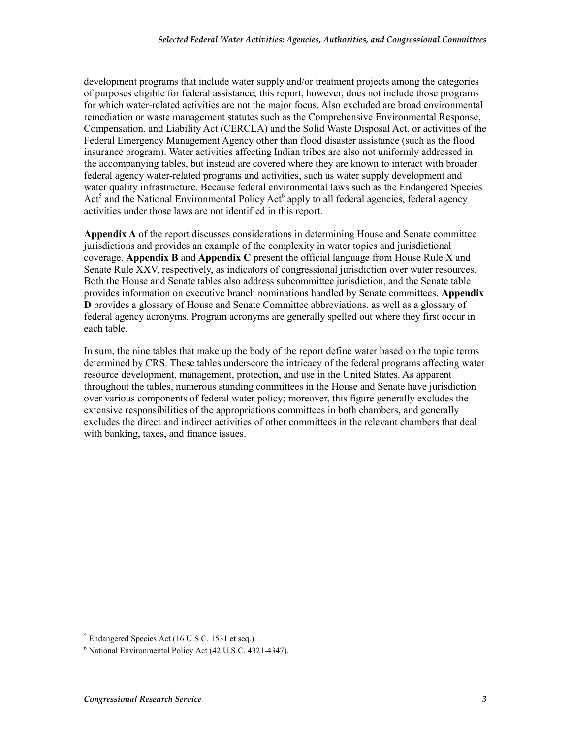development programs that include water supply and/or treatment projects among the categories of purposes eligible for federal assistance; this report, however, does not include those programs for which water-related activities are not the major focus. Also excluded are broad environmental remediation or waste management statutes such as the Comprehensive Environmental Response, Compensation, and Liability Act (CERCLA) and the Solid Waste Disposal Act, or activities of the Federal Emergency Management Agency other than flood disaster assistance (such as the flood insurance program). Water activities affecting Indian tribes are also not uniformly addressed in the accompanying tables, but instead are covered where they are known to interact with broader federal agency water-related programs and activities, such as water supply development and water quality infrastructure. Because federal environmental laws such as the Endangered Species  $Act<sup>5</sup>$  and the National Environmental Policy Act<sup>6</sup> apply to all federal agencies, federal agency activities under those laws are not identified in this report.

**Appendix A** of the report discusses considerations in determining House and Senate committee jurisdictions and provides an example of the complexity in water topics and jurisdictional coverage. **Appendix B** and **Appendix C** present the official language from House Rule X and Senate Rule XXV, respectively, as indicators of congressional jurisdiction over water resources. Both the House and Senate tables also address subcommittee jurisdiction, and the Senate table provides information on executive branch nominations handled by Senate committees. **Appendix D** provides a glossary of House and Senate Committee abbreviations, as well as a glossary of federal agency acronyms. Program acronyms are generally spelled out where they first occur in each table.

In sum, the nine tables that make up the body of the report define water based on the topic terms determined by CRS. These tables underscore the intricacy of the federal programs affecting water resource development, management, protection, and use in the United States. As apparent throughout the tables, numerous standing committees in the House and Senate have jurisdiction over various components of federal water policy; moreover, this figure generally excludes the extensive responsibilities of the appropriations committees in both chambers, and generally excludes the direct and indirect activities of other committees in the relevant chambers that deal with banking, taxes, and finance issues.

Film 15 Endangered Species Act (16 U.S.C. 1531 et seq.).

<sup>6</sup> National Environmental Policy Act (42 U.S.C. 4321-4347).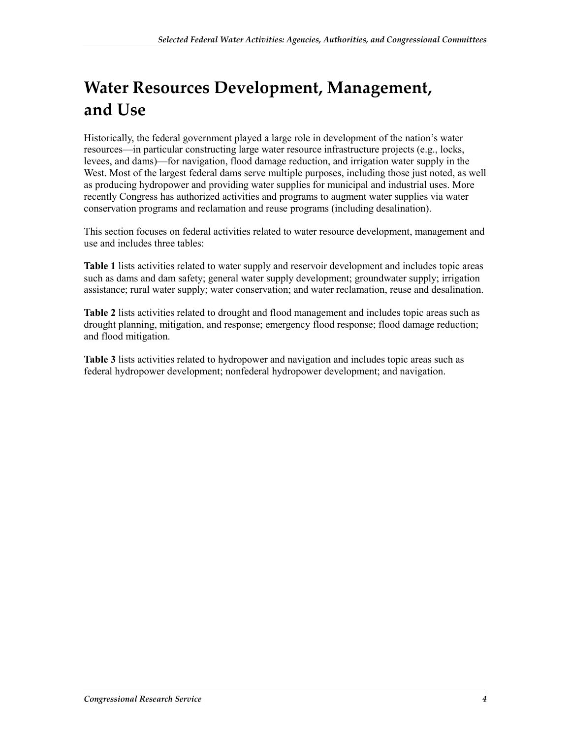# **Water Resources Development, Management, and Use**

Historically, the federal government played a large role in development of the nation's water resources—in particular constructing large water resource infrastructure projects (e.g., locks, levees, and dams)—for navigation, flood damage reduction, and irrigation water supply in the West. Most of the largest federal dams serve multiple purposes, including those just noted, as well as producing hydropower and providing water supplies for municipal and industrial uses. More recently Congress has authorized activities and programs to augment water supplies via water conservation programs and reclamation and reuse programs (including desalination).

This section focuses on federal activities related to water resource development, management and use and includes three tables:

**Table 1** lists activities related to water supply and reservoir development and includes topic areas such as dams and dam safety; general water supply development; groundwater supply; irrigation assistance; rural water supply; water conservation; and water reclamation, reuse and desalination.

**Table 2** lists activities related to drought and flood management and includes topic areas such as drought planning, mitigation, and response; emergency flood response; flood damage reduction; and flood mitigation.

**Table 3** lists activities related to hydropower and navigation and includes topic areas such as federal hydropower development; nonfederal hydropower development; and navigation.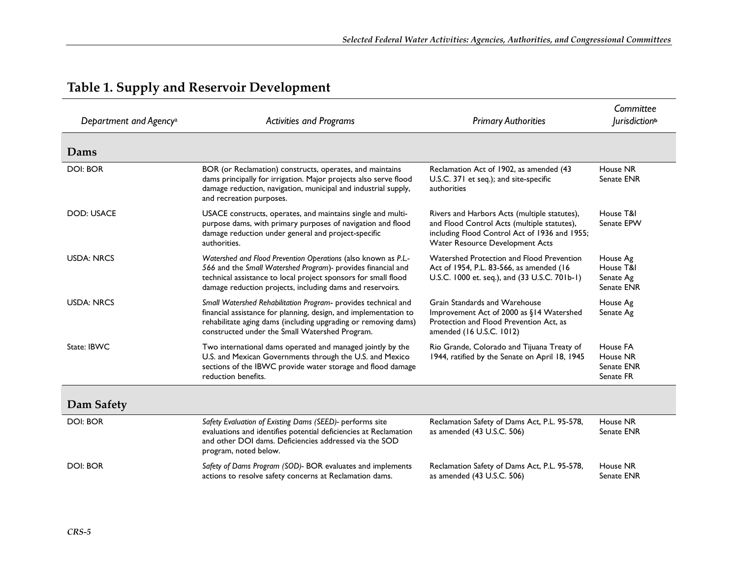| Department and Agency <sup>a</sup> | <b>Activities and Programs</b>                                                                                                                                                                                                                                | <b>Primary Authorities</b>                                                                                                                                                      | Committee<br><i>lurisdiction</i> <sup>b</sup>    |
|------------------------------------|---------------------------------------------------------------------------------------------------------------------------------------------------------------------------------------------------------------------------------------------------------------|---------------------------------------------------------------------------------------------------------------------------------------------------------------------------------|--------------------------------------------------|
| Dams                               |                                                                                                                                                                                                                                                               |                                                                                                                                                                                 |                                                  |
| <b>DOI: BOR</b>                    | BOR (or Reclamation) constructs, operates, and maintains<br>dams principally for irrigation. Major projects also serve flood<br>damage reduction, navigation, municipal and industrial supply,<br>and recreation purposes.                                    | Reclamation Act of 1902, as amended (43<br>U.S.C. 371 et seq.); and site-specific<br>authorities                                                                                | House NR<br>Senate ENR                           |
| <b>DOD: USACE</b>                  | USACE constructs, operates, and maintains single and multi-<br>purpose dams, with primary purposes of navigation and flood<br>damage reduction under general and project-specific<br>authorities.                                                             | Rivers and Harbors Acts (multiple statutes),<br>and Flood Control Acts (multiple statutes),<br>including Flood Control Act of 1936 and 1955;<br>Water Resource Development Acts | House T&I<br>Senate EPW                          |
| <b>USDA: NRCS</b>                  | Watershed and Flood Prevention Operations (also known as P.L.-<br>566 and the Small Watershed Program)- provides financial and<br>technical assistance to local project sponsors for small flood<br>damage reduction projects, including dams and reservoirs. | Watershed Protection and Flood Prevention<br>Act of 1954, P.L. 83-566, as amended (16)<br>U.S.C. 1000 et. seq.), and (33 U.S.C. 701b-1)                                         | House Ag<br>House T&I<br>Senate Ag<br>Senate ENR |
| <b>USDA: NRCS</b>                  | Small Watershed Rehabilitation Program- provides technical and<br>financial assistance for planning, design, and implementation to<br>rehabilitate aging dams (including upgrading or removing dams)<br>constructed under the Small Watershed Program.        | Grain Standards and Warehouse<br>Improvement Act of 2000 as §14 Watershed<br>Protection and Flood Prevention Act, as<br>amended (16 U.S.C. 1012)                                | House Ag<br>Senate Ag                            |
| State: IBWC                        | Two international dams operated and managed jointly by the<br>U.S. and Mexican Governments through the U.S. and Mexico<br>sections of the IBWC provide water storage and flood damage<br>reduction benefits.                                                  | Rio Grande, Colorado and Tijuana Treaty of<br>1944, ratified by the Senate on April 18, 1945                                                                                    | House FA<br>House NR<br>Senate ENR<br>Senate FR  |
| Dam Safety                         |                                                                                                                                                                                                                                                               |                                                                                                                                                                                 |                                                  |
| <b>DOI: BOR</b>                    | Safety Evaluation of Existing Dams (SEED)- performs site<br>evaluations and identifies potential deficiencies at Reclamation<br>and other DOI dams. Deficiencies addressed via the SOD<br>program, noted below.                                               | Reclamation Safety of Dams Act, P.L. 95-578,<br>as amended (43 U.S.C. 506)                                                                                                      | House NR<br>Senate ENR                           |
| DOI: BOR                           | Safety of Dams Program (SOD)- BOR evaluates and implements<br>actions to resolve safety concerns at Reclamation dams.                                                                                                                                         | Reclamation Safety of Dams Act, P.L. 95-578,<br>as amended (43 U.S.C. 506)                                                                                                      | House NR<br>Senate ENR                           |

### **Table 1. Supply and Reservoir Development**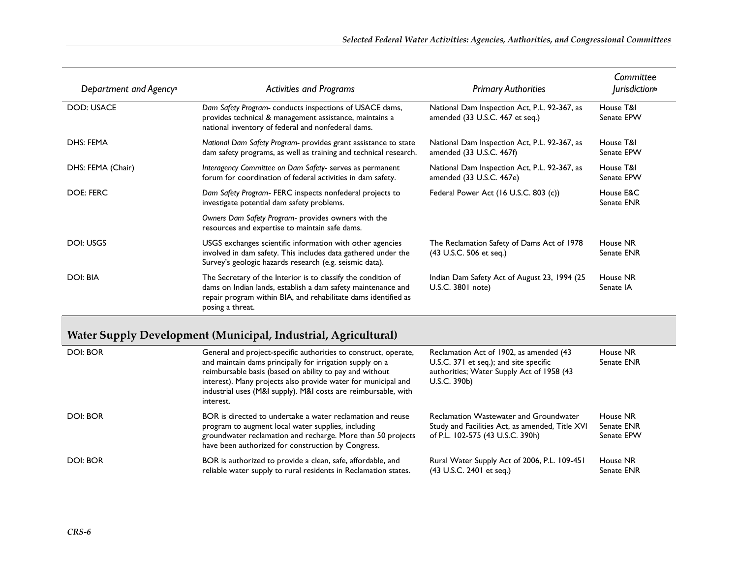| Department and Agency <sup>a</sup> | <b>Activities and Programs</b>                                                                                                                                                                                      | <b>Primary Authorities</b>                                                      | Committee<br><i>lurisdiction</i> <sup>b</sup> |
|------------------------------------|---------------------------------------------------------------------------------------------------------------------------------------------------------------------------------------------------------------------|---------------------------------------------------------------------------------|-----------------------------------------------|
| <b>DOD: USACE</b>                  | Dam Safety Program-conducts inspections of USACE dams,<br>provides technical & management assistance, maintains a<br>national inventory of federal and nonfederal dams.                                             | National Dam Inspection Act, P.L. 92-367, as<br>amended (33 U.S.C. 467 et seq.) | House T&I<br>Senate EPW                       |
| DHS: FEMA                          | National Dam Safety Program- provides grant assistance to state<br>dam safety programs, as well as training and technical research.                                                                                 | National Dam Inspection Act, P.L. 92-367, as<br>amended (33 U.S.C. 467f)        | House T&I<br>Senate EPW                       |
| DHS: FEMA (Chair)                  | Interagency Committee on Dam Safety- serves as permanent<br>forum for coordination of federal activities in dam safety.                                                                                             | National Dam Inspection Act, P.L. 92-367, as<br>amended (33 U.S.C. 467e)        | House T&I<br>Senate EPW                       |
| <b>DOE: FERC</b>                   | Dam Safety Program- FERC inspects nonfederal projects to<br>investigate potential dam safety problems.                                                                                                              | Federal Power Act (16 U.S.C. 803 (c))                                           | House E&C<br>Senate ENR                       |
|                                    | Owners Dam Safety Program- provides owners with the<br>resources and expertise to maintain safe dams.                                                                                                               |                                                                                 |                                               |
| DOI: USGS                          | USGS exchanges scientific information with other agencies<br>involved in dam safety. This includes data gathered under the<br>Survey's geologic hazards research (e.g. seismic data).                               | The Reclamation Safety of Dams Act of 1978<br>(43 U.S.C. 506 et seq.)           | House NR<br>Senate ENR                        |
| DOI: BIA                           | The Secretary of the Interior is to classify the condition of<br>dams on Indian lands, establish a dam safety maintenance and<br>repair program within BIA, and rehabilitate dams identified as<br>posing a threat. | Indian Dam Safety Act of August 23, 1994 (25<br>U.S.C. 3801 note)               | House NR<br>Senate IA                         |

#### **Water Supply Development (Municipal, Industrial, Agricultural)**

| DOI: BOR | General and project-specific authorities to construct, operate,<br>and maintain dams principally for irrigation supply on a<br>reimbursable basis (based on ability to pay and without<br>interest). Many projects also provide water for municipal and<br>industrial uses (M&I supply). M&I costs are reimbursable, with<br>interest. | Reclamation Act of 1902, as amended (43<br>U.S.C. 371 et seq.); and site specific<br>authorities; Water Supply Act of 1958 (43<br>U.S.C. 390b) | House NR<br>Senate ENR               |
|----------|----------------------------------------------------------------------------------------------------------------------------------------------------------------------------------------------------------------------------------------------------------------------------------------------------------------------------------------|------------------------------------------------------------------------------------------------------------------------------------------------|--------------------------------------|
| DOI: BOR | BOR is directed to undertake a water reclamation and reuse<br>program to augment local water supplies, including<br>groundwater reclamation and recharge. More than 50 projects<br>have been authorized for construction by Congress.                                                                                                  | Reclamation Wastewater and Groundwater<br>Study and Facilities Act, as amended, Title XVI<br>of P.L. 102-575 (43 U.S.C. 390h)                  | House NR<br>Senate ENR<br>Senate EPW |
| DOI: BOR | BOR is authorized to provide a clean, safe, affordable, and<br>reliable water supply to rural residents in Reclamation states.                                                                                                                                                                                                         | Rural Water Supply Act of 2006, P.L. 109-451<br>(43 U.S.C. 2401 et seg.)                                                                       | House NR<br>Senate ENR               |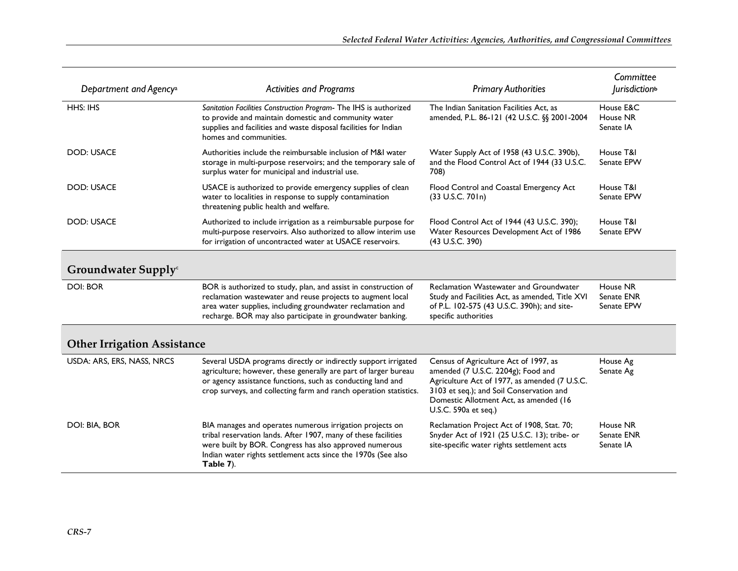|                                    |                                                                                                                                                                                                                                                                       |                                                                                                                                                                                                                                            | Committee                            |
|------------------------------------|-----------------------------------------------------------------------------------------------------------------------------------------------------------------------------------------------------------------------------------------------------------------------|--------------------------------------------------------------------------------------------------------------------------------------------------------------------------------------------------------------------------------------------|--------------------------------------|
| Department and Agency <sup>a</sup> | <b>Activities and Programs</b>                                                                                                                                                                                                                                        | <b>Primary Authorities</b>                                                                                                                                                                                                                 | <i>lurisdiction</i> <sup>b</sup>     |
| HHS: IHS                           | Sanitation Facilities Construction Program- The IHS is authorized<br>to provide and maintain domestic and community water<br>supplies and facilities and waste disposal facilities for Indian<br>homes and communities.                                               | The Indian Sanitation Facilities Act, as<br>amended, P.L. 86-121 (42 U.S.C. §§ 2001-2004                                                                                                                                                   | House E&C<br>House NR<br>Senate IA   |
| <b>DOD: USACE</b>                  | Authorities include the reimbursable inclusion of M&I water<br>storage in multi-purpose reservoirs; and the temporary sale of<br>surplus water for municipal and industrial use.                                                                                      | Water Supply Act of 1958 (43 U.S.C. 390b),<br>and the Flood Control Act of 1944 (33 U.S.C.<br>708)                                                                                                                                         | House T&I<br>Senate EPW              |
| <b>DOD: USACE</b>                  | USACE is authorized to provide emergency supplies of clean<br>water to localities in response to supply contamination<br>threatening public health and welfare.                                                                                                       | Flood Control and Coastal Emergency Act<br>(33 U.S.C. 701n)                                                                                                                                                                                | House T&I<br>Senate EPW              |
| <b>DOD: USACE</b>                  | Authorized to include irrigation as a reimbursable purpose for<br>multi-purpose reservoirs. Also authorized to allow interim use<br>for irrigation of uncontracted water at USACE reservoirs.                                                                         | Flood Control Act of 1944 (43 U.S.C. 390);<br>Water Resources Development Act of 1986<br>(43 U.S.C. 390)                                                                                                                                   | House T&I<br>Senate EPW              |
| Groundwater Supply <sup>c</sup>    |                                                                                                                                                                                                                                                                       |                                                                                                                                                                                                                                            |                                      |
| <b>DOI: BOR</b>                    | BOR is authorized to study, plan, and assist in construction of<br>reclamation wastewater and reuse projects to augment local<br>area water supplies, including groundwater reclamation and<br>recharge. BOR may also participate in groundwater banking.             | Reclamation Wastewater and Groundwater<br>Study and Facilities Act, as amended, Title XVI<br>of P.L. 102-575 (43 U.S.C. 390h); and site-<br>specific authorities                                                                           | House NR<br>Senate ENR<br>Senate EPW |
| <b>Other Irrigation Assistance</b> |                                                                                                                                                                                                                                                                       |                                                                                                                                                                                                                                            |                                      |
| USDA: ARS, ERS, NASS, NRCS         | Several USDA programs directly or indirectly support irrigated<br>agriculture; however, these generally are part of larger bureau<br>or agency assistance functions, such as conducting land and<br>crop surveys, and collecting farm and ranch operation statistics. | Census of Agriculture Act of 1997, as<br>amended (7 U.S.C. 2204g); Food and<br>Agriculture Act of 1977, as amended (7 U.S.C.<br>3103 et seq.); and Soil Conservation and<br>Domestic Allotment Act, as amended (16<br>U.S.C. 590a et seq.) | House Ag<br>Senate Ag                |
| DOI: BIA, BOR                      | BIA manages and operates numerous irrigation projects on<br>tribal reservation lands. After 1907, many of these facilities<br>were built by BOR. Congress has also approved numerous<br>Indian water rights settlement acts since the 1970s (See also<br>Table 7).    | Reclamation Project Act of 1908, Stat. 70;<br>Snyder Act of 1921 (25 U.S.C. 13); tribe- or<br>site-specific water rights settlement acts                                                                                                   | House NR<br>Senate ENR<br>Senate IA  |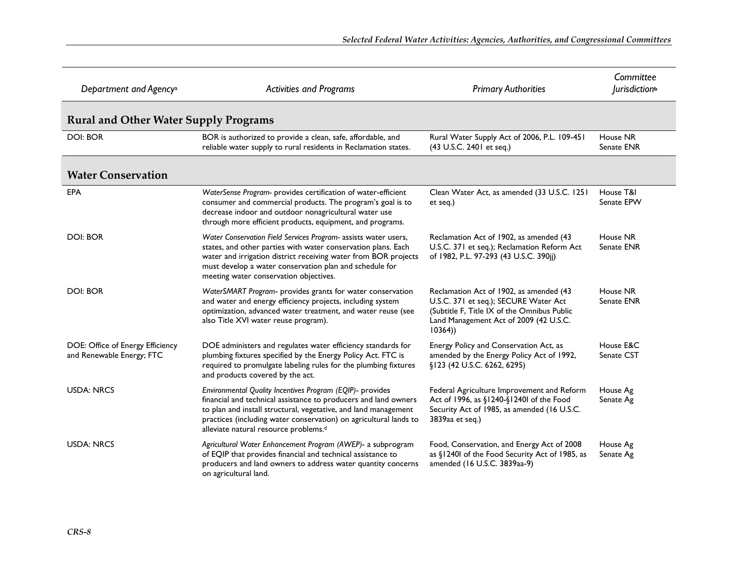| Department and Agency <sup>a</sup>                            | <b>Activities and Programs</b>                                                                                                                                                                                                                                                                                            | <b>Primary Authorities</b>                                                                                                                                                          | Committee<br><i>lurisdiction</i> <sup>b</sup> |
|---------------------------------------------------------------|---------------------------------------------------------------------------------------------------------------------------------------------------------------------------------------------------------------------------------------------------------------------------------------------------------------------------|-------------------------------------------------------------------------------------------------------------------------------------------------------------------------------------|-----------------------------------------------|
| <b>Rural and Other Water Supply Programs</b>                  |                                                                                                                                                                                                                                                                                                                           |                                                                                                                                                                                     |                                               |
| <b>DOI: BOR</b>                                               | BOR is authorized to provide a clean, safe, affordable, and<br>reliable water supply to rural residents in Reclamation states.                                                                                                                                                                                            | Rural Water Supply Act of 2006, P.L. 109-451<br>(43 U.S.C. 2401 et seq.)                                                                                                            | House NR<br>Senate ENR                        |
| <b>Water Conservation</b>                                     |                                                                                                                                                                                                                                                                                                                           |                                                                                                                                                                                     |                                               |
| EPA                                                           | WaterSense Program- provides certification of water-efficient<br>consumer and commercial products. The program's goal is to<br>decrease indoor and outdoor nonagricultural water use<br>through more efficient products, equipment, and programs.                                                                         | Clean Water Act, as amended (33 U.S.C. 1251<br>et seq.)                                                                                                                             | House T&I<br>Senate EPW                       |
| <b>DOI: BOR</b>                                               | Water Conservation Field Services Program- assists water users,<br>states, and other parties with water conservation plans. Each<br>water and irrigation district receiving water from BOR projects<br>must develop a water conservation plan and schedule for<br>meeting water conservation objectives.                  | Reclamation Act of 1902, as amended (43<br>U.S.C. 371 et seq.); Reclamation Reform Act<br>of 1982, P.L. 97-293 (43 U.S.C. 390jj)                                                    | House NR<br>Senate ENR                        |
| <b>DOI: BOR</b>                                               | WaterSMART Program- provides grants for water conservation<br>and water and energy efficiency projects, including system<br>optimization, advanced water treatment, and water reuse (see<br>also Title XVI water reuse program).                                                                                          | Reclamation Act of 1902, as amended (43<br>U.S.C. 371 et seq.); SECURE Water Act<br>(Subtitle F, Title IX of the Omnibus Public<br>Land Management Act of 2009 (42 U.S.C.<br>10364) | House NR<br>Senate ENR                        |
| DOE: Office of Energy Efficiency<br>and Renewable Energy; FTC | DOE administers and regulates water efficiency standards for<br>plumbing fixtures specified by the Energy Policy Act. FTC is<br>required to promulgate labeling rules for the plumbing fixtures<br>and products covered by the act.                                                                                       | Energy Policy and Conservation Act, as<br>amended by the Energy Policy Act of 1992,<br>§123 (42 U.S.C. 6262, 6295)                                                                  | House E&C<br>Senate CST                       |
| <b>USDA: NRCS</b>                                             | Environmental Quality Incentives Program (EQIP)- provides<br>financial and technical assistance to producers and land owners<br>to plan and install structural, vegetative, and land management<br>practices (including water conservation) on agricultural lands to<br>alleviate natural resource problems. <sup>d</sup> | Federal Agriculture Improvement and Reform<br>Act of 1996, as §1240-§1240l of the Food<br>Security Act of 1985, as amended (16 U.S.C.<br>3839aa et seq.)                            | House Ag<br>Senate Ag                         |
| <b>USDA: NRCS</b>                                             | Agricultural Water Enhancement Program (AWEP)- a subprogram<br>of EQIP that provides financial and technical assistance to<br>producers and land owners to address water quantity concerns<br>on agricultural land.                                                                                                       | Food, Conservation, and Energy Act of 2008<br>as §12401 of the Food Security Act of 1985, as<br>amended (16 U.S.C. 3839aa-9)                                                        | House Ag<br>Senate Ag                         |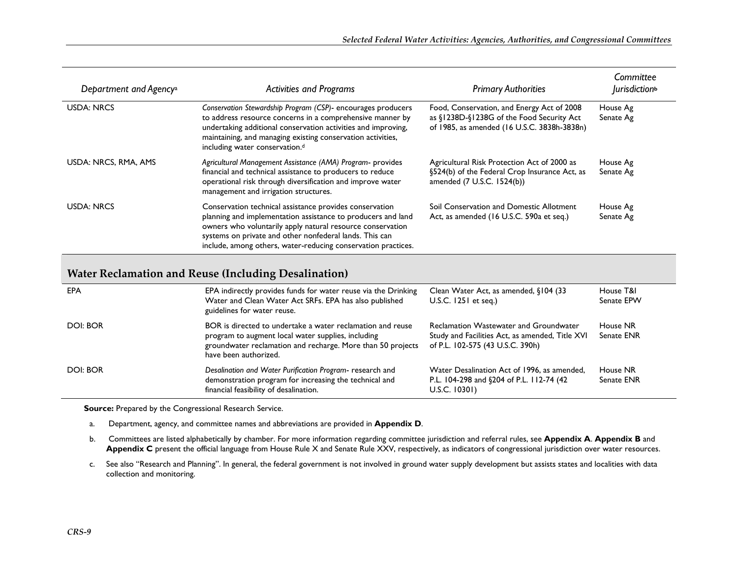| Department and Agency <sup>a</sup> | <b>Activities and Programs</b>                                                                                                                                                                                                                                                                                    | <b>Primary Authorities</b>                                                                                                             | Committee<br><i>lurisdiction</i> <sup>b</sup> |
|------------------------------------|-------------------------------------------------------------------------------------------------------------------------------------------------------------------------------------------------------------------------------------------------------------------------------------------------------------------|----------------------------------------------------------------------------------------------------------------------------------------|-----------------------------------------------|
| <b>USDA: NRCS</b>                  | Conservation Stewardship Program (CSP)- encourages producers<br>to address resource concerns in a comprehensive manner by<br>undertaking additional conservation activities and improving,<br>maintaining, and managing existing conservation activities,<br>including water conservation. <sup>d</sup>           | Food, Conservation, and Energy Act of 2008<br>as §1238D-§1238G of the Food Security Act<br>of 1985, as amended (16 U.S.C. 3838h-3838n) | House Ag<br>Senate Ag                         |
| USDA: NRCS, RMA, AMS               | Agricultural Management Assistance (AMA) Program- provides<br>financial and technical assistance to producers to reduce<br>operational risk through diversification and improve water<br>management and irrigation structures.                                                                                    | Agricultural Risk Protection Act of 2000 as<br>§524(b) of the Federal Crop Insurance Act, as<br>amended (7 U.S.C. 1524(b))             | House Ag<br>Senate Ag                         |
| <b>USDA: NRCS</b>                  | Conservation technical assistance provides conservation<br>planning and implementation assistance to producers and land<br>owners who voluntarily apply natural resource conservation<br>systems on private and other nonfederal lands. This can<br>include, among others, water-reducing conservation practices. | Soil Conservation and Domestic Allotment<br>Act, as amended (16 U.S.C. 590a et seq.)                                                   | House Ag<br>Senate Ag                         |

#### **Water Reclamation and Reuse (Including Desalination)**

| EPA      | EPA indirectly provides funds for water reuse via the Drinking<br>Water and Clean Water Act SRFs. EPA has also published<br>guidelines for water reuse.                                                  | Clean Water Act, as amended, §104 (33<br>U.S.C. 1251 et seq.)                                                                        | House T&I<br>Senate EPW |
|----------|----------------------------------------------------------------------------------------------------------------------------------------------------------------------------------------------------------|--------------------------------------------------------------------------------------------------------------------------------------|-------------------------|
| DOI: BOR | BOR is directed to undertake a water reclamation and reuse<br>program to augment local water supplies, including<br>groundwater reclamation and recharge. More than 50 projects<br>have been authorized. | <b>Reclamation Wastewater and Groundwater</b><br>Study and Facilities Act, as amended, Title XVI<br>of P.L. 102-575 (43 U.S.C. 390h) | House NR<br>Senate ENR  |
| DOI: BOR | Desalination and Water Purification Program- research and<br>demonstration program for increasing the technical and<br>financial feasibility of desalination.                                            | Water Desalination Act of 1996, as amended,<br>P.L. 104-298 and §204 of P.L. 112-74 (42<br>U.S.C. 10301)                             | House NR<br>Senate ENR  |

**Source:** Prepared by the Congressional Research Service.

a. Department, agency, and committee names and abbreviations are provided in **Appendix D**.

b. Committees are listed alphabetically by chamber. For more information regarding committee jurisdiction and referral rules, see **Appendix A**. **Appendix B** and **Appendix C** present the official language from House Rule X and Senate Rule XXV, respectively, as indicators of congressional jurisdiction over water resources.

c. See also "Research and Planning". In general, the federal government is not involved in ground water supply development but assists states and localities with data collection and monitoring.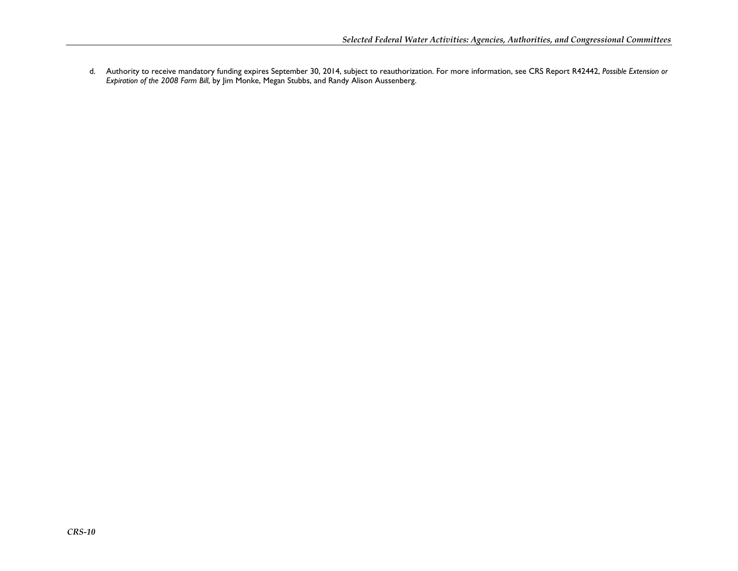d. Authority to receive mandatory funding expires September 30, 2014, subject to reauthorization. For more information, see CRS Report R42442, *Possible Extension or Expiration of the 2008 Farm Bill*, by Jim Monke, Megan Stubbs, and Randy Alison Aussenberg.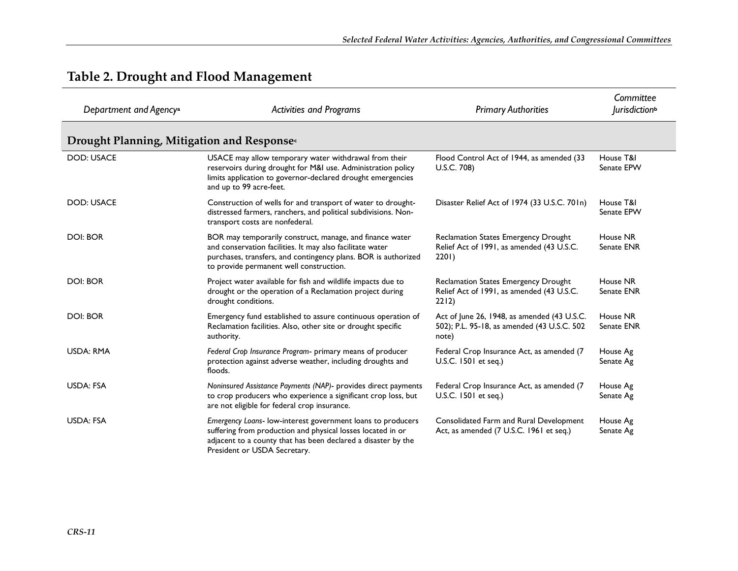| Department and Agency <sup>a</sup>         | <b>Activities and Programs</b>                                                                                                                                                                                                     | <b>Primary Authorities</b>                                                                          | Committee<br><i>lurisdiction</i> <sup>b</sup> |
|--------------------------------------------|------------------------------------------------------------------------------------------------------------------------------------------------------------------------------------------------------------------------------------|-----------------------------------------------------------------------------------------------------|-----------------------------------------------|
| Drought Planning, Mitigation and Responses |                                                                                                                                                                                                                                    |                                                                                                     |                                               |
| <b>DOD: USACE</b>                          | USACE may allow temporary water withdrawal from their<br>reservoirs during drought for M&I use. Administration policy<br>limits application to governor-declared drought emergencies<br>and up to 99 acre-feet.                    | Flood Control Act of 1944, as amended (33<br>U.S.C. 708)                                            | House T&I<br>Senate EPW                       |
| <b>DOD: USACE</b>                          | Construction of wells for and transport of water to drought-<br>distressed farmers, ranchers, and political subdivisions. Non-<br>transport costs are nonfederal.                                                                  | Disaster Relief Act of 1974 (33 U.S.C. 701n)                                                        | House T&I<br>Senate EPW                       |
| <b>DOI: BOR</b>                            | BOR may temporarily construct, manage, and finance water<br>and conservation facilities. It may also facilitate water<br>purchases, transfers, and contingency plans. BOR is authorized<br>to provide permanent well construction. | Reclamation States Emergency Drought<br>Relief Act of 1991, as amended (43 U.S.C.<br>2201)          | House NR<br>Senate ENR                        |
| <b>DOI: BOR</b>                            | Project water available for fish and wildlife impacts due to<br>drought or the operation of a Reclamation project during<br>drought conditions.                                                                                    | Reclamation States Emergency Drought<br>Relief Act of 1991, as amended (43 U.S.C.<br>2212)          | House NR<br>Senate ENR                        |
| <b>DOI: BOR</b>                            | Emergency fund established to assure continuous operation of<br>Reclamation facilities. Also, other site or drought specific<br>authority.                                                                                         | Act of June 26, 1948, as amended (43 U.S.C.<br>502); P.L. 95-18, as amended (43 U.S.C. 502<br>note) | House NR<br>Senate ENR                        |
| <b>USDA: RMA</b>                           | Federal Crop Insurance Program- primary means of producer<br>protection against adverse weather, including droughts and<br>floods.                                                                                                 | Federal Crop Insurance Act, as amended (7<br>U.S.C. 1501 et seq.)                                   | House Ag<br>Senate Ag                         |
| <b>USDA: FSA</b>                           | Noninsured Assistance Payments (NAP)- provides direct payments<br>to crop producers who experience a significant crop loss, but<br>are not eligible for federal crop insurance.                                                    | Federal Crop Insurance Act, as amended (7<br>U.S.C. 1501 et seq.)                                   | House Ag<br>Senate Ag                         |
| <b>USDA: FSA</b>                           | Emergency Loans- low-interest government loans to producers<br>suffering from production and physical losses located in or<br>adjacent to a county that has been declared a disaster by the<br>President or USDA Secretary.        | Consolidated Farm and Rural Development<br>Act, as amended (7 U.S.C. 1961 et seq.)                  | House Ag<br>Senate Ag                         |

#### **Table 2. Drought and Flood Management**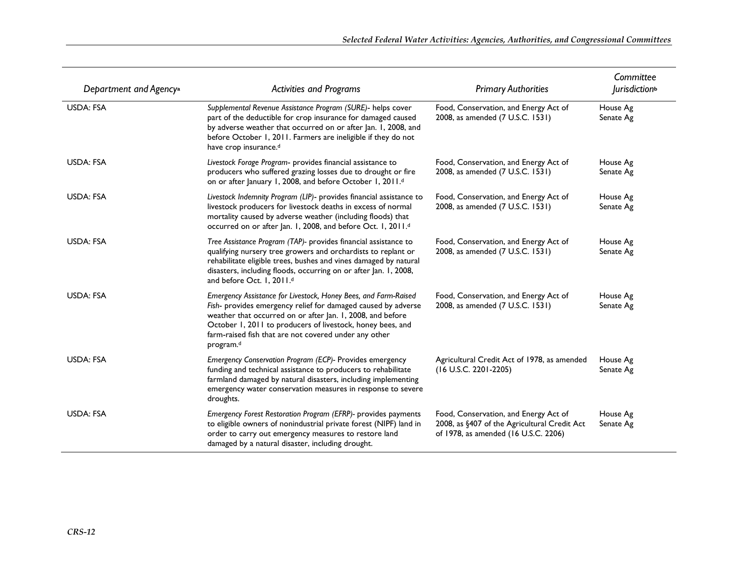| Department and Agency <sup>a</sup> | <b>Activities and Programs</b>                                                                                                                                                                                                                                                                                                     | <b>Primary Authorities</b>                                                                                                    | Committee<br><i>lurisdiction</i> <sup>b</sup> |
|------------------------------------|------------------------------------------------------------------------------------------------------------------------------------------------------------------------------------------------------------------------------------------------------------------------------------------------------------------------------------|-------------------------------------------------------------------------------------------------------------------------------|-----------------------------------------------|
| <b>USDA: FSA</b>                   | Supplemental Revenue Assistance Program (SURE)- helps cover<br>part of the deductible for crop insurance for damaged caused<br>by adverse weather that occurred on or after Jan. I, 2008, and<br>before October 1, 2011. Farmers are ineligible if they do not<br>have crop insurance. <sup>d</sup>                                | Food, Conservation, and Energy Act of<br>2008, as amended (7 U.S.C. 1531)                                                     | House Ag<br>Senate Ag                         |
| <b>USDA: FSA</b>                   | Livestock Forage Program- provides financial assistance to<br>producers who suffered grazing losses due to drought or fire<br>on or after January 1, 2008, and before October 1, 2011.d                                                                                                                                            | Food, Conservation, and Energy Act of<br>2008, as amended (7 U.S.C. 1531)                                                     | House Ag<br>Senate Ag                         |
| <b>USDA: FSA</b>                   | Livestock Indemnity Program (LIP)- provides financial assistance to<br>livestock producers for livestock deaths in excess of normal<br>mortality caused by adverse weather (including floods) that<br>occurred on or after Jan. 1, 2008, and before Oct. 1, 2011.d                                                                 | Food, Conservation, and Energy Act of<br>2008, as amended (7 U.S.C. 1531)                                                     | House Ag<br>Senate Ag                         |
| <b>USDA: FSA</b>                   | Tree Assistance Program (TAP)- provides financial assistance to<br>qualifying nursery tree growers and orchardists to replant or<br>rehabilitate eligible trees, bushes and vines damaged by natural<br>disasters, including floods, occurring on or after Jan. 1, 2008,<br>and before Oct. 1, 2011.d                              | Food, Conservation, and Energy Act of<br>2008, as amended (7 U.S.C. 1531)                                                     | House Ag<br>Senate Ag                         |
| <b>USDA: FSA</b>                   | Emergency Assistance for Livestock, Honey Bees, and Farm-Raised<br>Fish- provides emergency relief for damaged caused by adverse<br>weather that occurred on or after Jan. I, 2008, and before<br>October 1, 2011 to producers of livestock, honey bees, and<br>farm-raised fish that are not covered under any other<br>program.d | Food, Conservation, and Energy Act of<br>2008, as amended (7 U.S.C. 1531)                                                     | House Ag<br>Senate Ag                         |
| <b>USDA: FSA</b>                   | Emergency Conservation Program (ECP)- Provides emergency<br>funding and technical assistance to producers to rehabilitate<br>farmland damaged by natural disasters, including implementing<br>emergency water conservation measures in response to severe<br>droughts.                                                             | Agricultural Credit Act of 1978, as amended<br>(16 U.S.C. 2201-2205)                                                          | House Ag<br>Senate Ag                         |
| <b>USDA: FSA</b>                   | Emergency Forest Restoration Program (EFRP)- provides payments<br>to eligible owners of nonindustrial private forest (NIPF) land in<br>order to carry out emergency measures to restore land<br>damaged by a natural disaster, including drought.                                                                                  | Food, Conservation, and Energy Act of<br>2008, as §407 of the Agricultural Credit Act<br>of 1978, as amended (16 U.S.C. 2206) | House Ag<br>Senate Ag                         |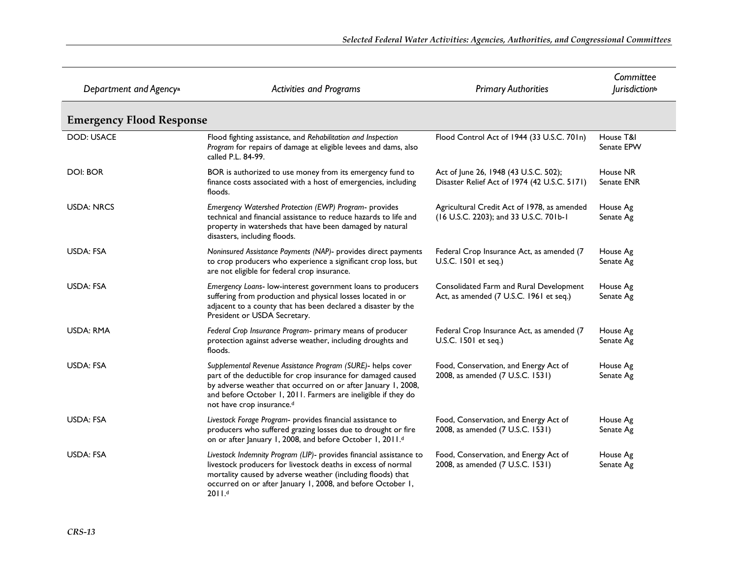| Department and Agency <sup>a</sup> | <b>Activities and Programs</b>                                                                                                                                                                                                                                                             | <b>Primary Authorities</b>                                                            | Committee<br><i>lurisdiction</i> <sup>b</sup> |
|------------------------------------|--------------------------------------------------------------------------------------------------------------------------------------------------------------------------------------------------------------------------------------------------------------------------------------------|---------------------------------------------------------------------------------------|-----------------------------------------------|
| <b>Emergency Flood Response</b>    |                                                                                                                                                                                                                                                                                            |                                                                                       |                                               |
| <b>DOD: USACE</b>                  | Flood fighting assistance, and Rehabilitation and Inspection<br>Program for repairs of damage at eligible levees and dams, also<br>called P.L. 84-99.                                                                                                                                      | Flood Control Act of 1944 (33 U.S.C. 701n)                                            | House T&I<br>Senate EPW                       |
| DOI: BOR                           | BOR is authorized to use money from its emergency fund to<br>finance costs associated with a host of emergencies, including<br>floods.                                                                                                                                                     | Act of June 26, 1948 (43 U.S.C. 502);<br>Disaster Relief Act of 1974 (42 U.S.C. 5171) | House NR<br>Senate ENR                        |
| <b>USDA: NRCS</b>                  | Emergency Watershed Protection (EWP) Program- provides<br>technical and financial assistance to reduce hazards to life and<br>property in watersheds that have been damaged by natural<br>disasters, including floods.                                                                     | Agricultural Credit Act of 1978, as amended<br>(16 U.S.C. 2203); and 33 U.S.C. 701b-1 | House Ag<br>Senate Ag                         |
| USDA: FSA                          | Noninsured Assistance Payments (NAP)- provides direct payments<br>to crop producers who experience a significant crop loss, but<br>are not eligible for federal crop insurance.                                                                                                            | Federal Crop Insurance Act, as amended (7<br>U.S.C. 1501 et seq.)                     | House Ag<br>Senate Ag                         |
| <b>USDA: FSA</b>                   | Emergency Loans- low-interest government loans to producers<br>suffering from production and physical losses located in or<br>adjacent to a county that has been declared a disaster by the<br>President or USDA Secretary.                                                                | Consolidated Farm and Rural Development<br>Act, as amended (7 U.S.C. 1961 et seq.)    | House Ag<br>Senate Ag                         |
| USDA: RMA                          | Federal Crop Insurance Program- primary means of producer<br>protection against adverse weather, including droughts and<br>floods.                                                                                                                                                         | Federal Crop Insurance Act, as amended (7<br>U.S.C. 1501 et seq.)                     | House Ag<br>Senate Ag                         |
| USDA: FSA                          | Supplemental Revenue Assistance Program (SURE)- helps cover<br>part of the deductible for crop insurance for damaged caused<br>by adverse weather that occurred on or after January 1, 2008,<br>and before October 1, 2011. Farmers are ineligible if they do<br>not have crop insurance.d | Food, Conservation, and Energy Act of<br>2008, as amended (7 U.S.C. 1531)             | House Ag<br>Senate Ag                         |
| USDA: FSA                          | Livestock Forage Program- provides financial assistance to<br>producers who suffered grazing losses due to drought or fire<br>on or after January 1, 2008, and before October 1, 2011.d                                                                                                    | Food, Conservation, and Energy Act of<br>2008, as amended (7 U.S.C. 1531)             | House Ag<br>Senate Ag                         |
| USDA: FSA                          | Livestock Indemnity Program (LIP)- provides financial assistance to<br>livestock producers for livestock deaths in excess of normal<br>mortality caused by adverse weather (including floods) that<br>occurred on or after January 1, 2008, and before October 1,<br>2011.4                | Food, Conservation, and Energy Act of<br>2008, as amended (7 U.S.C. 1531)             | House Ag<br>Senate Ag                         |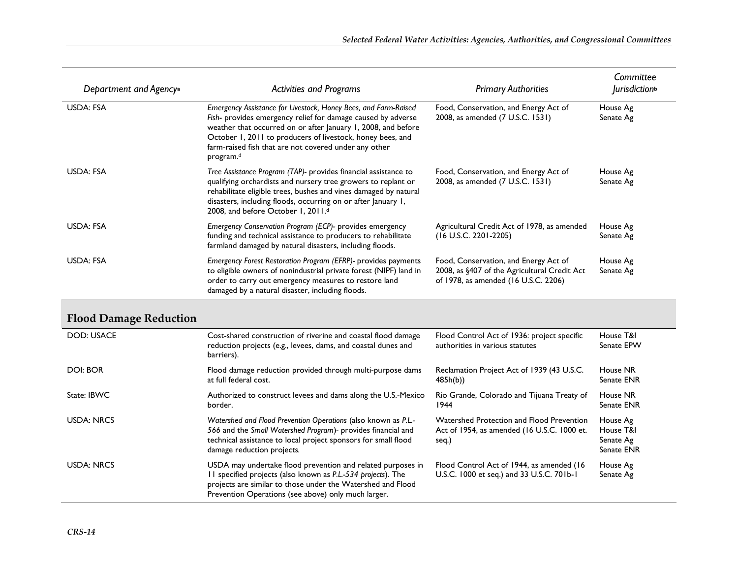| Department and Agency <sup>a</sup> | <b>Activities and Programs</b>                                                                                                                                                                                                                                                                                                                   | <b>Primary Authorities</b>                                                                                                    | Committee<br><i>lurisdiction</i> <sup>b</sup> |
|------------------------------------|--------------------------------------------------------------------------------------------------------------------------------------------------------------------------------------------------------------------------------------------------------------------------------------------------------------------------------------------------|-------------------------------------------------------------------------------------------------------------------------------|-----------------------------------------------|
| USDA: FSA                          | Emergency Assistance for Livestock, Honey Bees, and Farm-Raised<br>Fish- provides emergency relief for damage caused by adverse<br>weather that occurred on or after January 1, 2008, and before<br>October 1, 2011 to producers of livestock, honey bees, and<br>farm-raised fish that are not covered under any other<br>program. <sup>d</sup> | Food, Conservation, and Energy Act of<br>2008, as amended (7 U.S.C. 1531)                                                     | House Ag<br>Senate Ag                         |
| USDA: FSA                          | Tree Assistance Program (TAP)- provides financial assistance to<br>qualifying orchardists and nursery tree growers to replant or<br>rehabilitate eligible trees, bushes and vines damaged by natural<br>disasters, including floods, occurring on or after January 1,<br>2008, and before October 1, 2011.d                                      | Food, Conservation, and Energy Act of<br>2008, as amended (7 U.S.C. 1531)                                                     | House Ag<br>Senate Ag                         |
| <b>USDA: FSA</b>                   | Emergency Conservation Program (ECP)- provides emergency<br>funding and technical assistance to producers to rehabilitate<br>farmland damaged by natural disasters, including floods.                                                                                                                                                            | Agricultural Credit Act of 1978, as amended<br>$(16$ U.S.C. 2201-2205)                                                        | House Ag<br>Senate Ag                         |
| USDA: FSA                          | Emergency Forest Restoration Program (EFRP)- provides payments<br>to eligible owners of nonindustrial private forest (NIPF) land in<br>order to carry out emergency measures to restore land<br>damaged by a natural disaster, including floods.                                                                                                 | Food, Conservation, and Energy Act of<br>2008, as §407 of the Agricultural Credit Act<br>of 1978, as amended (16 U.S.C. 2206) | House Ag<br>Senate Ag                         |
|                                    |                                                                                                                                                                                                                                                                                                                                                  |                                                                                                                               |                                               |

#### **Flood Damage Reduction**

| <b>DOD: USACE</b> | Cost-shared construction of riverine and coastal flood damage<br>reduction projects (e.g., levees, dams, and coastal dunes and<br>barriers).                                                                                                      | Flood Control Act of 1936: project specific<br>authorities in various statutes                    | House T&I<br>Senate EPW                          |
|-------------------|---------------------------------------------------------------------------------------------------------------------------------------------------------------------------------------------------------------------------------------------------|---------------------------------------------------------------------------------------------------|--------------------------------------------------|
| <b>DOI: BOR</b>   | Flood damage reduction provided through multi-purpose dams<br>at full federal cost.                                                                                                                                                               | Reclamation Project Act of 1939 (43 U.S.C.<br>485h(b)                                             | House NR<br><b>Senate ENR</b>                    |
| State: IBWC       | Authorized to construct levees and dams along the U.S.-Mexico<br>border.                                                                                                                                                                          | Rio Grande, Colorado and Tijuana Treaty of<br>1944                                                | House NR<br>Senate ENR                           |
| <b>USDA: NRCS</b> | Watershed and Flood Prevention Operations (also known as P.L.-<br>566 and the Small Watershed Program)- provides financial and<br>technical assistance to local project sponsors for small flood<br>damage reduction projects.                    | Watershed Protection and Flood Prevention<br>Act of 1954, as amended (16 U.S.C. 1000 et.<br>seq.) | House Ag<br>House T&I<br>Senate Ag<br>Senate ENR |
| <b>USDA: NRCS</b> | USDA may undertake flood prevention and related purposes in<br>11 specified projects (also known as P.L.-534 projects). The<br>projects are similar to those under the Watershed and Flood<br>Prevention Operations (see above) only much larger. | Flood Control Act of 1944, as amended (16)<br>U.S.C. 1000 et seq.) and 33 U.S.C. 701b-1           | House Ag<br>Senate Ag                            |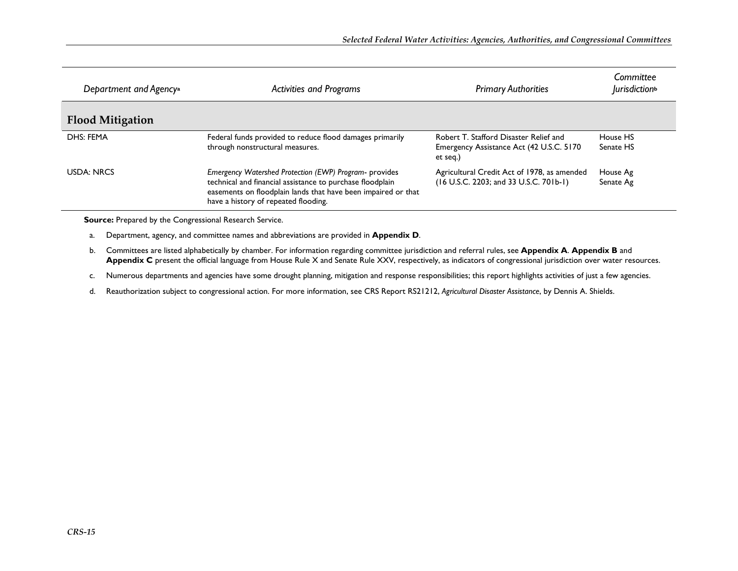| Department and Agency <sup>a</sup> | <b>Activities and Programs</b>                                                                                                                                                                                               | <b>Primary Authorities</b>                                                                      | Committee<br><i>lurisdiction</i> <sup>b</sup> |
|------------------------------------|------------------------------------------------------------------------------------------------------------------------------------------------------------------------------------------------------------------------------|-------------------------------------------------------------------------------------------------|-----------------------------------------------|
| <b>Flood Mitigation</b>            |                                                                                                                                                                                                                              |                                                                                                 |                                               |
| DHS: FEMA                          | Federal funds provided to reduce flood damages primarily<br>through nonstructural measures.                                                                                                                                  | Robert T. Stafford Disaster Relief and<br>Emergency Assistance Act (42 U.S.C. 5170)<br>et seq.) | House HS<br>Senate HS                         |
| <b>USDA: NRCS</b>                  | Emergency Watershed Protection (EWP) Program- provides<br>technical and financial assistance to purchase floodplain<br>easements on floodplain lands that have been impaired or that<br>have a history of repeated flooding. | Agricultural Credit Act of 1978, as amended<br>(16 U.S.C. 2203; and 33 U.S.C. 701b-1)           | House Ag<br>Senate Ag                         |

**Source:** Prepared by the Congressional Research Service.

a. Department, agency, and committee names and abbreviations are provided in **Appendix D**.

- b. Committees are listed alphabetically by chamber. For information regarding committee jurisdiction and referral rules, see **Appendix A**. **Appendix B** and **Appendix C** present the official language from House Rule X and Senate Rule XXV, respectively, as indicators of congressional jurisdiction over water resources.
- c. Numerous departments and agencies have some drought planning, mitigation and response responsibilities; this report highlights activities of just a few agencies.
- d. Reauthorization subject to congressional action. For more information, see CRS Report RS21212, *Agricultural Disaster Assistance*, by Dennis A. Shields.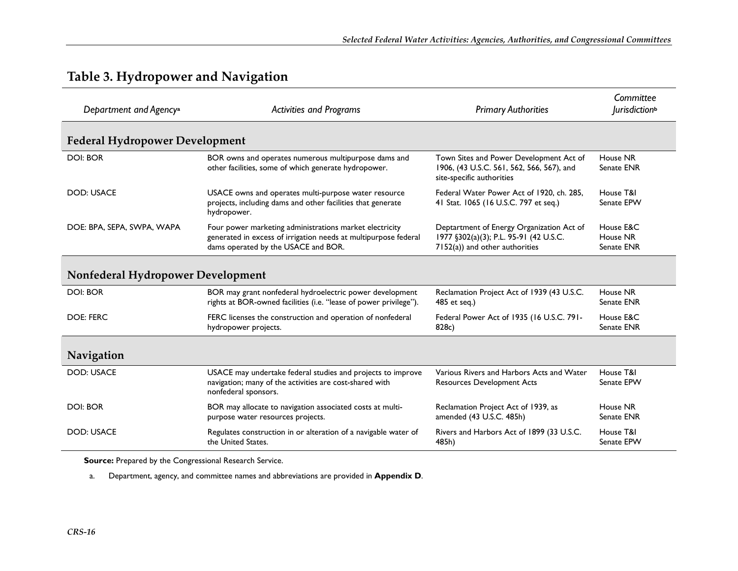| Department and Agency <sup>a</sup>    | <b>Activities and Programs</b>                                                                                                                                    | <b>Primary Authorities</b>                                                                                            | Committee<br><i>lurisdiction</i> <sup>b</sup> |
|---------------------------------------|-------------------------------------------------------------------------------------------------------------------------------------------------------------------|-----------------------------------------------------------------------------------------------------------------------|-----------------------------------------------|
| <b>Federal Hydropower Development</b> |                                                                                                                                                                   |                                                                                                                       |                                               |
| <b>DOI: BOR</b>                       | BOR owns and operates numerous multipurpose dams and<br>other facilities, some of which generate hydropower.                                                      | Town Sites and Power Development Act of<br>1906, (43 U.S.C. 561, 562, 566, 567), and<br>site-specific authorities     | House NR<br>Senate ENR                        |
| <b>DOD: USACE</b>                     | USACE owns and operates multi-purpose water resource<br>projects, including dams and other facilities that generate<br>hydropower.                                | Federal Water Power Act of 1920, ch. 285,<br>41 Stat. 1065 (16 U.S.C. 797 et seq.)                                    | House T&I<br>Senate EPW                       |
| DOE: BPA, SEPA, SWPA, WAPA            | Four power marketing administrations market electricity<br>generated in excess of irrigation needs at multipurpose federal<br>dams operated by the USACE and BOR. | Deptartment of Energy Organization Act of<br>1977 §302(a)(3); P.L. 95-91 (42 U.S.C.<br>7152(a)) and other authorities | House E&C<br>House NR<br>Senate ENR           |
| Nonfederal Hydropower Development     |                                                                                                                                                                   |                                                                                                                       |                                               |
| <b>DOI: BOR</b>                       | BOR may grant nonfederal hydroelectric power development<br>rights at BOR-owned facilities (i.e. "lease of power privilege").                                     | Reclamation Project Act of 1939 (43 U.S.C.<br>485 et seq.)                                                            | House NR<br>Senate ENR                        |
| <b>DOE: FERC</b>                      | FERC licenses the construction and operation of nonfederal<br>hydropower projects.                                                                                | Federal Power Act of 1935 (16 U.S.C. 791-<br>828c)                                                                    | House E&C<br>Senate ENR                       |
| Navigation                            |                                                                                                                                                                   |                                                                                                                       |                                               |
| <b>DOD: USACE</b>                     | USACE may undertake federal studies and projects to improve<br>navigation; many of the activities are cost-shared with<br>nonfederal sponsors.                    | Various Rivers and Harbors Acts and Water<br><b>Resources Development Acts</b>                                        | House T&I<br>Senate EPW                       |
| <b>DOI: BOR</b>                       | BOR may allocate to navigation associated costs at multi-<br>purpose water resources projects.                                                                    | Reclamation Project Act of 1939, as<br>amended (43 U.S.C. 485h)                                                       | House NR<br>Senate ENR                        |
| <b>DOD: USACE</b>                     | Regulates construction in or alteration of a navigable water of<br>the United States.                                                                             | Rivers and Harbors Act of 1899 (33 U.S.C.<br>485h)                                                                    | House T&I<br>Senate EPW                       |

### **Table 3. Hydropower and Navigation**

**Source:** Prepared by the Congressional Research Service.

a. Department, agency, and committee names and abbreviations are provided in **Appendix D**.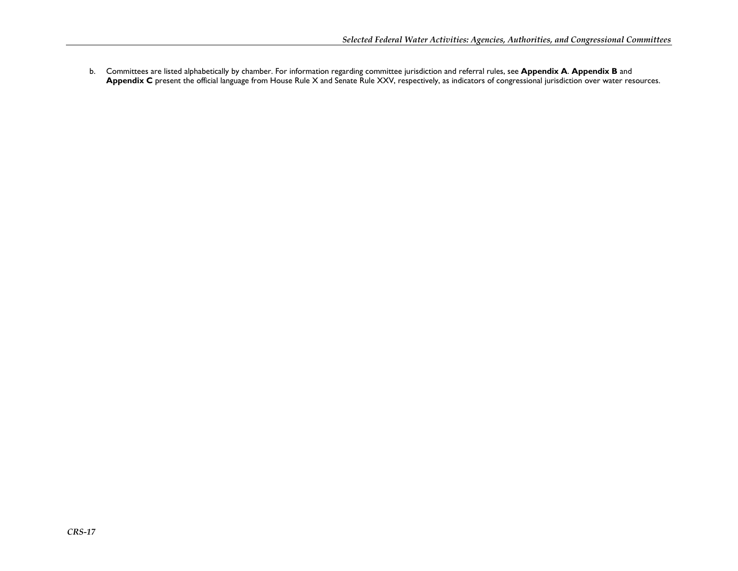b. Committees are listed alphabetically by chamber. For information regarding committee jurisdiction and referral rules, see **Appendix A**. **Appendix B** and **Appendix C** present the official language from House Rule X and Senate Rule XXV, respectively, as indicators of congressional jurisdiction over water resources.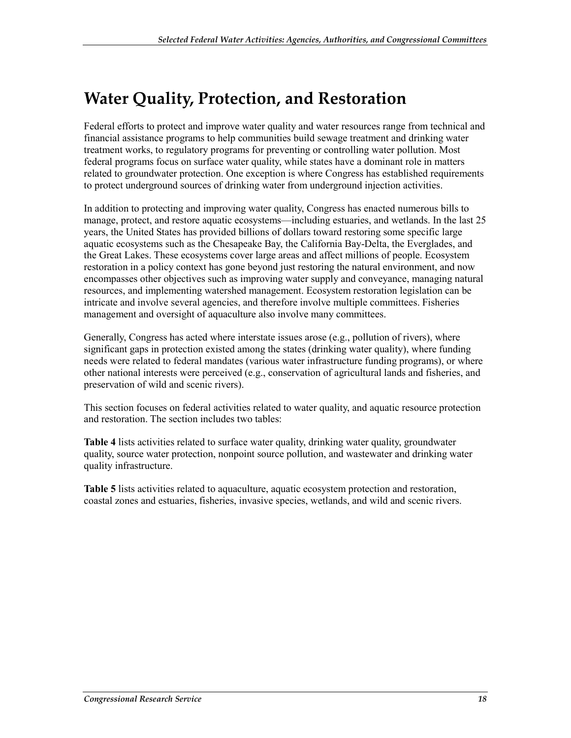### **Water Quality, Protection, and Restoration**

Federal efforts to protect and improve water quality and water resources range from technical and financial assistance programs to help communities build sewage treatment and drinking water treatment works, to regulatory programs for preventing or controlling water pollution. Most federal programs focus on surface water quality, while states have a dominant role in matters related to groundwater protection. One exception is where Congress has established requirements to protect underground sources of drinking water from underground injection activities.

In addition to protecting and improving water quality, Congress has enacted numerous bills to manage, protect, and restore aquatic ecosystems—including estuaries, and wetlands. In the last 25 years, the United States has provided billions of dollars toward restoring some specific large aquatic ecosystems such as the Chesapeake Bay, the California Bay-Delta, the Everglades, and the Great Lakes. These ecosystems cover large areas and affect millions of people. Ecosystem restoration in a policy context has gone beyond just restoring the natural environment, and now encompasses other objectives such as improving water supply and conveyance, managing natural resources, and implementing watershed management. Ecosystem restoration legislation can be intricate and involve several agencies, and therefore involve multiple committees. Fisheries management and oversight of aquaculture also involve many committees.

Generally, Congress has acted where interstate issues arose (e.g., pollution of rivers), where significant gaps in protection existed among the states (drinking water quality), where funding needs were related to federal mandates (various water infrastructure funding programs), or where other national interests were perceived (e.g., conservation of agricultural lands and fisheries, and preservation of wild and scenic rivers).

This section focuses on federal activities related to water quality, and aquatic resource protection and restoration. The section includes two tables:

**Table 4** lists activities related to surface water quality, drinking water quality, groundwater quality, source water protection, nonpoint source pollution, and wastewater and drinking water quality infrastructure.

**Table 5** lists activities related to aquaculture, aquatic ecosystem protection and restoration, coastal zones and estuaries, fisheries, invasive species, wetlands, and wild and scenic rivers.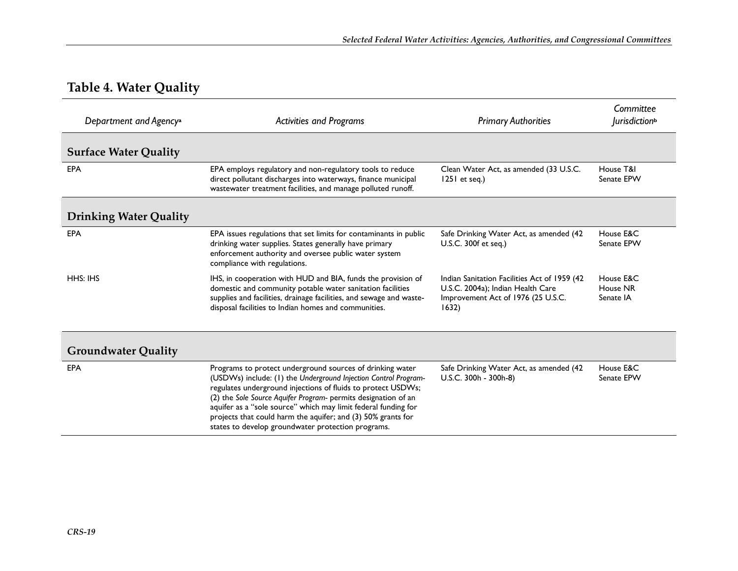### **Table 4. Water Quality**

| Department and Agency <sup>a</sup> | <b>Activities and Programs</b>                                                                                                                                                                                                                                                                                                                                                                                                                         | <b>Primary Authorities</b>                                                                                                       | Committee<br><i>lurisdiction</i> <sup>b</sup> |
|------------------------------------|--------------------------------------------------------------------------------------------------------------------------------------------------------------------------------------------------------------------------------------------------------------------------------------------------------------------------------------------------------------------------------------------------------------------------------------------------------|----------------------------------------------------------------------------------------------------------------------------------|-----------------------------------------------|
| <b>Surface Water Quality</b>       |                                                                                                                                                                                                                                                                                                                                                                                                                                                        |                                                                                                                                  |                                               |
| <b>EPA</b>                         | EPA employs regulatory and non-regulatory tools to reduce<br>direct pollutant discharges into waterways, finance municipal<br>wastewater treatment facilities, and manage polluted runoff.                                                                                                                                                                                                                                                             | Clean Water Act, as amended (33 U.S.C.<br>$1251$ et seq.)                                                                        | House T&I<br>Senate EPW                       |
| <b>Drinking Water Quality</b>      |                                                                                                                                                                                                                                                                                                                                                                                                                                                        |                                                                                                                                  |                                               |
| <b>EPA</b>                         | EPA issues regulations that set limits for contaminants in public<br>drinking water supplies. States generally have primary<br>enforcement authority and oversee public water system<br>compliance with regulations.                                                                                                                                                                                                                                   | Safe Drinking Water Act, as amended (42<br>U.S.C. 300f et seq.)                                                                  | House E&C<br>Senate EPW                       |
| HHS: IHS                           | IHS, in cooperation with HUD and BIA, funds the provision of<br>domestic and community potable water sanitation facilities<br>supplies and facilities, drainage facilities, and sewage and waste-<br>disposal facilities to Indian homes and communities.                                                                                                                                                                                              | Indian Sanitation Facilities Act of 1959 (42<br>U.S.C. 2004a); Indian Health Care<br>Improvement Act of 1976 (25 U.S.C.<br>1632) | House E&C<br>House NR<br>Senate IA            |
| <b>Groundwater Quality</b>         |                                                                                                                                                                                                                                                                                                                                                                                                                                                        |                                                                                                                                  |                                               |
| <b>EPA</b>                         | Programs to protect underground sources of drinking water<br>(USDWs) include: (1) the Underground Injection Control Program-<br>regulates underground injections of fluids to protect USDWs;<br>(2) the Sole Source Aquifer Program- permits designation of an<br>aquifer as a "sole source" which may limit federal funding for<br>projects that could harm the aquifer; and (3) 50% grants for<br>states to develop groundwater protection programs. | Safe Drinking Water Act, as amended (42<br>U.S.C. 300h - 300h-8)                                                                 | House E&C<br>Senate EPW                       |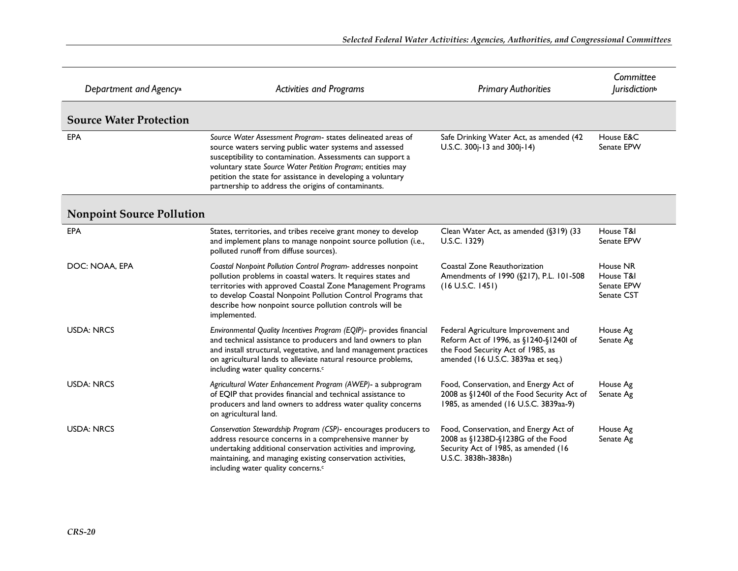| Department and Agency <sup>a</sup> | <b>Activities and Programs</b>                                                                                                                                                                                                                                                                                                                                            | <b>Primary Authorities</b>                                                                                                                               | Committee<br><i>lurisdiction</i> <sup>b</sup>     |
|------------------------------------|---------------------------------------------------------------------------------------------------------------------------------------------------------------------------------------------------------------------------------------------------------------------------------------------------------------------------------------------------------------------------|----------------------------------------------------------------------------------------------------------------------------------------------------------|---------------------------------------------------|
| <b>Source Water Protection</b>     |                                                                                                                                                                                                                                                                                                                                                                           |                                                                                                                                                          |                                                   |
| EPA                                | Source Water Assessment Program- states delineated areas of<br>source waters serving public water systems and assessed<br>susceptibility to contamination. Assessments can support a<br>voluntary state Source Water Petition Program; entities may<br>petition the state for assistance in developing a voluntary<br>partnership to address the origins of contaminants. | Safe Drinking Water Act, as amended (42<br>U.S.C. 300j-13 and 300j-14)                                                                                   | House E&C<br>Senate EPW                           |
| <b>Nonpoint Source Pollution</b>   |                                                                                                                                                                                                                                                                                                                                                                           |                                                                                                                                                          |                                                   |
| EPA                                | States, territories, and tribes receive grant money to develop<br>and implement plans to manage nonpoint source pollution (i.e.,<br>polluted runoff from diffuse sources).                                                                                                                                                                                                | Clean Water Act, as amended (§319) (33<br>U.S.C. 1329)                                                                                                   | House T&I<br>Senate EPW                           |
| DOC: NOAA, EPA                     | Coastal Nonpoint Pollution Control Program- addresses nonpoint<br>pollution problems in coastal waters. It requires states and<br>territories with approved Coastal Zone Management Programs<br>to develop Coastal Nonpoint Pollution Control Programs that<br>describe how nonpoint source pollution controls will be<br>implemented.                                    | Coastal Zone Reauthorization<br>Amendments of 1990 (§217), P.L. 101-508<br>(16 U.S.C. 1451)                                                              | House NR<br>House T&I<br>Senate EPW<br>Senate CST |
| <b>USDA: NRCS</b>                  | Environmental Quality Incentives Program (EQIP)- provides financial<br>and technical assistance to producers and land owners to plan<br>and install structural, vegetative, and land management practices<br>on agricultural lands to alleviate natural resource problems,<br>including water quality concerns. <sup>c</sup>                                              | Federal Agriculture Improvement and<br>Reform Act of 1996, as §1240-§12401 of<br>the Food Security Act of 1985, as<br>amended (16 U.S.C. 3839aa et seq.) | House Ag<br>Senate Ag                             |
| <b>USDA: NRCS</b>                  | Agricultural Water Enhancement Program (AWEP)- a subprogram<br>of EQIP that provides financial and technical assistance to<br>producers and land owners to address water quality concerns<br>on agricultural land.                                                                                                                                                        | Food, Conservation, and Energy Act of<br>2008 as §12401 of the Food Security Act of<br>1985, as amended (16 U.S.C. 3839aa-9)                             | House Ag<br>Senate Ag                             |
| <b>USDA: NRCS</b>                  | Conservation Stewardship Program (CSP)- encourages producers to<br>address resource concerns in a comprehensive manner by<br>undertaking additional conservation activities and improving,<br>maintaining, and managing existing conservation activities,<br>including water quality concerns. <sup>c</sup>                                                               | Food, Conservation, and Energy Act of<br>2008 as §1238D-§1238G of the Food<br>Security Act of 1985, as amended (16<br>U.S.C. 3838h-3838n)                | House Ag<br>Senate Ag                             |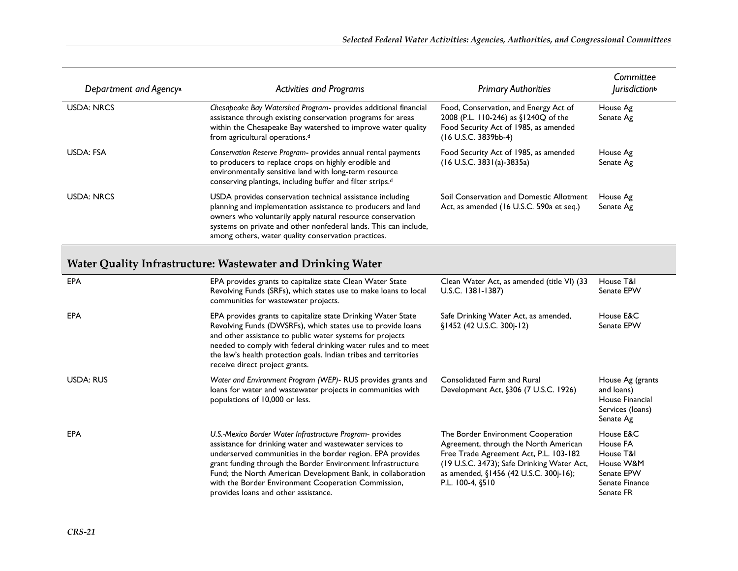| Department and Agency <sup>a</sup> | <b>Activities and Programs</b>                                                                                                                                                                                                                                                                                     | <b>Primary Authorities</b>                                                                                                                     | Committee<br><i>lurisdiction</i> <sup>b</sup> |
|------------------------------------|--------------------------------------------------------------------------------------------------------------------------------------------------------------------------------------------------------------------------------------------------------------------------------------------------------------------|------------------------------------------------------------------------------------------------------------------------------------------------|-----------------------------------------------|
| <b>USDA: NRCS</b>                  | Chesapeake Bay Watershed Program- provides additional financial<br>assistance through existing conservation programs for areas<br>within the Chesapeake Bay watershed to improve water quality<br>from agricultural operations. <sup>d</sup>                                                                       | Food, Conservation, and Energy Act of<br>2008 (P.L. 110-246) as §1240Q of the<br>Food Security Act of 1985, as amended<br>(16 U.S.C. 3839bb-4) | House Ag<br>Senate Ag                         |
| USDA: FSA                          | Conservation Reserve Program- provides annual rental payments<br>to producers to replace crops on highly erodible and<br>environmentally sensitive land with long-term resource<br>conserving plantings, including buffer and filter strips. <sup>d</sup>                                                          | Food Security Act of 1985, as amended<br>(16 U.S.C. 3831(a)-3835a)                                                                             | House Ag<br>Senate Ag                         |
| <b>USDA: NRCS</b>                  | USDA provides conservation technical assistance including<br>planning and implementation assistance to producers and land<br>owners who voluntarily apply natural resource conservation<br>systems on private and other nonfederal lands. This can include,<br>among others, water quality conservation practices. | Soil Conservation and Domestic Allotment<br>Act, as amended (16 U.S.C. 590a et seq.)                                                           | House Ag<br>Senate Ag                         |

#### **Water Quality Infrastructure: Wastewater and Drinking Water**

| <b>EPA</b> | EPA provides grants to capitalize state Clean Water State<br>Revolving Funds (SRFs), which states use to make loans to local<br>communities for wastewater projects.                                                                                                                                                                                                                                             | Clean Water Act, as amended (title VI) (33<br>U.S.C. 1381-1387)                                                                                                                                                                   | House T&I<br>Senate EPW                                                                      |
|------------|------------------------------------------------------------------------------------------------------------------------------------------------------------------------------------------------------------------------------------------------------------------------------------------------------------------------------------------------------------------------------------------------------------------|-----------------------------------------------------------------------------------------------------------------------------------------------------------------------------------------------------------------------------------|----------------------------------------------------------------------------------------------|
| <b>EPA</b> | EPA provides grants to capitalize state Drinking Water State<br>Revolving Funds (DWSRFs), which states use to provide loans<br>and other assistance to public water systems for projects<br>needed to comply with federal drinking water rules and to meet<br>the law's health protection goals. Indian tribes and territories<br>receive direct project grants.                                                 | Safe Drinking Water Act, as amended,<br>§1452 (42 U.S.C. 300j-12)                                                                                                                                                                 | House E&C<br>Senate EPW                                                                      |
| USDA: RUS  | Water and Environment Program (WEP)- RUS provides grants and<br>loans for water and wastewater projects in communities with<br>populations of 10,000 or less.                                                                                                                                                                                                                                                    | Consolidated Farm and Rural<br>Development Act, §306 (7 U.S.C. 1926)                                                                                                                                                              | House Ag (grants<br>and loans)<br>House Financial<br>Services (loans)<br>Senate Ag           |
| EPA        | U.S.-Mexico Border Water Infrastructure Program- provides<br>assistance for drinking water and wastewater services to<br>underserved communities in the border region. EPA provides<br>grant funding through the Border Environment Infrastructure<br>Fund; the North American Development Bank, in collaboration<br>with the Border Environment Cooperation Commission,<br>provides loans and other assistance. | The Border Environment Cooperation<br>Agreement, through the North American<br>Free Trade Agreement Act, P.L. 103-182<br>(19 U.S.C. 3473); Safe Drinking Water Act,<br>as amended, §1456 (42 U.S.C. 300j-16);<br>P.L. 100-4, §510 | House E&C<br>House FA<br>House T&I<br>House W&M<br>Senate EPW<br>Senate Finance<br>Senate FR |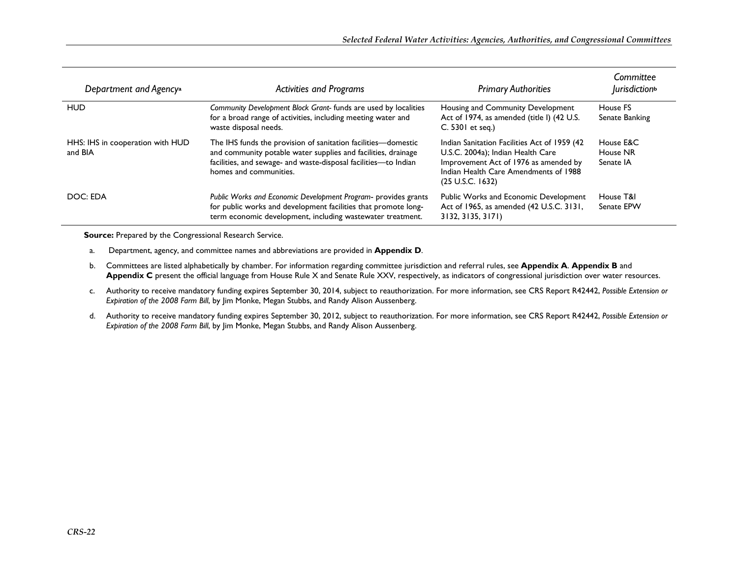| Department and Agency <sup>a</sup>          | <b>Activities and Programs</b>                                                                                                                                                                                              | <b>Primary Authorities</b>                                                                                                                                                                          | Committee<br><i>lurisdiction</i> <sup>b</sup> |
|---------------------------------------------|-----------------------------------------------------------------------------------------------------------------------------------------------------------------------------------------------------------------------------|-----------------------------------------------------------------------------------------------------------------------------------------------------------------------------------------------------|-----------------------------------------------|
| <b>HUD</b>                                  | Community Development Block Grant-funds are used by localities<br>for a broad range of activities, including meeting water and<br>waste disposal needs.                                                                     | Housing and Community Development<br>Act of 1974, as amended (title I) (42 U.S.<br>C. 5301 et seq.)                                                                                                 | House FS<br>Senate Banking                    |
| HHS: IHS in cooperation with HUD<br>and BIA | The IHS funds the provision of sanitation facilities—domestic<br>and community potable water supplies and facilities, drainage<br>facilities, and sewage- and waste-disposal facilities-to Indian<br>homes and communities. | Indian Sanitation Facilities Act of 1959 (42)<br>U.S.C. 2004a); Indian Health Care<br>Improvement Act of 1976 as amended by<br>Indian Health Care Amendments of 1988<br>$(25 \text{ U.S.C. } 1632)$ | House E&C<br>House NR<br>Senate IA            |
| DOC: EDA                                    | Public Works and Economic Development Program- provides grants<br>for public works and development facilities that promote long-<br>term economic development, including wastewater treatment.                              | Public Works and Economic Development<br>Act of 1965, as amended (42 U.S.C. 3131,<br>3132, 3135, 3171)                                                                                              | House T&I<br>Senate EPW                       |

**Source:** Prepared by the Congressional Research Service.

- a. Department, agency, and committee names and abbreviations are provided in **Appendix D**.
- b. Committees are listed alphabetically by chamber. For information regarding committee jurisdiction and referral rules, see **Appendix A**. **Appendix B** and **Appendix C** present the official language from House Rule X and Senate Rule XXV, respectively, as indicators of congressional jurisdiction over water resources.
- c. Authority to receive mandatory funding expires September 30, 2014, subject to reauthorization. For more information, see CRS Report R42442, *Possible Extension or Expiration of the 2008 Farm Bill*, by Jim Monke, Megan Stubbs, and Randy Alison Aussenberg.
- d. Authority to receive mandatory funding expires September 30, 2012, subject to reauthorization. For more information, see CRS Report R42442, *Possible Extension or Expiration of the 2008 Farm Bill*, by Jim Monke, Megan Stubbs, and Randy Alison Aussenberg.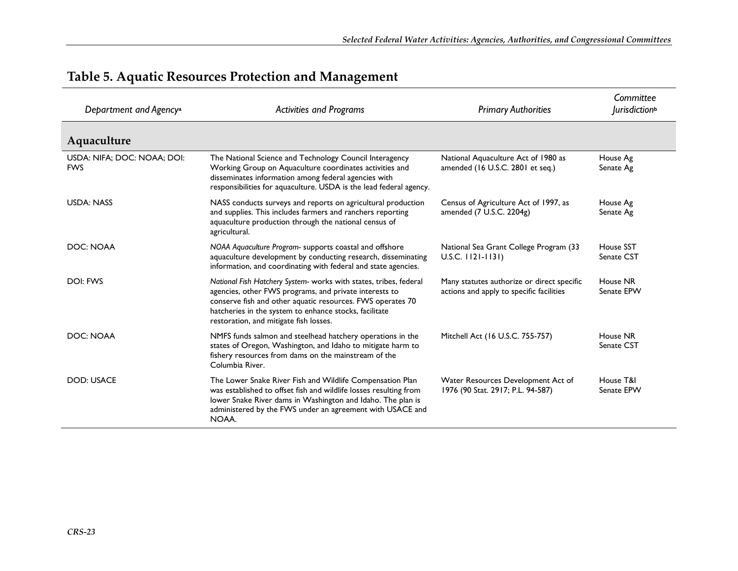| Department and Agency <sup>a</sup>        | <b>Activities and Programs</b>                                                                                                                                                                                                                                                                | <b>Primary Authorities</b>                                                             | Committee<br>Jurisdiction <sup>b</sup> |
|-------------------------------------------|-----------------------------------------------------------------------------------------------------------------------------------------------------------------------------------------------------------------------------------------------------------------------------------------------|----------------------------------------------------------------------------------------|----------------------------------------|
| Aquaculture                               |                                                                                                                                                                                                                                                                                               |                                                                                        |                                        |
| USDA: NIFA; DOC: NOAA; DOI:<br><b>FWS</b> | The National Science and Technology Council Interagency<br>Working Group on Aquaculture coordinates activities and<br>disseminates information among federal agencies with<br>responsibilities for aquaculture. USDA is the lead federal agency.                                              | National Aquaculture Act of 1980 as<br>amended (16 U.S.C. 2801 et seq.)                | House Ag<br>Senate Ag                  |
| <b>USDA: NASS</b>                         | NASS conducts surveys and reports on agricultural production<br>and supplies. This includes farmers and ranchers reporting<br>aquaculture production through the national census of<br>agricultural.                                                                                          | Census of Agriculture Act of 1997, as<br>amended (7 U.S.C. 2204g)                      | House Ag<br>Senate Ag                  |
| DOC: NOAA                                 | NOAA Aquaculture Program- supports coastal and offshore<br>aquaculture development by conducting research, disseminating<br>information, and coordinating with federal and state agencies.                                                                                                    | National Sea Grant College Program (33<br>$U.S.C.$ $1121 - 1131$                       | House SST<br>Senate CST                |
| DOI: FWS                                  | National Fish Hatchery System- works with states, tribes, federal<br>agencies, other FWS programs, and private interests to<br>conserve fish and other aquatic resources. FWS operates 70<br>hatcheries in the system to enhance stocks, facilitate<br>restoration, and mitigate fish losses. | Many statutes authorize or direct specific<br>actions and apply to specific facilities | House NR<br>Senate EPW                 |
| DOC: NOAA                                 | NMFS funds salmon and steelhead hatchery operations in the<br>states of Oregon, Washington, and Idaho to mitigate harm to<br>fishery resources from dams on the mainstream of the<br>Columbia River.                                                                                          | Mitchell Act (16 U.S.C. 755-757)                                                       | House NR<br>Senate CST                 |
| <b>DOD: USACE</b>                         | The Lower Snake River Fish and Wildlife Compensation Plan<br>was established to offset fish and wildlife losses resulting from<br>lower Snake River dams in Washington and Idaho. The plan is<br>administered by the FWS under an agreement with USACE and<br>NOAA.                           | Water Resources Development Act of<br>1976 (90 Stat. 2917; P.L. 94-587)                | House T&I<br>Senate EPW                |

#### **Table 5. Aquatic Resources Protection and Management**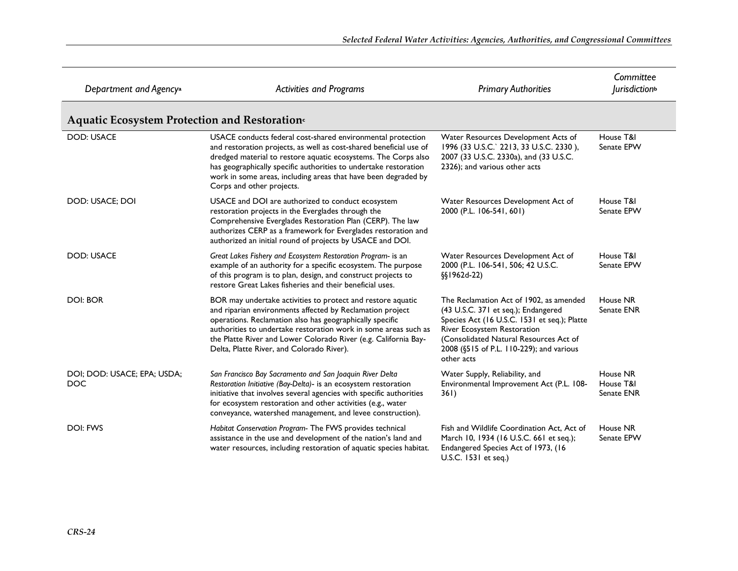| Department and Agency <sup>a</sup>           | <b>Activities and Programs</b>                                                                                                                                                                                                                                                                                                                                          | <b>Primary Authorities</b>                                                                                                                                                                                                                                        | Committee<br><i>lurisdiction</i> <sup>b</sup> |
|----------------------------------------------|-------------------------------------------------------------------------------------------------------------------------------------------------------------------------------------------------------------------------------------------------------------------------------------------------------------------------------------------------------------------------|-------------------------------------------------------------------------------------------------------------------------------------------------------------------------------------------------------------------------------------------------------------------|-----------------------------------------------|
| Aquatic Ecosystem Protection and Restoration |                                                                                                                                                                                                                                                                                                                                                                         |                                                                                                                                                                                                                                                                   |                                               |
| <b>DOD: USACE</b>                            | USACE conducts federal cost-shared environmental protection<br>and restoration projects, as well as cost-shared beneficial use of<br>dredged material to restore aquatic ecosystems. The Corps also<br>has geographically specific authorities to undertake restoration<br>work in some areas, including areas that have been degraded by<br>Corps and other projects.  | Water Resources Development Acts of<br>1996 (33 U.S.C.` 2213, 33 U.S.C. 2330),<br>2007 (33 U.S.C. 2330a), and (33 U.S.C.<br>2326); and various other acts                                                                                                         | House T&I<br>Senate EPW                       |
| DOD: USACE; DOI                              | USACE and DOI are authorized to conduct ecosystem<br>restoration projects in the Everglades through the<br>Comprehensive Everglades Restoration Plan (CERP). The law<br>authorizes CERP as a framework for Everglades restoration and<br>authorized an initial round of projects by USACE and DOI.                                                                      | Water Resources Development Act of<br>2000 (P.L. 106-541, 601)                                                                                                                                                                                                    | House T&I<br>Senate EPW                       |
| <b>DOD: USACE</b>                            | Great Lakes Fishery and Ecosystem Restoration Program- is an<br>example of an authority for a specific ecosystem. The purpose<br>of this program is to plan, design, and construct projects to<br>restore Great Lakes fisheries and their beneficial uses.                                                                                                              | Water Resources Development Act of<br>2000 (P.L. 106-541, 506; 42 U.S.C.<br>§§1962d-22)                                                                                                                                                                           | House T&I<br>Senate EPW                       |
| <b>DOI: BOR</b>                              | BOR may undertake activities to protect and restore aquatic<br>and riparian environments affected by Reclamation project<br>operations. Reclamation also has geographically specific<br>authorities to undertake restoration work in some areas such as<br>the Platte River and Lower Colorado River (e.g. California Bay-<br>Delta, Platte River, and Colorado River). | The Reclamation Act of 1902, as amended<br>(43 U.S.C. 371 et seq.); Endangered<br>Species Act (16 U.S.C. 1531 et seq.); Platte<br>River Ecosystem Restoration<br>(Consolidated Natural Resources Act of<br>2008 (§515 of P.L. 110-229); and various<br>other acts | House NR<br>Senate ENR                        |
| DOI; DOD: USACE; EPA; USDA;<br><b>DOC</b>    | San Francisco Bay Sacramento and San Joaquin River Delta<br>Restoration Initiative (Bay-Delta)- is an ecosystem restoration<br>initiative that involves several agencies with specific authorities<br>for ecosystem restoration and other activities (e.g., water<br>conveyance, watershed management, and levee construction).                                         | Water Supply, Reliability, and<br>Environmental Improvement Act (P.L. 108-<br>36I)                                                                                                                                                                                | House NR<br>House T&I<br>Senate ENR           |
| <b>DOI: FWS</b>                              | Habitat Conservation Program- The FWS provides technical<br>assistance in the use and development of the nation's land and<br>water resources, including restoration of aquatic species habitat.                                                                                                                                                                        | Fish and Wildlife Coordination Act. Act of<br>March 10, 1934 (16 U.S.C. 661 et seq.);<br>Endangered Species Act of 1973, (16<br>U.S.C. 1531 et seq.)                                                                                                              | House NR<br>Senate EPW                        |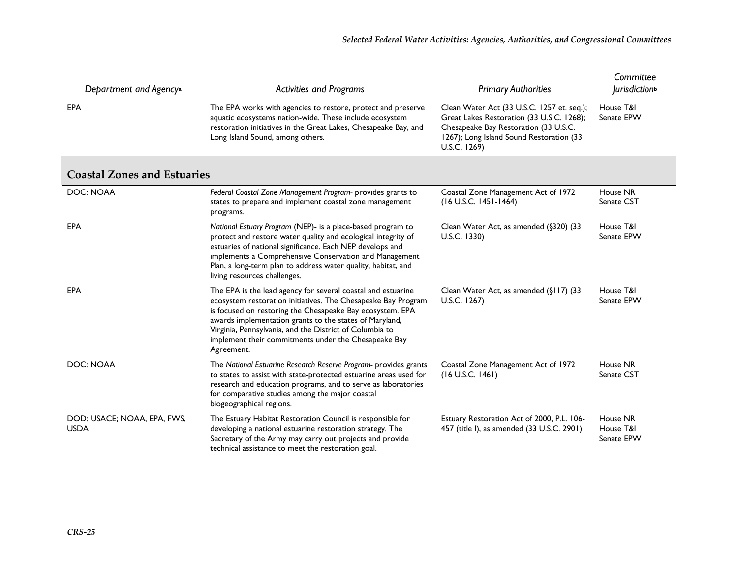| Department and Agency <sup>a</sup>         | <b>Activities and Programs</b>                                                                                                                                                                                                                                                                                                                                                         | <b>Primary Authorities</b>                                                                                                                                                                   | Committee<br><i>lurisdiction</i> <sup>b</sup> |
|--------------------------------------------|----------------------------------------------------------------------------------------------------------------------------------------------------------------------------------------------------------------------------------------------------------------------------------------------------------------------------------------------------------------------------------------|----------------------------------------------------------------------------------------------------------------------------------------------------------------------------------------------|-----------------------------------------------|
| <b>EPA</b>                                 | The EPA works with agencies to restore, protect and preserve<br>aquatic ecosystems nation-wide. These include ecosystem<br>restoration initiatives in the Great Lakes, Chesapeake Bay, and<br>Long Island Sound, among others.                                                                                                                                                         | Clean Water Act (33 U.S.C. 1257 et. seq.);<br>Great Lakes Restoration (33 U.S.C. 1268);<br>Chesapeake Bay Restoration (33 U.S.C.<br>1267); Long Island Sound Restoration (33<br>U.S.C. 1269) | House T&I<br>Senate EPW                       |
| <b>Coastal Zones and Estuaries</b>         |                                                                                                                                                                                                                                                                                                                                                                                        |                                                                                                                                                                                              |                                               |
| DOC: NOAA                                  | Federal Coastal Zone Management Program- provides grants to<br>states to prepare and implement coastal zone management<br>programs.                                                                                                                                                                                                                                                    | Coastal Zone Management Act of 1972<br>$(16$ U.S.C. $1451 - 1464)$                                                                                                                           | House NR<br>Senate CST                        |
| <b>EPA</b>                                 | National Estuary Program (NEP)- is a place-based program to<br>protect and restore water quality and ecological integrity of<br>estuaries of national significance. Each NEP develops and<br>implements a Comprehensive Conservation and Management<br>Plan, a long-term plan to address water quality, habitat, and<br>living resources challenges.                                   | Clean Water Act, as amended (§320) (33<br>U.S.C. 1330)                                                                                                                                       | House T&I<br>Senate EPW                       |
| <b>EPA</b>                                 | The EPA is the lead agency for several coastal and estuarine<br>ecosystem restoration initiatives. The Chesapeake Bay Program<br>is focused on restoring the Chesapeake Bay ecosystem. EPA<br>awards implementation grants to the states of Maryland,<br>Virginia, Pennsylvania, and the District of Columbia to<br>implement their commitments under the Chesapeake Bay<br>Agreement. | Clean Water Act, as amended (§117) (33<br>U.S.C. 1267)                                                                                                                                       | House T&I<br>Senate EPW                       |
| DOC: NOAA                                  | The National Estuarine Research Reserve Program- provides grants<br>to states to assist with state-protected estuarine areas used for<br>research and education programs, and to serve as laboratories<br>for comparative studies among the major coastal<br>biogeographical regions.                                                                                                  | Coastal Zone Management Act of 1972<br>$(16$ U.S.C. $1461)$                                                                                                                                  | House NR<br>Senate CST                        |
| DOD: USACE; NOAA, EPA, FWS,<br><b>USDA</b> | The Estuary Habitat Restoration Council is responsible for<br>developing a national estuarine restoration strategy. The<br>Secretary of the Army may carry out projects and provide<br>technical assistance to meet the restoration goal.                                                                                                                                              | Estuary Restoration Act of 2000, P.L. 106-<br>457 (title I), as amended (33 U.S.C. 2901)                                                                                                     | House NR<br>House T&I<br>Senate EPW           |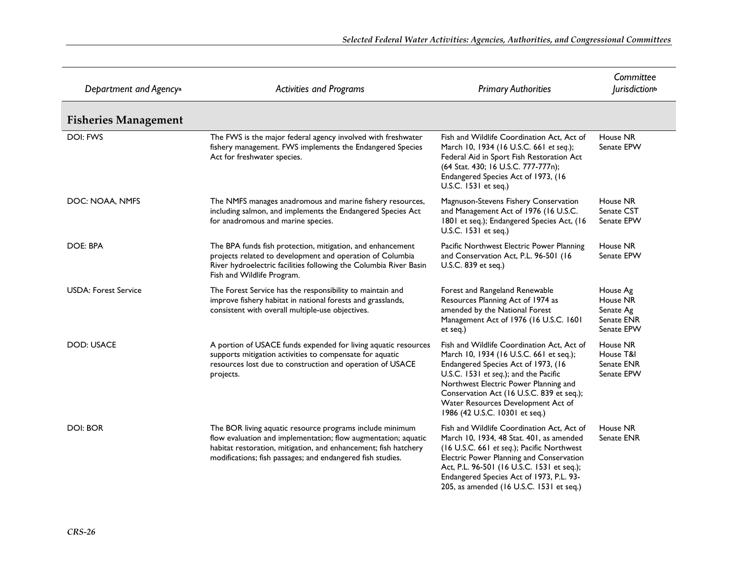| Department and Agency <sup>a</sup> | <b>Activities and Programs</b>                                                                                                                                                                                                                              | <b>Primary Authorities</b>                                                                                                                                                                                                                                                                                                          | Committee<br><i>lurisdiction</i> <sup>b</sup>                 |
|------------------------------------|-------------------------------------------------------------------------------------------------------------------------------------------------------------------------------------------------------------------------------------------------------------|-------------------------------------------------------------------------------------------------------------------------------------------------------------------------------------------------------------------------------------------------------------------------------------------------------------------------------------|---------------------------------------------------------------|
| <b>Fisheries Management</b>        |                                                                                                                                                                                                                                                             |                                                                                                                                                                                                                                                                                                                                     |                                                               |
| <b>DOI: FWS</b>                    | The FWS is the major federal agency involved with freshwater<br>fishery management. FWS implements the Endangered Species<br>Act for freshwater species.                                                                                                    | Fish and Wildlife Coordination Act, Act of<br>March 10, 1934 (16 U.S.C. 661 et seq.);<br>Federal Aid in Sport Fish Restoration Act<br>(64 Stat. 430; 16 U.S.C. 777-777n);<br>Endangered Species Act of 1973, (16<br>U.S.C. 1531 et seq.)                                                                                            | House NR<br>Senate EPW                                        |
| DOC: NOAA, NMFS                    | The NMFS manages anadromous and marine fishery resources,<br>including salmon, and implements the Endangered Species Act<br>for anadromous and marine species.                                                                                              | Magnuson-Stevens Fishery Conservation<br>and Management Act of 1976 (16 U.S.C.<br>1801 et seq.); Endangered Species Act, (16<br>U.S.C. 1531 et seq.)                                                                                                                                                                                | House NR<br>Senate CST<br>Senate EPW                          |
| DOE: BPA                           | The BPA funds fish protection, mitigation, and enhancement<br>projects related to development and operation of Columbia<br>River hydroelectric facilities following the Columbia River Basin<br>Fish and Wildlife Program.                                  | Pacific Northwest Electric Power Planning<br>and Conservation Act, P.L. 96-501 (16<br>U.S.C. 839 et seq.)                                                                                                                                                                                                                           | House NR<br>Senate EPW                                        |
| <b>USDA: Forest Service</b>        | The Forest Service has the responsibility to maintain and<br>improve fishery habitat in national forests and grasslands,<br>consistent with overall multiple-use objectives.                                                                                | Forest and Rangeland Renewable<br>Resources Planning Act of 1974 as<br>amended by the National Forest<br>Management Act of 1976 (16 U.S.C. 1601<br>et seq.)                                                                                                                                                                         | House Ag<br>House NR<br>Senate Ag<br>Senate ENR<br>Senate EPW |
| <b>DOD: USACE</b>                  | A portion of USACE funds expended for living aquatic resources<br>supports mitigation activities to compensate for aquatic<br>resources lost due to construction and operation of USACE<br>projects.                                                        | Fish and Wildlife Coordination Act, Act of<br>March 10, 1934 (16 U.S.C. 661 et seq.);<br>Endangered Species Act of 1973, (16<br>U.S.C. 1531 et seq.); and the Pacific<br>Northwest Electric Power Planning and<br>Conservation Act (16 U.S.C. 839 et seq.);<br>Water Resources Development Act of<br>1986 (42 U.S.C. 10301 et seq.) | House NR<br>House T&I<br>Senate ENR<br>Senate EPW             |
| <b>DOI: BOR</b>                    | The BOR living aquatic resource programs include minimum<br>flow evaluation and implementation; flow augmentation; aquatic<br>habitat restoration, mitigation, and enhancement; fish hatchery<br>modifications; fish passages; and endangered fish studies. | Fish and Wildlife Coordination Act, Act of<br>March 10, 1934, 48 Stat. 401, as amended<br>(16 U.S.C. 661 et seq.); Pacific Northwest<br>Electric Power Planning and Conservation<br>Act, P.L. 96-501 (16 U.S.C. 1531 et seq.);<br>Endangered Species Act of 1973, P.L. 93-<br>205, as amended (16 U.S.C. 1531 et seq.)              | House NR<br>Senate ENR                                        |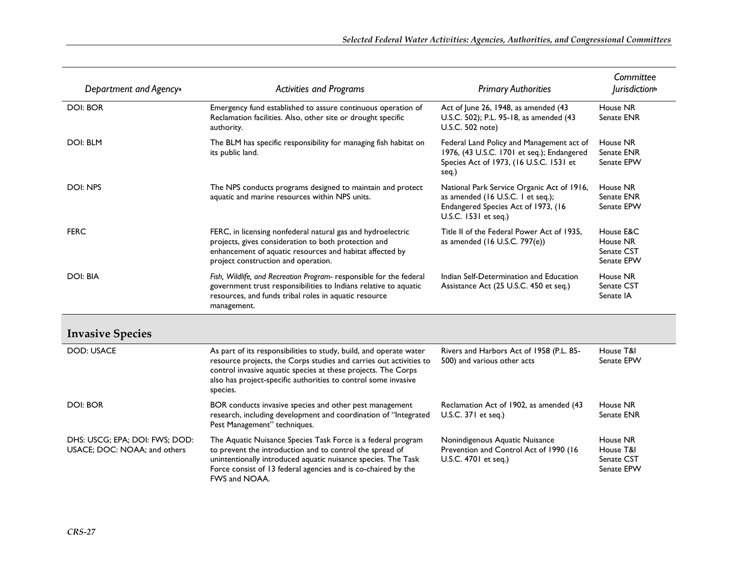| Department and Agency <sup>a</sup>                             | <b>Activities and Programs</b>                                                                                                                                                                                                                                                          | <b>Primary Authorities</b>                                                                                                                     | Committee<br><i>lurisdiction</i> <sup>b</sup>     |
|----------------------------------------------------------------|-----------------------------------------------------------------------------------------------------------------------------------------------------------------------------------------------------------------------------------------------------------------------------------------|------------------------------------------------------------------------------------------------------------------------------------------------|---------------------------------------------------|
| <b>DOI: BOR</b>                                                | Emergency fund established to assure continuous operation of<br>Reclamation facilities. Also, other site or drought specific<br>authority.                                                                                                                                              | Act of June 26, 1948, as amended (43<br>U.S.C. 502); P.L. 95-18, as amended (43<br>U.S.C. 502 note)                                            | House NR<br>Senate ENR                            |
| <b>DOI: BLM</b>                                                | The BLM has specific responsibility for managing fish habitat on<br>its public land.                                                                                                                                                                                                    | Federal Land Policy and Management act of<br>1976, (43 U.S.C. 1701 et seq.); Endangered<br>Species Act of 1973, (16 U.S.C. 1531 et<br>seq.)    | House NR<br>Senate ENR<br>Senate EPW              |
| DOI: NPS                                                       | The NPS conducts programs designed to maintain and protect<br>aquatic and marine resources within NPS units.                                                                                                                                                                            | National Park Service Organic Act of 1916,<br>as amended (16 U.S.C. 1 et seq.);<br>Endangered Species Act of 1973, (16<br>U.S.C. 1531 et seq.) | House NR<br>Senate ENR<br>Senate EPW              |
| <b>FERC</b>                                                    | FERC, in licensing nonfederal natural gas and hydroelectric<br>projects, gives consideration to both protection and<br>enhancement of aquatic resources and habitat affected by<br>project construction and operation.                                                                  | Title II of the Federal Power Act of 1935,<br>as amended $(16$ U.S.C. 797 $(e)$ )                                                              | House E&C<br>House NR<br>Senate CST<br>Senate EPW |
| <b>DOI: BIA</b>                                                | Fish, Wildlife, and Recreation Program- responsible for the federal<br>government trust responsibilities to Indians relative to aquatic<br>resources, and funds tribal roles in aquatic resource<br>management.                                                                         | Indian Self-Determination and Education<br>Assistance Act (25 U.S.C. 450 et seq.)                                                              | House NR<br>Senate CST<br>Senate IA               |
| <b>Invasive Species</b>                                        |                                                                                                                                                                                                                                                                                         |                                                                                                                                                |                                                   |
| <b>DOD: USACE</b>                                              | As part of its responsibilities to study, build, and operate water<br>resource projects, the Corps studies and carries out activities to<br>control invasive aquatic species at these projects. The Corps<br>also has project-specific authorities to control some invasive<br>species. | Rivers and Harbors Act of 1958 (P.L. 85-<br>500) and various other acts                                                                        | House T&I<br>Senate EPW                           |
| <b>DOI: BOR</b>                                                | BOR conducts invasive species and other pest management<br>research, including development and coordination of "Integrated<br>Pest Management" techniques.                                                                                                                              | Reclamation Act of 1902, as amended (43<br>U.S.C. 371 et seq.)                                                                                 | House NR<br>Senate ENR                            |
| DHS: USCG; EPA; DOI: FWS; DOD:<br>USACE; DOC: NOAA; and others | The Aquatic Nuisance Species Task Force is a federal program<br>to prevent the introduction and to control the spread of<br>unintentionally introduced aquatic nuisance species. The Task<br>Force consist of 13 federal agencies and is co-chaired by the<br>FWS and NOAA.             | Nonindigenous Aquatic Nuisance<br>Prevention and Control Act of 1990 (16<br>U.S.C. 4701 et seq.)                                               | House NR<br>House T&I<br>Senate CST<br>Senate EPW |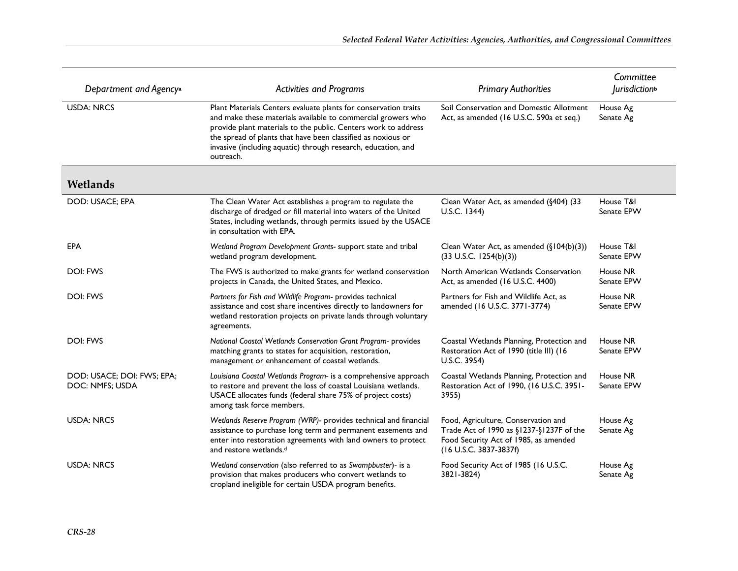| Department and Agency <sup>a</sup>            | <b>Activities and Programs</b>                                                                                                                                                                                                                                                                                                                  | <b>Primary Authorities</b>                                                                                                                         | Committee<br><i>urisdiction</i> <sup>b</sup> |
|-----------------------------------------------|-------------------------------------------------------------------------------------------------------------------------------------------------------------------------------------------------------------------------------------------------------------------------------------------------------------------------------------------------|----------------------------------------------------------------------------------------------------------------------------------------------------|----------------------------------------------|
| <b>USDA: NRCS</b>                             | Plant Materials Centers evaluate plants for conservation traits<br>and make these materials available to commercial growers who<br>provide plant materials to the public. Centers work to address<br>the spread of plants that have been classified as noxious or<br>invasive (including aquatic) through research, education, and<br>outreach. | Soil Conservation and Domestic Allotment<br>Act, as amended (16 U.S.C. 590a et seq.)                                                               | House Ag<br>Senate Ag                        |
| Wetlands                                      |                                                                                                                                                                                                                                                                                                                                                 |                                                                                                                                                    |                                              |
| DOD: USACE; EPA                               | The Clean Water Act establishes a program to regulate the<br>discharge of dredged or fill material into waters of the United<br>States, including wetlands, through permits issued by the USACE<br>in consultation with EPA.                                                                                                                    | Clean Water Act, as amended (§404) (33<br>U.S.C. 1344)                                                                                             | House T&I<br>Senate EPW                      |
| <b>EPA</b>                                    | Wetland Program Development Grants- support state and tribal<br>wetland program development.                                                                                                                                                                                                                                                    | Clean Water Act, as amended $(\S104(b)(3))$<br>$(33 \text{ U.S.C. } 1254(b)(3))$                                                                   | House T&I<br>Senate EPW                      |
| DOI: FWS                                      | The FWS is authorized to make grants for wetland conservation<br>projects in Canada, the United States, and Mexico.                                                                                                                                                                                                                             | North American Wetlands Conservation<br>Act, as amended (16 U.S.C. 4400)                                                                           | House NR<br>Senate EPW                       |
| DOI: FWS                                      | Partners for Fish and Wildlife Program- provides technical<br>assistance and cost share incentives directly to landowners for<br>wetland restoration projects on private lands through voluntary<br>agreements.                                                                                                                                 | Partners for Fish and Wildlife Act, as<br>amended (16 U.S.C. 3771-3774)                                                                            | House NR<br>Senate EPW                       |
| <b>DOI: FWS</b>                               | National Coastal Wetlands Conservation Grant Program- provides<br>matching grants to states for acquisition, restoration,<br>management or enhancement of coastal wetlands.                                                                                                                                                                     | Coastal Wetlands Planning, Protection and<br>Restoration Act of 1990 (title III) (16<br>U.S.C. 3954)                                               | House NR<br>Senate EPW                       |
| DOD: USACE; DOI: FWS; EPA;<br>DOC: NMFS; USDA | Louisiana Coastal Wetlands Program- is a comprehensive approach<br>to restore and prevent the loss of coastal Louisiana wetlands.<br>USACE allocates funds (federal share 75% of project costs)<br>among task force members.                                                                                                                    | Coastal Wetlands Planning, Protection and<br>Restoration Act of 1990, (16 U.S.C. 3951-<br>3955)                                                    | House NR<br>Senate EPW                       |
| <b>USDA: NRCS</b>                             | Wetlands Reserve Program (WRP)- provides technical and financial<br>assistance to purchase long term and permanent easements and<br>enter into restoration agreements with land owners to protect<br>and restore wetlands. <sup>d</sup>                                                                                                         | Food, Agriculture, Conservation and<br>Trade Act of 1990 as §1237-§1237F of the<br>Food Security Act of 1985, as amended<br>(16 U.S.C. 3837-3837f) | House Ag<br>Senate Ag                        |
| <b>USDA: NRCS</b>                             | Wetland conservation (also referred to as Swampbuster)- is a<br>provision that makes producers who convert wetlands to<br>cropland ineligible for certain USDA program benefits.                                                                                                                                                                | Food Security Act of 1985 (16 U.S.C.<br>3821-3824)                                                                                                 | House Ag<br>Senate Ag                        |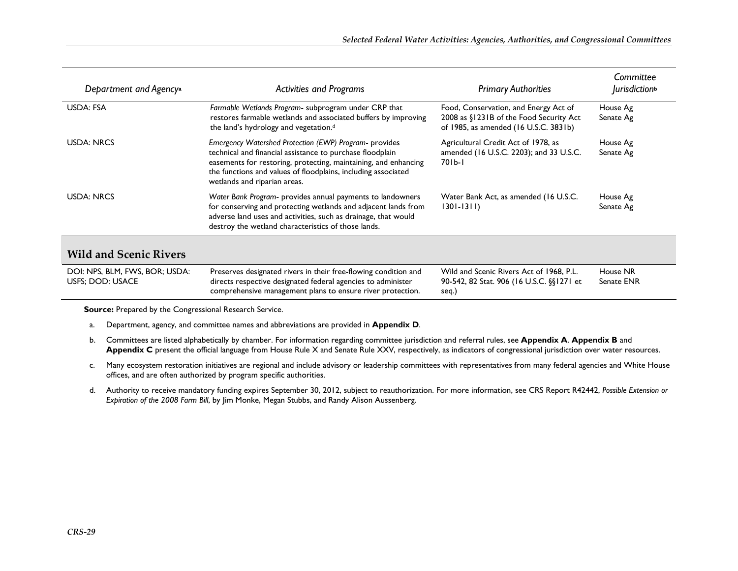| Department and Agency <sup>a</sup>                        | <b>Activities and Programs</b>                                                                                                                                                                                                                                                          | <b>Primary Authorities</b>                                                                                                | Committee<br><i>lurisdiction</i> <sup>b</sup> |
|-----------------------------------------------------------|-----------------------------------------------------------------------------------------------------------------------------------------------------------------------------------------------------------------------------------------------------------------------------------------|---------------------------------------------------------------------------------------------------------------------------|-----------------------------------------------|
| USDA: FSA                                                 | Farmable Wetlands Program- subprogram under CRP that<br>restores farmable wetlands and associated buffers by improving<br>the land's hydrology and vegetation. <sup>d</sup>                                                                                                             | Food, Conservation, and Energy Act of<br>2008 as §1231B of the Food Security Act<br>of 1985, as amended (16 U.S.C. 3831b) | House Ag<br>Senate Ag                         |
| USDA: NRCS                                                | Emergency Watershed Protection (EWP) Program- provides<br>technical and financial assistance to purchase floodplain<br>easements for restoring, protecting, maintaining, and enhancing<br>the functions and values of floodplains, including associated<br>wetlands and riparian areas. | Agricultural Credit Act of 1978, as<br>amended (16 U.S.C. 2203); and 33 U.S.C.<br>701b-1                                  | House Ag<br>Senate Ag                         |
| <b>USDA: NRCS</b>                                         | Water Bank Program- provides annual payments to landowners<br>for conserving and protecting wetlands and adjacent lands from<br>adverse land uses and activities, such as drainage, that would<br>destroy the wetland characteristics of those lands.                                   | Water Bank Act, as amended (16 U.S.C.<br>$1301 - 1311$                                                                    | House Ag<br>Senate Ag                         |
| <b>Wild and Scenic Rivers</b>                             |                                                                                                                                                                                                                                                                                         |                                                                                                                           |                                               |
| DOI: NPS, BLM, FWS, BOR; USDA:<br><b>USFS; DOD: USACE</b> | Preserves designated rivers in their free-flowing condition and<br>directs respective designated federal agencies to administer<br>comprehensive management plans to ensure river protection.                                                                                           | Wild and Scenic Rivers Act of 1968, P.L.<br>90-542, 82 Stat. 906 (16 U.S.C. §§1271 et<br>seq.)                            | House NR<br>Senate ENR                        |

**Source:** Prepared by the Congressional Research Service.

- a. Department, agency, and committee names and abbreviations are provided in **Appendix D**.
- b. Committees are listed alphabetically by chamber. For information regarding committee jurisdiction and referral rules, see **Appendix A**. **Appendix B** and **Appendix C** present the official language from House Rule X and Senate Rule XXV, respectively, as indicators of congressional jurisdiction over water resources.
- c. Many ecosystem restoration initiatives are regional and include advisory or leadership committees with representatives from many federal agencies and White House offices, and are often authorized by program specific authorities.
- d. Authority to receive mandatory funding expires September 30, 2012, subject to reauthorization. For more information, see CRS Report R42442, *Possible Extension or Expiration of the 2008 Farm Bill*, by Jim Monke, Megan Stubbs, and Randy Alison Aussenberg.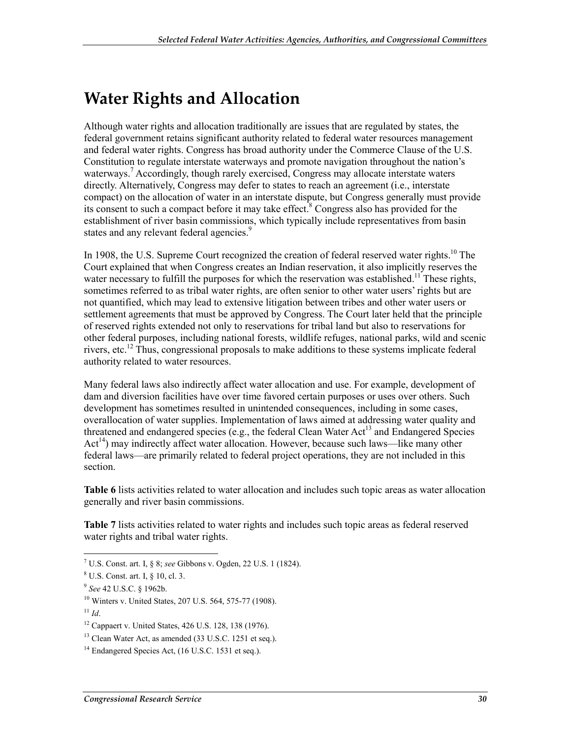## **Water Rights and Allocation**

Although water rights and allocation traditionally are issues that are regulated by states, the federal government retains significant authority related to federal water resources management and federal water rights. Congress has broad authority under the Commerce Clause of the U.S. Constitution to regulate interstate waterways and promote navigation throughout the nation's waterways.<sup>7</sup> Accordingly, though rarely exercised, Congress may allocate interstate waters directly. Alternatively, Congress may defer to states to reach an agreement (i.e., interstate compact) on the allocation of water in an interstate dispute, but Congress generally must provide its consent to such a compact before it may take effect.<sup>8</sup> Congress also has provided for the establishment of river basin commissions, which typically include representatives from basin states and any relevant federal agencies.<sup>9</sup>

In 1908, the U.S. Supreme Court recognized the creation of federal reserved water rights.<sup>10</sup> The Court explained that when Congress creates an Indian reservation, it also implicitly reserves the water necessary to fulfill the purposes for which the reservation was established.<sup>11</sup> These rights, sometimes referred to as tribal water rights, are often senior to other water users' rights but are not quantified, which may lead to extensive litigation between tribes and other water users or settlement agreements that must be approved by Congress. The Court later held that the principle of reserved rights extended not only to reservations for tribal land but also to reservations for other federal purposes, including national forests, wildlife refuges, national parks, wild and scenic rivers, etc.12 Thus, congressional proposals to make additions to these systems implicate federal authority related to water resources.

Many federal laws also indirectly affect water allocation and use. For example, development of dam and diversion facilities have over time favored certain purposes or uses over others. Such development has sometimes resulted in unintended consequences, including in some cases, overallocation of water supplies. Implementation of laws aimed at addressing water quality and threatened and endangered species (e.g., the federal Clean Water Act<sup>13</sup> and Endangered Species  $Act<sup>14</sup>$ ) may indirectly affect water allocation. However, because such laws—like many other federal laws—are primarily related to federal project operations, they are not included in this section.

**Table 6** lists activities related to water allocation and includes such topic areas as water allocation generally and river basin commissions.

**Table 7** lists activities related to water rights and includes such topic areas as federal reserved water rights and tribal water rights.

 7 U.S. Const. art. I, § 8; *see* Gibbons v. Ogden, 22 U.S. 1 (1824).

<sup>8</sup> U.S. Const. art. I, § 10, cl. 3.

<sup>9</sup> *See* 42 U.S.C. § 1962b.

<sup>10</sup> Winters v. United States, 207 U.S. 564, 575-77 (1908).

 $11$  *Id*.

<sup>12</sup> Cappaert v. United States, 426 U.S. 128, 138 (1976).

<sup>&</sup>lt;sup>13</sup> Clean Water Act, as amended (33 U.S.C. 1251 et seq.).

 $14$  Endangered Species Act,  $(16$  U.S.C. 1531 et seq.).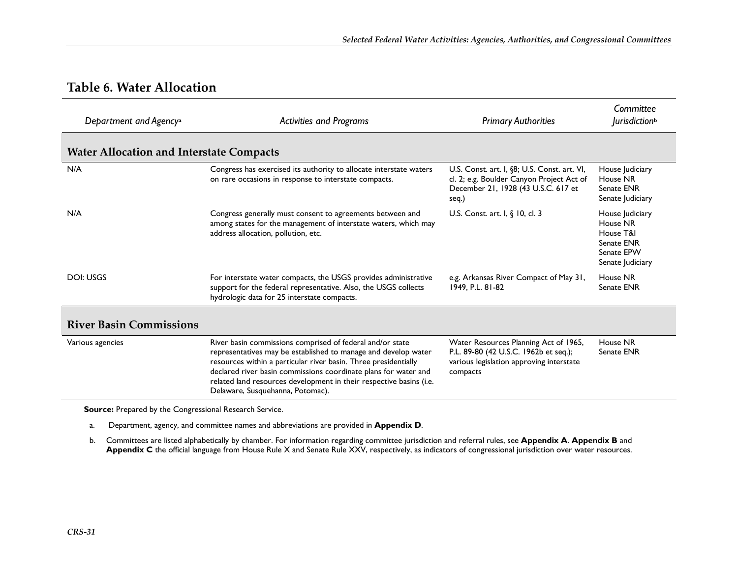#### **Table 6. Water Allocation**

| Department and Agency <sup>a</sup>              | <b>Activities and Programs</b>                                                                                                                                                                                                                                                                                                                                               | <b>Primary Authorities</b>                                                                                                                | Committee<br><i>lurisdiction</i> <sup>b</sup>                                            |
|-------------------------------------------------|------------------------------------------------------------------------------------------------------------------------------------------------------------------------------------------------------------------------------------------------------------------------------------------------------------------------------------------------------------------------------|-------------------------------------------------------------------------------------------------------------------------------------------|------------------------------------------------------------------------------------------|
| <b>Water Allocation and Interstate Compacts</b> |                                                                                                                                                                                                                                                                                                                                                                              |                                                                                                                                           |                                                                                          |
| N/A                                             | Congress has exercised its authority to allocate interstate waters<br>on rare occasions in response to interstate compacts.                                                                                                                                                                                                                                                  | U.S. Const. art. I, §8; U.S. Const. art. VI,<br>cl. 2; e.g. Boulder Canyon Project Act of<br>December 21, 1928 (43 U.S.C. 617 et<br>seq.) | House Judiciary<br>House NR<br>Senate ENR<br>Senate Judiciary                            |
| N/A                                             | Congress generally must consent to agreements between and<br>among states for the management of interstate waters, which may<br>address allocation, pollution, etc.                                                                                                                                                                                                          | U.S. Const. art. I, $\S$ 10, cl. 3                                                                                                        | House Judiciary<br>House NR<br>House T&I<br>Senate ENR<br>Senate EPW<br>Senate Judiciary |
| DOI: USGS                                       | For interstate water compacts, the USGS provides administrative<br>support for the federal representative. Also, the USGS collects<br>hydrologic data for 25 interstate compacts.                                                                                                                                                                                            | e.g. Arkansas River Compact of May 31,<br>1949, P.L. 81-82                                                                                | House NR<br>Senate ENR                                                                   |
| <b>River Basin Commissions</b>                  |                                                                                                                                                                                                                                                                                                                                                                              |                                                                                                                                           |                                                                                          |
| Various agencies                                | River basin commissions comprised of federal and/or state<br>representatives may be established to manage and develop water<br>resources within a particular river basin. Three presidentially<br>declared river basin commissions coordinate plans for water and<br>related land resources development in their respective basins (i.e.<br>Delaware, Susquehanna, Potomac). | Water Resources Planning Act of 1965,<br>P.L. 89-80 (42 U.S.C. 1962b et seq.);<br>various legislation approving interstate<br>compacts    | House NR<br>Senate ENR                                                                   |

**Source:** Prepared by the Congressional Research Service.

a. Department, agency, and committee names and abbreviations are provided in **Appendix D**.

b. Committees are listed alphabetically by chamber. For information regarding committee jurisdiction and referral rules, see **Appendix A**. **Appendix B** and **Appendix C** the official language from House Rule X and Senate Rule XXV, respectively, as indicators of congressional jurisdiction over water resources.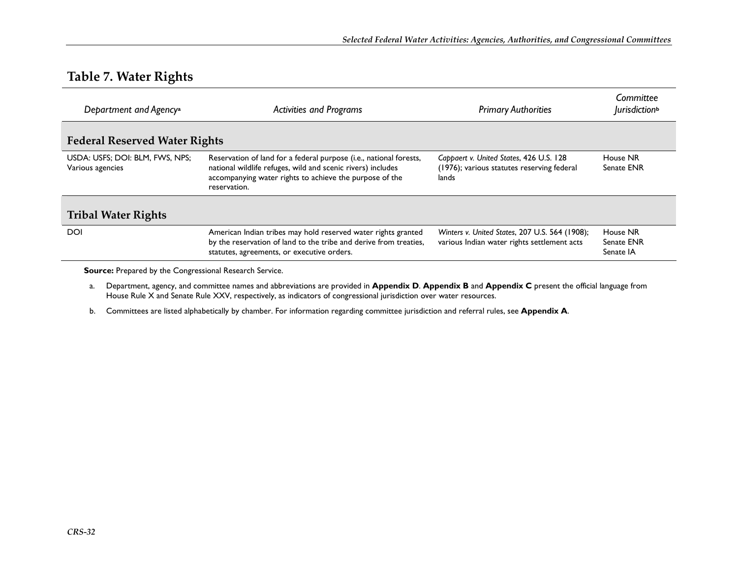#### **Table 7. Water Rights**

| Department and Agency <sup>a</sup>                  | <b>Activities and Programs</b>                                                                                                                                                                               | <b>Primary Authorities</b>                                                                     | Committee<br><i>lurisdiction</i> <sup>b</sup> |
|-----------------------------------------------------|--------------------------------------------------------------------------------------------------------------------------------------------------------------------------------------------------------------|------------------------------------------------------------------------------------------------|-----------------------------------------------|
| <b>Federal Reserved Water Rights</b>                |                                                                                                                                                                                                              |                                                                                                |                                               |
| USDA: USFS; DOI: BLM, FWS, NPS;<br>Various agencies | Reservation of land for a federal purpose (i.e., national forests,<br>national wildlife refuges, wild and scenic rivers) includes<br>accompanying water rights to achieve the purpose of the<br>reservation. | Cappaert v. United States, 426 U.S. 128<br>(1976); various statutes reserving federal<br>lands | House NR<br>Senate ENR                        |
| <b>Tribal Water Rights</b>                          |                                                                                                                                                                                                              |                                                                                                |                                               |
| <b>DOI</b>                                          | American Indian tribes may hold reserved water rights granted<br>by the reservation of land to the tribe and derive from treaties,<br>statutes, agreements, or executive orders.                             | Winters v. United States, 207 U.S. 564 (1908);<br>various Indian water rights settlement acts  | House NR<br>Senate ENR<br>Senate IA           |

**Source:** Prepared by the Congressional Research Service.

- a. Department, agency, and committee names and abbreviations are provided in **Appendix D**. **Appendix B** and **Appendix C** present the official language from House Rule X and Senate Rule XXV, respectively, as indicators of congressional jurisdiction over water resources.
- b. Committees are listed alphabetically by chamber. For information regarding committee jurisdiction and referral rules, see **Appendix A**.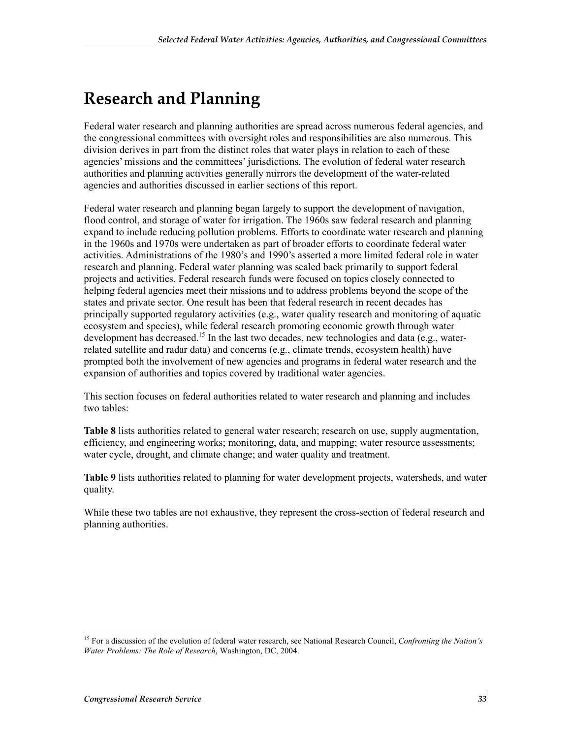## **Research and Planning**

Federal water research and planning authorities are spread across numerous federal agencies, and the congressional committees with oversight roles and responsibilities are also numerous. This division derives in part from the distinct roles that water plays in relation to each of these agencies' missions and the committees' jurisdictions. The evolution of federal water research authorities and planning activities generally mirrors the development of the water-related agencies and authorities discussed in earlier sections of this report.

Federal water research and planning began largely to support the development of navigation, flood control, and storage of water for irrigation. The 1960s saw federal research and planning expand to include reducing pollution problems. Efforts to coordinate water research and planning in the 1960s and 1970s were undertaken as part of broader efforts to coordinate federal water activities. Administrations of the 1980's and 1990's asserted a more limited federal role in water research and planning. Federal water planning was scaled back primarily to support federal projects and activities. Federal research funds were focused on topics closely connected to helping federal agencies meet their missions and to address problems beyond the scope of the states and private sector. One result has been that federal research in recent decades has principally supported regulatory activities (e.g., water quality research and monitoring of aquatic ecosystem and species), while federal research promoting economic growth through water development has decreased.<sup>15</sup> In the last two decades, new technologies and data (e.g., waterrelated satellite and radar data) and concerns (e.g., climate trends, ecosystem health) have prompted both the involvement of new agencies and programs in federal water research and the expansion of authorities and topics covered by traditional water agencies.

This section focuses on federal authorities related to water research and planning and includes two tables:

**Table 8** lists authorities related to general water research; research on use, supply augmentation, efficiency, and engineering works; monitoring, data, and mapping; water resource assessments; water cycle, drought, and climate change; and water quality and treatment.

**Table 9** lists authorities related to planning for water development projects, watersheds, and water quality.

While these two tables are not exhaustive, they represent the cross-section of federal research and planning authorities.

1

<sup>15</sup> For a discussion of the evolution of federal water research, see National Research Council, *Confronting the Nation's Water Problems: The Role of Research*, Washington, DC, 2004.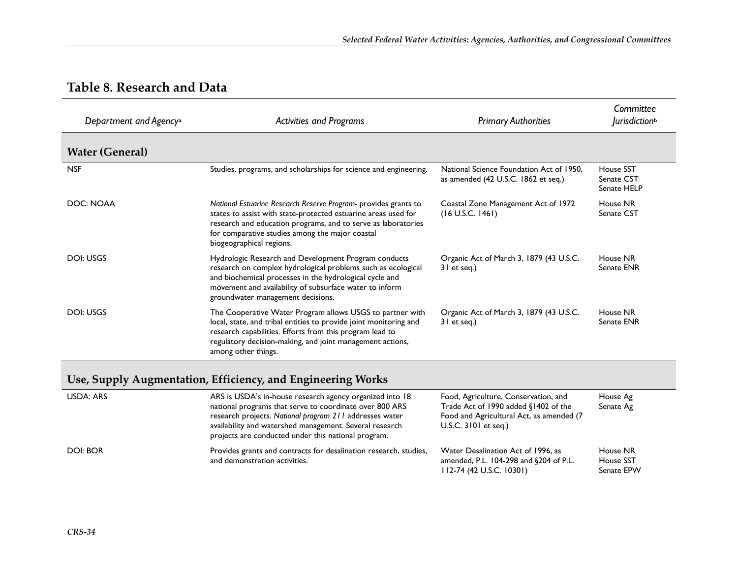#### **Table 8. Research and Data**

| Department and Agency <sup>a</sup> | <b>Activities and Programs</b>                                                                                                                                                                                                                                                    | <b>Primary Authorities</b>                                                      | Committee<br><i>lurisdiction</i> <sup>b</sup> |
|------------------------------------|-----------------------------------------------------------------------------------------------------------------------------------------------------------------------------------------------------------------------------------------------------------------------------------|---------------------------------------------------------------------------------|-----------------------------------------------|
| <b>Water (General)</b>             |                                                                                                                                                                                                                                                                                   |                                                                                 |                                               |
| <b>NSF</b>                         | Studies, programs, and scholarships for science and engineering.                                                                                                                                                                                                                  | National Science Foundation Act of 1950.<br>as amended (42 U.S.C. 1862 et seq.) | House SST<br>Senate CST<br>Senate HELP        |
| DOC: NOAA                          | National Estuarine Research Reserve Program- provides grants to<br>states to assist with state-protected estuarine areas used for<br>research and education programs, and to serve as laboratories<br>for comparative studies among the major coastal<br>biogeographical regions. | Coastal Zone Management Act of 1972<br>$(16$ U.S.C. $1461)$                     | House NR<br>Senate CST                        |
| DOI: USGS                          | Hydrologic Research and Development Program conducts<br>research on complex hydrological problems such as ecological<br>and biochemical processes in the hydrological cycle and<br>movement and availability of subsurface water to inform<br>groundwater management decisions.   | Organic Act of March 3, 1879 (43 U.S.C.<br>31 et seq.)                          | House NR<br>Senate ENR                        |
| DOI: USGS                          | The Cooperative Water Program allows USGS to partner with<br>local, state, and tribal entities to provide joint monitoring and<br>research capabilities. Efforts from this program lead to<br>regulatory decision-making, and joint management actions,<br>among other things.    | Organic Act of March 3, 1879 (43 U.S.C.<br>31 et seq.)                          | House NR<br>Senate ENR                        |

### **Use, Supply Augmentation, Efficiency, and Engineering Works**

| USDA: ARS | ARS is USDA's in-house research agency organized into 18<br>national programs that serve to coordinate over 800 ARS<br>research projects. National program 211 addresses water<br>availability and watershed management. Several research<br>projects are conducted under this national program. | Food, Agriculture, Conservation, and<br>Trade Act of 1990 added §1402 of the<br>Food and Agricultural Act, as amended (7<br>U.S.C. $3101$ et seq.) | House Ag<br>Senate Ag                      |
|-----------|--------------------------------------------------------------------------------------------------------------------------------------------------------------------------------------------------------------------------------------------------------------------------------------------------|----------------------------------------------------------------------------------------------------------------------------------------------------|--------------------------------------------|
| DOI: BOR  | Provides grants and contracts for desalination research, studies,<br>and demonstration activities.                                                                                                                                                                                               | Water Desalination Act of 1996, as<br>amended, P.L. 104-298 and §204 of P.L.<br>112-74 (42 U.S.C. 10301)                                           | House NR<br><b>House SST</b><br>Senate EPW |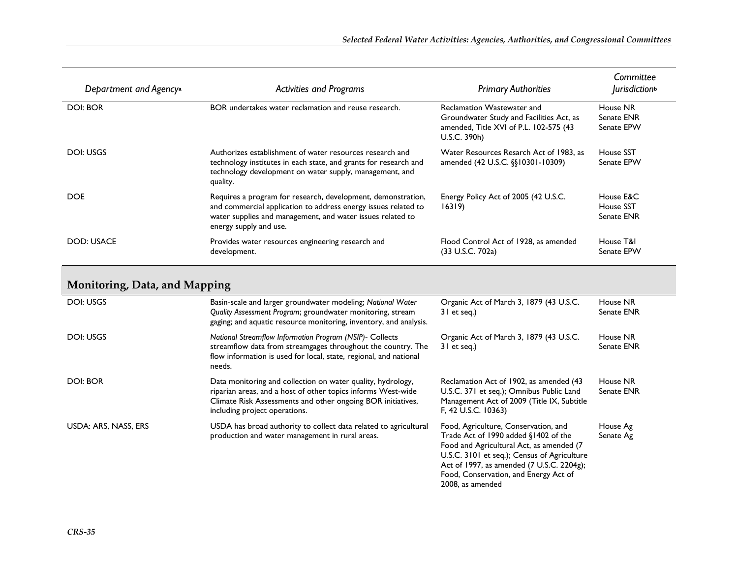| Department and Agency <sup>a</sup> | <b>Activities and Programs</b>                                                                                                                                                                                         | <b>Primary Authorities</b>                                                                                                              | Committee<br><i>lurisdiction</i> <sup>b</sup> |
|------------------------------------|------------------------------------------------------------------------------------------------------------------------------------------------------------------------------------------------------------------------|-----------------------------------------------------------------------------------------------------------------------------------------|-----------------------------------------------|
| <b>DOI: BOR</b>                    | BOR undertakes water reclamation and reuse research.                                                                                                                                                                   | <b>Reclamation Wastewater and</b><br>Groundwater Study and Facilities Act, as<br>amended, Title XVI of P.L. 102-575 (43<br>U.S.C. 390h) | House NR<br>Senate ENR<br>Senate EPW          |
| DOI: USGS                          | Authorizes establishment of water resources research and<br>technology institutes in each state, and grants for research and<br>technology development on water supply, management, and<br>quality.                    | Water Resources Resarch Act of 1983, as<br>amended (42 U.S.C. §§10301-10309)                                                            | House SST<br>Senate EPW                       |
| <b>DOE</b>                         | Requires a program for research, development, demonstration,<br>and commercial application to address energy issues related to<br>water supplies and management, and water issues related to<br>energy supply and use. | Energy Policy Act of 2005 (42 U.S.C.<br>16319                                                                                           | House E&C<br>House SST<br>Senate ENR          |
| DOD: USACE                         | Provides water resources engineering research and<br>development.                                                                                                                                                      | Flood Control Act of 1928, as amended<br>(33 U.S.C. 702a)                                                                               | House T&I<br>Senate EPW                       |

#### **Monitoring, Data, and Mapping**

| DOI: USGS            | Basin-scale and larger groundwater modeling; National Water<br>Quality Assessment Program; groundwater monitoring, stream<br>gaging; and aquatic resource monitoring, inventory, and analysis.                              | Organic Act of March 3, 1879 (43 U.S.C.<br>31 et seg.)                                                                                                                                                                                                                            | House NR<br>Senate ENR |
|----------------------|-----------------------------------------------------------------------------------------------------------------------------------------------------------------------------------------------------------------------------|-----------------------------------------------------------------------------------------------------------------------------------------------------------------------------------------------------------------------------------------------------------------------------------|------------------------|
| DOI: USGS            | National Streamflow Information Program (NSIP)- Collects<br>streamflow data from streamgages throughout the country. The<br>flow information is used for local, state, regional, and national<br>needs.                     | Organic Act of March 3, 1879 (43 U.S.C.<br>31 et seq.)                                                                                                                                                                                                                            | House NR<br>Senate ENR |
| DOI: BOR             | Data monitoring and collection on water quality, hydrology,<br>riparian areas, and a host of other topics informs West-wide<br>Climate Risk Assessments and other ongoing BOR initiatives,<br>including project operations. | Reclamation Act of 1902, as amended (43<br>U.S.C. 371 et seq.); Omnibus Public Land<br>Management Act of 2009 (Title IX, Subtitle<br>F, 42 U.S.C. 10363)                                                                                                                          | House NR<br>Senate ENR |
| USDA: ARS, NASS, ERS | USDA has broad authority to collect data related to agricultural<br>production and water management in rural areas.                                                                                                         | Food, Agriculture, Conservation, and<br>Trade Act of 1990 added §1402 of the<br>Food and Agricultural Act, as amended (7<br>U.S.C. 3101 et seq.); Census of Agriculture<br>Act of 1997, as amended (7 U.S.C. 2204g);<br>Food, Conservation, and Energy Act of<br>2008, as amended | House Ag<br>Senate Ag  |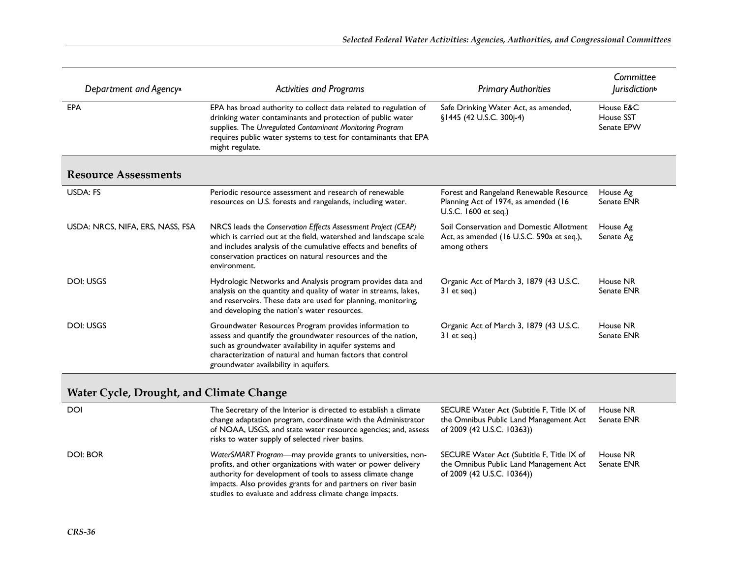| Department and Agency <sup>a</sup> | <b>Activities and Programs</b>                                                                                                                                                                                                                                                          | <b>Primary Authorities</b>                                                                              | Committee<br><i>lurisdiction</i> <sup>b</sup> |
|------------------------------------|-----------------------------------------------------------------------------------------------------------------------------------------------------------------------------------------------------------------------------------------------------------------------------------------|---------------------------------------------------------------------------------------------------------|-----------------------------------------------|
| EPA                                | EPA has broad authority to collect data related to regulation of<br>drinking water contaminants and protection of public water<br>supplies. The Unregulated Contaminant Monitoring Program<br>requires public water systems to test for contaminants that EPA<br>might regulate.        | Safe Drinking Water Act, as amended,<br>§1445 (42 U.S.C. 300j-4)                                        | House E&C<br>House SST<br>Senate EPW          |
| <b>Resource Assessments</b>        |                                                                                                                                                                                                                                                                                         |                                                                                                         |                                               |
| USDA: FS                           | Periodic resource assessment and research of renewable<br>resources on U.S. forests and rangelands, including water.                                                                                                                                                                    | Forest and Rangeland Renewable Resource<br>Planning Act of 1974, as amended (16<br>U.S.C. 1600 et seg.) | House Ag<br>Senate ENR                        |
| USDA: NRCS, NIFA, ERS, NASS, FSA   | NRCS leads the Conservation Effects Assessment Project (CEAP)<br>which is carried out at the field, watershed and landscape scale<br>and includes analysis of the cumulative effects and benefits of<br>conservation practices on natural resources and the<br>environment.             | Soil Conservation and Domestic Allotment<br>Act, as amended (16 U.S.C. 590a et seq.),<br>among others   | House Ag<br>Senate Ag                         |
| DOI: USGS                          | Hydrologic Networks and Analysis program provides data and<br>analysis on the quantity and quality of water in streams, lakes,<br>and reservoirs. These data are used for planning, monitoring,<br>and developing the nation's water resources.                                         | Organic Act of March 3, 1879 (43 U.S.C.<br>31 et seq.)                                                  | House NR<br>Senate ENR                        |
| DOI: USGS                          | Groundwater Resources Program provides information to<br>assess and quantify the groundwater resources of the nation,<br>such as groundwater availability in aquifer systems and<br>characterization of natural and human factors that control<br>groundwater availability in aquifers. | Organic Act of March 3, 1879 (43 U.S.C.<br>31 et seq.)                                                  | House NR<br>Senate ENR                        |

#### **Water Cycle, Drought, and Climate Change**

| <b>DOI</b> | The Secretary of the Interior is directed to establish a climate<br>change adaptation program, coordinate with the Administrator<br>of NOAA, USGS, and state water resource agencies; and, assess<br>risks to water supply of selected river basins.                                                                    | SECURE Water Act (Subtitle F, Title IX of<br>the Omnibus Public Land Management Act<br>of 2009 (42 U.S.C. 10363)) | House NR<br>Senate ENR |
|------------|-------------------------------------------------------------------------------------------------------------------------------------------------------------------------------------------------------------------------------------------------------------------------------------------------------------------------|-------------------------------------------------------------------------------------------------------------------|------------------------|
| DOI: BOR   | WaterSMART Program—may provide grants to universities, non-<br>profits, and other organizations with water or power delivery<br>authority for development of tools to assess climate change<br>impacts. Also provides grants for and partners on river basin<br>studies to evaluate and address climate change impacts. | SECURE Water Act (Subtitle F, Title IX of<br>the Omnibus Public Land Management Act<br>of 2009 (42 U.S.C. 10364)) | House NR<br>Senate ENR |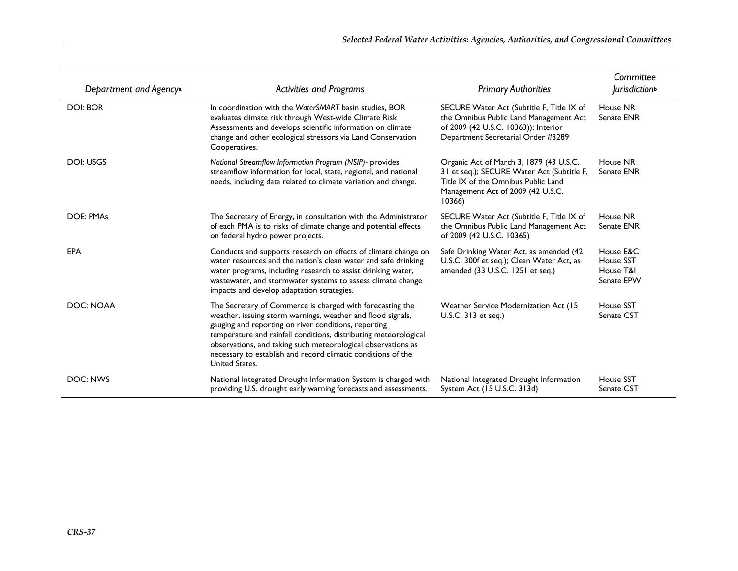| Department and Agency <sup>a</sup> | <b>Activities and Programs</b>                                                                                                                                                                                                                                                                                                                                                                         |                                                                                                                                                                            | Committee<br>Jurisdiction <sup>b</sup>            |  |
|------------------------------------|--------------------------------------------------------------------------------------------------------------------------------------------------------------------------------------------------------------------------------------------------------------------------------------------------------------------------------------------------------------------------------------------------------|----------------------------------------------------------------------------------------------------------------------------------------------------------------------------|---------------------------------------------------|--|
| <b>DOI: BOR</b>                    | In coordination with the WaterSMART basin studies, BOR<br>evaluates climate risk through West-wide Climate Risk<br>Assessments and develops scientific information on climate<br>change and other ecological stressors via Land Conservation<br>Cooperatives.                                                                                                                                          | SECURE Water Act (Subtitle F, Title IX of<br>the Omnibus Public Land Management Act<br>of 2009 (42 U.S.C. 10363)); Interior<br>Department Secretarial Order #3289          | House NR<br>Senate ENR                            |  |
| DOI: USGS                          | National Streamflow Information Program (NSIP)- provides<br>streamflow information for local, state, regional, and national<br>needs, including data related to climate variation and change.                                                                                                                                                                                                          | Organic Act of March 3, 1879 (43 U.S.C.<br>31 et seq.); SECURE Water Act (Subtitle F,<br>Title IX of the Omnibus Public Land<br>Management Act of 2009 (42 U.S.C.<br>10366 | House NR<br>Senate ENR                            |  |
| <b>DOE: PMAs</b>                   | The Secretary of Energy, in consultation with the Administrator<br>of each PMA is to risks of climate change and potential effects<br>on federal hydro power projects.                                                                                                                                                                                                                                 | SECURE Water Act (Subtitle F, Title IX of<br>the Omnibus Public Land Management Act<br>of 2009 (42 U.S.C. 10365)                                                           | House NR<br>Senate ENR                            |  |
| <b>EPA</b>                         | Conducts and supports research on effects of climate change on<br>water resources and the nation's clean water and safe drinking<br>water programs, including research to assist drinking water,<br>wastewater, and stormwater systems to assess climate change<br>impacts and develop adaptation strategies.                                                                                          | Safe Drinking Water Act, as amended (42<br>U.S.C. 300f et seq.); Clean Water Act, as<br>amended (33 U.S.C. 1251 et seq.)                                                   | House E&C<br>House SST<br>House T&I<br>Senate EPW |  |
| DOC: NOAA                          | The Secretary of Commerce is charged with forecasting the<br>weather, issuing storm warnings, weather and flood signals,<br>gauging and reporting on river conditions, reporting<br>temperature and rainfall conditions, distributing meteorological<br>observations, and taking such meteorological observations as<br>necessary to establish and record climatic conditions of the<br>United States. | Weather Service Modernization Act (15)<br>U.S.C. 313 et seq.)                                                                                                              | House SST<br>Senate CST                           |  |
| DOC: NWS                           | National Integrated Drought Information System is charged with<br>providing U.S. drought early warning forecasts and assessments.                                                                                                                                                                                                                                                                      | National Integrated Drought Information<br>System Act (15 U.S.C. 313d)                                                                                                     | House SST<br>Senate CST                           |  |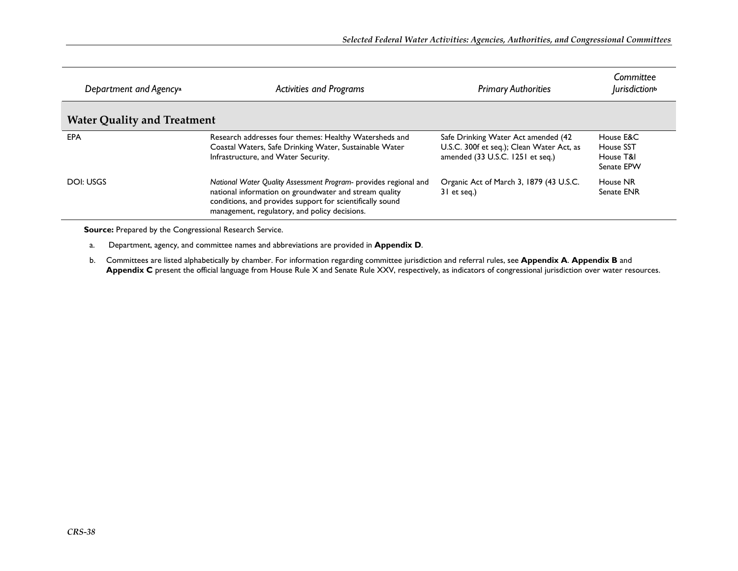| Department and Agency <sup>a</sup> | <b>Activities and Programs</b>                                                                                                                                                                                                           | <b>Primary Authorities</b>                                                                                           | Committee<br><i>lurisdiction</i> <sup>b</sup>     |
|------------------------------------|------------------------------------------------------------------------------------------------------------------------------------------------------------------------------------------------------------------------------------------|----------------------------------------------------------------------------------------------------------------------|---------------------------------------------------|
| <b>Water Quality and Treatment</b> |                                                                                                                                                                                                                                          |                                                                                                                      |                                                   |
| <b>EPA</b>                         | Research addresses four themes: Healthy Watersheds and<br>Coastal Waters, Safe Drinking Water, Sustainable Water<br>Infrastructure, and Water Security.                                                                                  | Safe Drinking Water Act amended (42<br>U.S.C. 300f et seq.); Clean Water Act, as<br>amended (33 U.S.C. 1251 et seq.) | House E&C<br>House SST<br>House T&I<br>Senate EPW |
| DOI: USGS                          | National Water Quality Assessment Program- provides regional and<br>national information on groundwater and stream quality<br>conditions, and provides support for scientifically sound<br>management, regulatory, and policy decisions. | Organic Act of March 3, 1879 (43 U.S.C.<br>31 et seg.)                                                               | House NR<br>Senate ENR                            |

**Source:** Prepared by the Congressional Research Service.

- a. Department, agency, and committee names and abbreviations are provided in **Appendix D**.
- b. Committees are listed alphabetically by chamber. For information regarding committee jurisdiction and referral rules, see **Appendix A**. **Appendix B** and **Appendix C** present the official language from House Rule X and Senate Rule XXV, respectively, as indicators of congressional jurisdiction over water resources.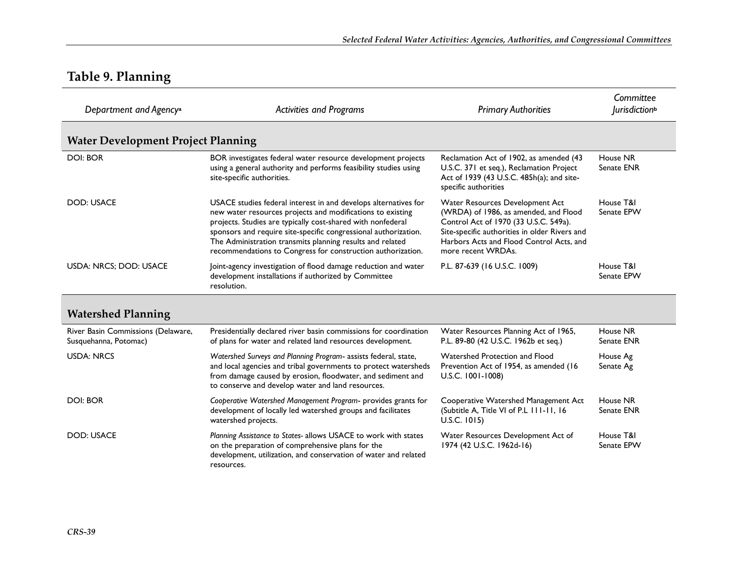### **Table 9. Planning**

| Department and Agency <sup>a</sup><br><b>Activities and Programs</b> |                                                                                                                                                                                                                                                                                                                                                                                             | <b>Primary Authorities</b>                                                                                                                                                                                                           | Committee<br><i>lurisdiction</i> <sup>b</sup> |
|----------------------------------------------------------------------|---------------------------------------------------------------------------------------------------------------------------------------------------------------------------------------------------------------------------------------------------------------------------------------------------------------------------------------------------------------------------------------------|--------------------------------------------------------------------------------------------------------------------------------------------------------------------------------------------------------------------------------------|-----------------------------------------------|
| <b>Water Development Project Planning</b>                            |                                                                                                                                                                                                                                                                                                                                                                                             |                                                                                                                                                                                                                                      |                                               |
| <b>DOI: BOR</b>                                                      | BOR investigates federal water resource development projects<br>using a general authority and performs feasibility studies using<br>site-specific authorities.                                                                                                                                                                                                                              | Reclamation Act of 1902, as amended (43<br>U.S.C. 371 et seq.), Reclamation Project<br>Act of 1939 (43 U.S.C. 485h(a); and site-<br>specific authorities                                                                             | House NR<br>Senate ENR                        |
| <b>DOD: USACE</b>                                                    | USACE studies federal interest in and develops alternatives for<br>new water resources projects and modifications to existing<br>projects. Studies are typically cost-shared with nonfederal<br>sponsors and require site-specific congressional authorization.<br>The Administration transmits planning results and related<br>recommendations to Congress for construction authorization. | Water Resources Development Act<br>(WRDA) of 1986, as amended, and Flood<br>Control Act of 1970 (33 U.S.C. 549a).<br>Site-specific authorities in older Rivers and<br>Harbors Acts and Flood Control Acts, and<br>more recent WRDAs. | House T&I<br>Senate EPW                       |
| USDA: NRCS; DOD: USACE                                               | Joint-agency investigation of flood damage reduction and water<br>development installations if authorized by Committee<br>resolution.                                                                                                                                                                                                                                                       | P.L. 87-639 (16 U.S.C. 1009)                                                                                                                                                                                                         | House T&I<br>Senate EPW                       |
| <b>Watershed Planning</b>                                            |                                                                                                                                                                                                                                                                                                                                                                                             |                                                                                                                                                                                                                                      |                                               |
| River Basin Commissions (Delaware,<br>Susquehanna, Potomac)          | Presidentially declared river basin commissions for coordination<br>of plans for water and related land resources development.                                                                                                                                                                                                                                                              | Water Resources Planning Act of 1965,<br>P.L. 89-80 (42 U.S.C. 1962b et seq.)                                                                                                                                                        | House NR<br>Senate ENR                        |
| <b>USDA: NRCS</b>                                                    | Watershed Surveys and Planning Program- assists federal, state,<br>and local agencies and tribal governments to protect watersheds<br>from damage caused by erosion, floodwater, and sediment and<br>to conserve and develop water and land resources.                                                                                                                                      | Watershed Protection and Flood<br>Prevention Act of 1954, as amended (16<br>U.S.C. 1001-1008)                                                                                                                                        | House Ag<br>Senate Ag                         |
| <b>DOI: BOR</b>                                                      | Cooperative Watershed Management Program- provides grants for<br>development of locally led watershed groups and facilitates<br>watershed projects.                                                                                                                                                                                                                                         | Cooperative Watershed Management Act<br>(Subtitle A, Title VI of P.L III-II, 16<br>$U.S.C.$ 1015)                                                                                                                                    | House NR<br>Senate ENR                        |
| <b>DOD: USACE</b>                                                    | Planning Assistance to States- allows USACE to work with states<br>on the preparation of comprehensive plans for the<br>development, utilization, and conservation of water and related<br>resources.                                                                                                                                                                                       | Water Resources Development Act of<br>1974 (42 U.S.C. 1962d-16)                                                                                                                                                                      | House T&I<br>Senate EPW                       |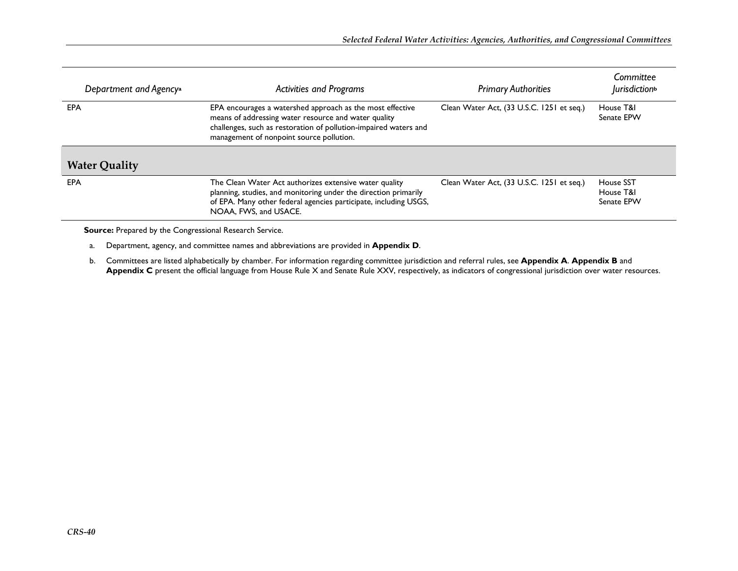| Department and Agency <sup>a</sup><br><b>Activities and Programs</b> |                                                                                                                                                                                                                                   | <b>Primary Authorities</b>                | Committee<br><i>lurisdiction</i> <sup>b</sup> |
|----------------------------------------------------------------------|-----------------------------------------------------------------------------------------------------------------------------------------------------------------------------------------------------------------------------------|-------------------------------------------|-----------------------------------------------|
| EPA                                                                  | EPA encourages a watershed approach as the most effective<br>means of addressing water resource and water quality<br>challenges, such as restoration of pollution-impaired waters and<br>management of nonpoint source pollution. | Clean Water Act, (33 U.S.C. 1251 et seq.) | House T&I<br>Senate EPW                       |
| <b>Water Quality</b>                                                 |                                                                                                                                                                                                                                   |                                           |                                               |
| <b>EPA</b>                                                           | The Clean Water Act authorizes extensive water quality<br>planning, studies, and monitoring under the direction primarily<br>of EPA. Many other federal agencies participate, including USGS,<br>NOAA, FWS, and USACE.            | Clean Water Act, (33 U.S.C. 1251 et seq.) | House SST<br>House T&I<br>Senate EPW          |

**Source:** Prepared by the Congressional Research Service.

a. Department, agency, and committee names and abbreviations are provided in **Appendix D**.

b. Committees are listed alphabetically by chamber. For information regarding committee jurisdiction and referral rules, see **Appendix A**. **Appendix B** and **Appendix C** present the official language from House Rule X and Senate Rule XXV, respectively, as indicators of congressional jurisdiction over water resources.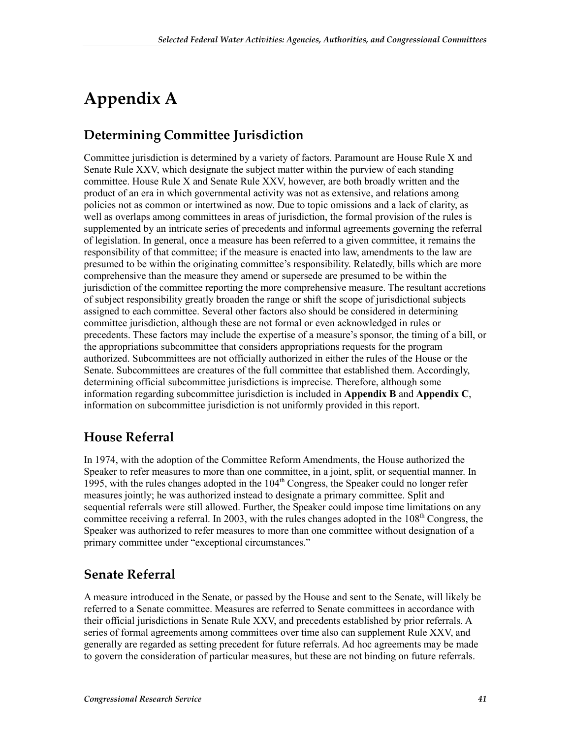# **Appendix A**

#### **Determining Committee Jurisdiction**

Committee jurisdiction is determined by a variety of factors. Paramount are House Rule X and Senate Rule XXV, which designate the subject matter within the purview of each standing committee. House Rule X and Senate Rule XXV, however, are both broadly written and the product of an era in which governmental activity was not as extensive, and relations among policies not as common or intertwined as now. Due to topic omissions and a lack of clarity, as well as overlaps among committees in areas of jurisdiction, the formal provision of the rules is supplemented by an intricate series of precedents and informal agreements governing the referral of legislation. In general, once a measure has been referred to a given committee, it remains the responsibility of that committee; if the measure is enacted into law, amendments to the law are presumed to be within the originating committee's responsibility. Relatedly, bills which are more comprehensive than the measure they amend or supersede are presumed to be within the jurisdiction of the committee reporting the more comprehensive measure. The resultant accretions of subject responsibility greatly broaden the range or shift the scope of jurisdictional subjects assigned to each committee. Several other factors also should be considered in determining committee jurisdiction, although these are not formal or even acknowledged in rules or precedents. These factors may include the expertise of a measure's sponsor, the timing of a bill, or the appropriations subcommittee that considers appropriations requests for the program authorized. Subcommittees are not officially authorized in either the rules of the House or the Senate. Subcommittees are creatures of the full committee that established them. Accordingly, determining official subcommittee jurisdictions is imprecise. Therefore, although some information regarding subcommittee jurisdiction is included in **Appendix B** and **Appendix C**, information on subcommittee jurisdiction is not uniformly provided in this report.

#### **House Referral**

In 1974, with the adoption of the Committee Reform Amendments, the House authorized the Speaker to refer measures to more than one committee, in a joint, split, or sequential manner. In 1995, with the rules changes adopted in the  $104<sup>th</sup>$  Congress, the Speaker could no longer refer measures jointly; he was authorized instead to designate a primary committee. Split and sequential referrals were still allowed. Further, the Speaker could impose time limitations on any committee receiving a referral. In 2003, with the rules changes adopted in the  $108<sup>th</sup>$  Congress, the Speaker was authorized to refer measures to more than one committee without designation of a primary committee under "exceptional circumstances."

#### **Senate Referral**

A measure introduced in the Senate, or passed by the House and sent to the Senate, will likely be referred to a Senate committee. Measures are referred to Senate committees in accordance with their official jurisdictions in Senate Rule XXV, and precedents established by prior referrals. A series of formal agreements among committees over time also can supplement Rule XXV, and generally are regarded as setting precedent for future referrals. Ad hoc agreements may be made to govern the consideration of particular measures, but these are not binding on future referrals.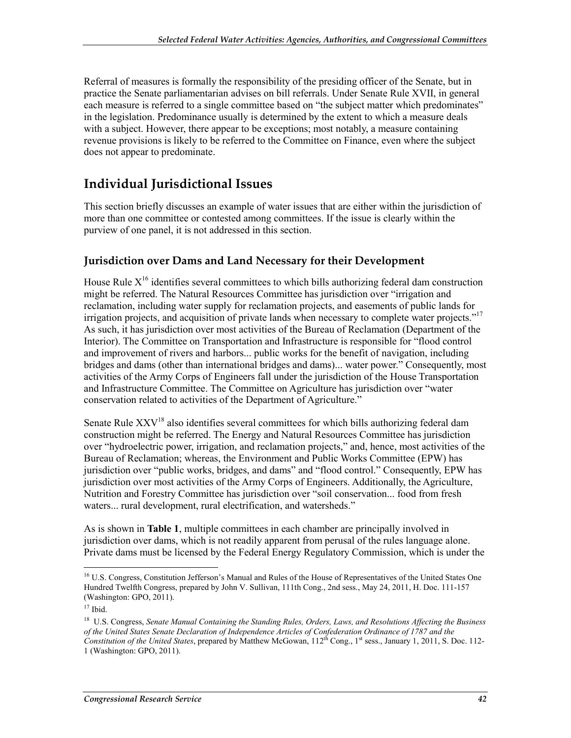Referral of measures is formally the responsibility of the presiding officer of the Senate, but in practice the Senate parliamentarian advises on bill referrals. Under Senate Rule XVII, in general each measure is referred to a single committee based on "the subject matter which predominates" in the legislation. Predominance usually is determined by the extent to which a measure deals with a subject. However, there appear to be exceptions; most notably, a measure containing revenue provisions is likely to be referred to the Committee on Finance, even where the subject does not appear to predominate.

#### **Individual Jurisdictional Issues**

This section briefly discusses an example of water issues that are either within the jurisdiction of more than one committee or contested among committees. If the issue is clearly within the purview of one panel, it is not addressed in this section.

#### **Jurisdiction over Dams and Land Necessary for their Development**

House Rule  $X<sup>16</sup>$  identifies several committees to which bills authorizing federal dam construction might be referred. The Natural Resources Committee has jurisdiction over "irrigation and reclamation, including water supply for reclamation projects, and easements of public lands for irrigation projects, and acquisition of private lands when necessary to complete water projects."<sup>17</sup> As such, it has jurisdiction over most activities of the Bureau of Reclamation (Department of the Interior). The Committee on Transportation and Infrastructure is responsible for "flood control and improvement of rivers and harbors... public works for the benefit of navigation, including bridges and dams (other than international bridges and dams)... water power." Consequently, most activities of the Army Corps of Engineers fall under the jurisdiction of the House Transportation and Infrastructure Committee. The Committee on Agriculture has jurisdiction over "water conservation related to activities of the Department of Agriculture."

Senate Rule  $XXV^{18}$  also identifies several committees for which bills authorizing federal dam construction might be referred. The Energy and Natural Resources Committee has jurisdiction over "hydroelectric power, irrigation, and reclamation projects," and, hence, most activities of the Bureau of Reclamation; whereas, the Environment and Public Works Committee (EPW) has jurisdiction over "public works, bridges, and dams" and "flood control." Consequently, EPW has jurisdiction over most activities of the Army Corps of Engineers. Additionally, the Agriculture, Nutrition and Forestry Committee has jurisdiction over "soil conservation... food from fresh waters... rural development, rural electrification, and watersheds."

As is shown in **Table 1**, multiple committees in each chamber are principally involved in jurisdiction over dams, which is not readily apparent from perusal of the rules language alone. Private dams must be licensed by the Federal Energy Regulatory Commission, which is under the

1

<sup>&</sup>lt;sup>16</sup> U.S. Congress, Constitution Jefferson's Manual and Rules of the House of Representatives of the United States One Hundred Twelfth Congress, prepared by John V. Sullivan, 111th Cong., 2nd sess., May 24, 2011, H. Doc. 111-157 (Washington: GPO, 2011).

 $17$  Ibid.

<sup>18</sup> U.S. Congress, *Senate Manual Containing the Standing Rules, Orders, Laws, and Resolutions Affecting the Business of the United States Senate Declaration of Independence Articles of Confederation Ordinance of 1787 and the Constitution of the United States*, prepared by Matthew McGowan, 112th Cong., 1st sess., January 1, 2011, S. Doc. 112- 1 (Washington: GPO, 2011).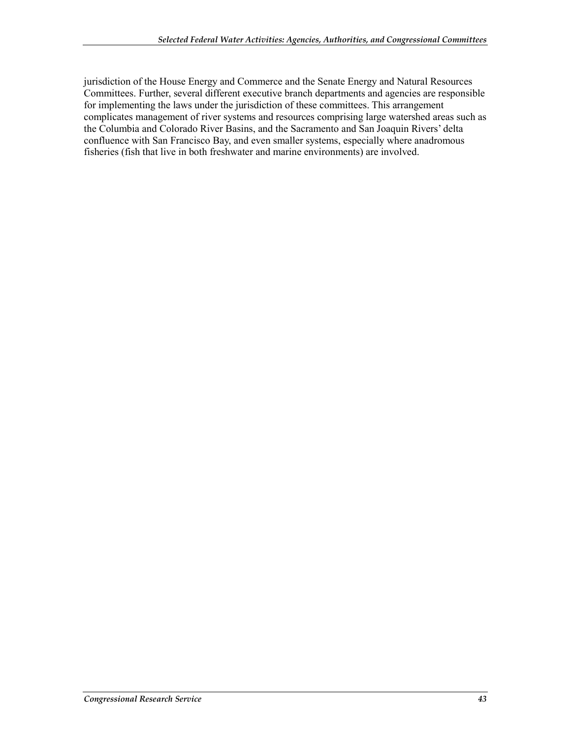jurisdiction of the House Energy and Commerce and the Senate Energy and Natural Resources Committees. Further, several different executive branch departments and agencies are responsible for implementing the laws under the jurisdiction of these committees. This arrangement complicates management of river systems and resources comprising large watershed areas such as the Columbia and Colorado River Basins, and the Sacramento and San Joaquin Rivers' delta confluence with San Francisco Bay, and even smaller systems, especially where anadromous fisheries (fish that live in both freshwater and marine environments) are involved.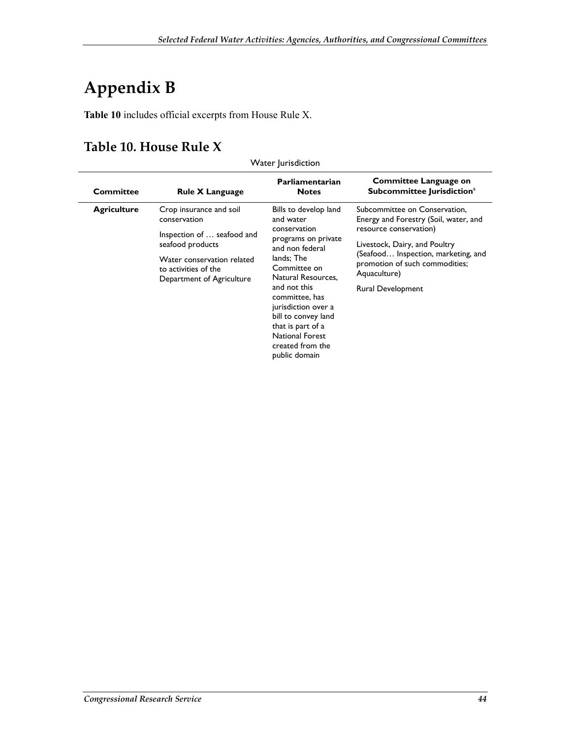# **Appendix B**

**Table 10** includes official excerpts from House Rule X.

#### **Table 10. House Rule X**

| Committee          | <b>Rule X Language</b>                             | Parliamentarian<br><b>Notes</b>                                                                                                                                                 | Committee Language on<br>Subcommittee Jurisdiction <sup>a</sup> |                                                                                       |                                                         |
|--------------------|----------------------------------------------------|---------------------------------------------------------------------------------------------------------------------------------------------------------------------------------|-----------------------------------------------------------------|---------------------------------------------------------------------------------------|---------------------------------------------------------|
| <b>Agriculture</b> | Crop insurance and soil<br>conservation            | Bills to develop land<br>and water<br>conservation<br>programs on private<br>and non federal<br>lands; The<br>Committee on                                                      |                                                                 | Subcommittee on Conservation,<br>Energy and Forestry (Soil, water, and                |                                                         |
|                    | Inspection of  seafood and<br>seafood products     |                                                                                                                                                                                 |                                                                 |                                                                                       | resource conservation)<br>Livestock, Dairy, and Poultry |
|                    | Water conservation related<br>to activities of the |                                                                                                                                                                                 |                                                                 | (Seafood Inspection, marketing, and<br>promotion of such commodities;<br>Aquaculture) |                                                         |
|                    | Department of Agriculture                          | Natural Resources.<br>and not this<br>committee, has<br>jurisdiction over a<br>bill to convey land<br>that is part of a<br>National Forest<br>created from the<br>public domain | Rural Development                                               |                                                                                       |                                                         |

Water Jurisdiction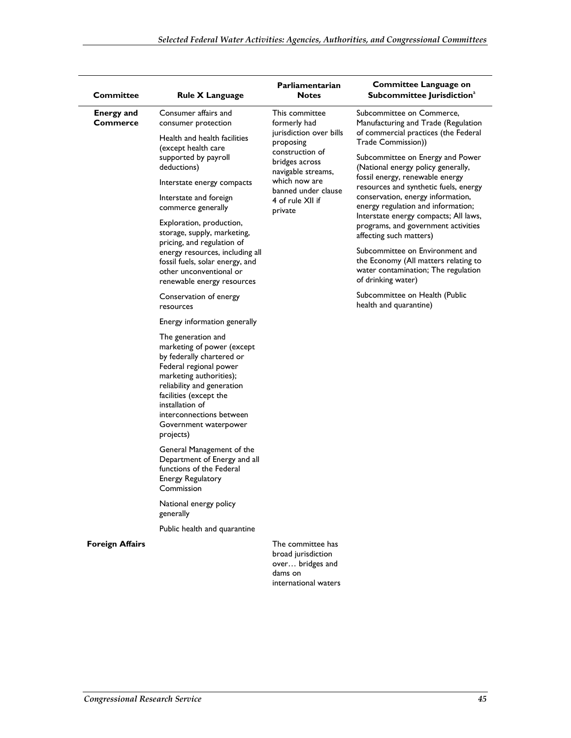| <b>Committee</b>                     | <b>Rule X Language</b>                                                                                                                                                                                                                                                          | Parliamentarian<br><b>Notes</b>                                                                             | Committee Language on<br>Subcommittee Jurisdiction <sup>a</sup>                                         |  |                    |                                                                                                                |  |
|--------------------------------------|---------------------------------------------------------------------------------------------------------------------------------------------------------------------------------------------------------------------------------------------------------------------------------|-------------------------------------------------------------------------------------------------------------|---------------------------------------------------------------------------------------------------------|--|--------------------|----------------------------------------------------------------------------------------------------------------|--|
| <b>Energy and</b><br><b>Commerce</b> | Consumer affairs and<br>consumer protection                                                                                                                                                                                                                                     | This committee<br>formerly had<br>jurisdiction over bills<br>proposing<br>construction of<br>bridges across | Subcommittee on Commerce,<br>Manufacturing and Trade (Regulation                                        |  |                    |                                                                                                                |  |
|                                      | Health and health facilities<br>(except health care<br>supported by payroll<br>deductions)                                                                                                                                                                                      |                                                                                                             | navigable streams,                                                                                      |  |                    |                                                                                                                |  |
|                                      | Interstate energy compacts                                                                                                                                                                                                                                                      | which now are                                                                                               | fossil energy, renewable energy<br>resources and synthetic fuels, energy                                |  |                    |                                                                                                                |  |
|                                      | Interstate and foreign<br>commerce generally                                                                                                                                                                                                                                    | banned under clause<br>4 of rule XII if<br>private                                                          | conservation, energy information,<br>energy regulation and information;                                 |  |                    |                                                                                                                |  |
|                                      | Exploration, production,<br>storage, supply, marketing,                                                                                                                                                                                                                         |                                                                                                             | Interstate energy compacts; All laws,<br>programs, and government activities<br>affecting such matters) |  |                    |                                                                                                                |  |
|                                      | pricing, and regulation of<br>energy resources, including all<br>fossil fuels, solar energy, and<br>other unconventional or<br>renewable energy resources                                                                                                                       |                                                                                                             |                                                                                                         |  | of drinking water) | Subcommittee on Environment and<br>the Economy (All matters relating to<br>water contamination; The regulation |  |
|                                      | Conservation of energy<br>resources                                                                                                                                                                                                                                             |                                                                                                             |                                                                                                         |  |                    | Subcommittee on Health (Public<br>health and quarantine)                                                       |  |
|                                      | Energy information generally                                                                                                                                                                                                                                                    |                                                                                                             |                                                                                                         |  |                    |                                                                                                                |  |
|                                      | The generation and<br>marketing of power (except<br>by federally chartered or<br>Federal regional power<br>marketing authorities);<br>reliability and generation<br>facilities (except the<br>installation of<br>interconnections between<br>Government waterpower<br>projects) |                                                                                                             |                                                                                                         |  |                    |                                                                                                                |  |
|                                      | General Management of the<br>Department of Energy and all<br>functions of the Federal<br><b>Energy Regulatory</b><br>Commission                                                                                                                                                 |                                                                                                             |                                                                                                         |  |                    |                                                                                                                |  |
|                                      | National energy policy<br>generally                                                                                                                                                                                                                                             |                                                                                                             |                                                                                                         |  |                    |                                                                                                                |  |
|                                      | Public health and quarantine                                                                                                                                                                                                                                                    |                                                                                                             |                                                                                                         |  |                    |                                                                                                                |  |
| <b>Foreign Affairs</b>               |                                                                                                                                                                                                                                                                                 | The committee has<br>broad jurisdiction<br>over bridges and<br>dams on<br>international waters              |                                                                                                         |  |                    |                                                                                                                |  |
|                                      |                                                                                                                                                                                                                                                                                 |                                                                                                             |                                                                                                         |  |                    |                                                                                                                |  |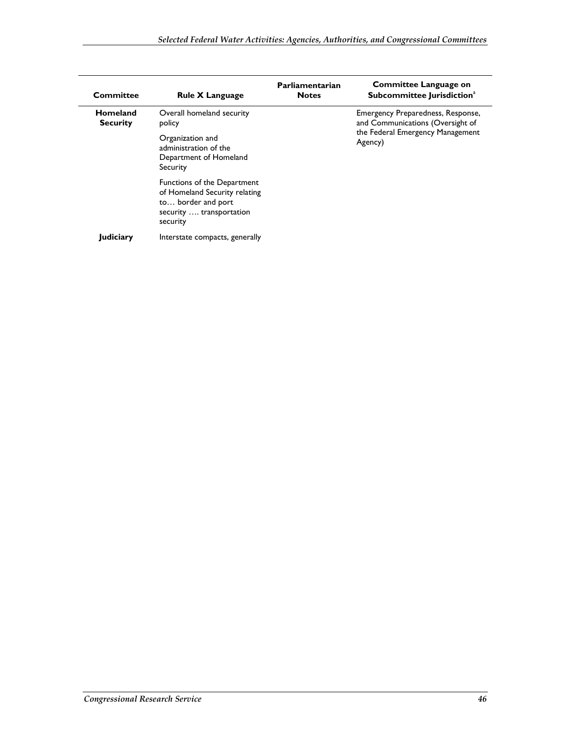| <b>Committee</b>            | <b>Rule X Language</b>                                                                                                     | Parliamentarian<br><b>Notes</b> | <b>Committee Language on</b><br>Subcommittee Jurisdiction <sup>a</sup> |
|-----------------------------|----------------------------------------------------------------------------------------------------------------------------|---------------------------------|------------------------------------------------------------------------|
| Homeland<br><b>Security</b> | Overall homeland security<br>policy                                                                                        |                                 | Emergency Preparedness, Response,<br>and Communications (Oversight of  |
|                             | Organization and<br>administration of the<br>Department of Homeland<br>Security                                            |                                 | the Federal Emergency Management<br>Agency)                            |
|                             | Functions of the Department<br>of Homeland Security relating<br>to border and port<br>security  transportation<br>security |                                 |                                                                        |
| Judiciary                   | Interstate compacts, generally                                                                                             |                                 |                                                                        |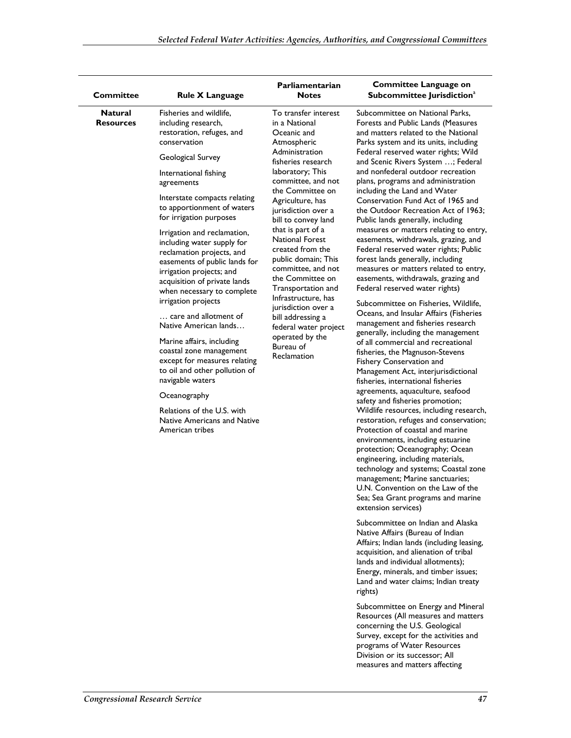| <b>Committee</b>                   | <b>Rule X Language</b>                                                                                                                                                                                                                                                                                                                                                                                                                                                                                                                                                                                                                                                                                                                                                                             | Parliamentarian<br><b>Notes</b>                                                                                                                                                                                                                                                                                                                                                                                                                                                                                                                         | Committee Language on<br>Subcommittee Jurisdiction <sup>a</sup>                                                                                                                                                                                                                                                                                                                                                                                                                                                                                                                                                                                                                                                                                                                                                                                                                                                                                                                                                                                                                                                                                                                                                                                                                                                                                                                                                                                                                                                                                                                                                                                                                                                                                                                                                                                                                           |
|------------------------------------|----------------------------------------------------------------------------------------------------------------------------------------------------------------------------------------------------------------------------------------------------------------------------------------------------------------------------------------------------------------------------------------------------------------------------------------------------------------------------------------------------------------------------------------------------------------------------------------------------------------------------------------------------------------------------------------------------------------------------------------------------------------------------------------------------|---------------------------------------------------------------------------------------------------------------------------------------------------------------------------------------------------------------------------------------------------------------------------------------------------------------------------------------------------------------------------------------------------------------------------------------------------------------------------------------------------------------------------------------------------------|-------------------------------------------------------------------------------------------------------------------------------------------------------------------------------------------------------------------------------------------------------------------------------------------------------------------------------------------------------------------------------------------------------------------------------------------------------------------------------------------------------------------------------------------------------------------------------------------------------------------------------------------------------------------------------------------------------------------------------------------------------------------------------------------------------------------------------------------------------------------------------------------------------------------------------------------------------------------------------------------------------------------------------------------------------------------------------------------------------------------------------------------------------------------------------------------------------------------------------------------------------------------------------------------------------------------------------------------------------------------------------------------------------------------------------------------------------------------------------------------------------------------------------------------------------------------------------------------------------------------------------------------------------------------------------------------------------------------------------------------------------------------------------------------------------------------------------------------------------------------------------------------|
| <b>Natural</b><br><b>Resources</b> | Fisheries and wildlife,<br>including research,<br>restoration, refuges, and<br>conservation<br>Geological Survey<br>International fishing<br>agreements<br>Interstate compacts relating<br>to apportionment of waters<br>for irrigation purposes<br>Irrigation and reclamation,<br>including water supply for<br>reclamation projects, and<br>easements of public lands for<br>irrigation projects; and<br>acquisition of private lands<br>when necessary to complete<br>irrigation projects<br>care and allotment of<br>Native American lands<br>Marine affairs, including<br>coastal zone management<br>except for measures relating<br>to oil and other pollution of<br>navigable waters<br>Oceanography<br>Relations of the U.S. with<br><b>Native Americans and Native</b><br>American tribes | To transfer interest<br>in a National<br>Oceanic and<br>Atmospheric<br>Administration<br>fisheries research<br>laboratory; This<br>committee, and not<br>the Committee on<br>Agriculture, has<br>jurisdiction over a<br>bill to convey land<br>that is part of a<br><b>National Forest</b><br>created from the<br>public domain; This<br>committee, and not<br>the Committee on<br>Transportation and<br>Infrastructure, has<br>jurisdiction over a<br>bill addressing a<br>federal water project<br>operated by the<br>Bureau of<br><b>Reclamation</b> | Subcommittee on National Parks,<br>Forests and Public Lands (Measures<br>and matters related to the National<br>Parks system and its units, including<br>Federal reserved water rights; Wild<br>and Scenic Rivers System ; Federal<br>and nonfederal outdoor recreation<br>plans, programs and administration<br>including the Land and Water<br>Conservation Fund Act of 1965 and<br>the Outdoor Recreation Act of 1963;<br>Public lands generally, including<br>measures or matters relating to entry,<br>easements, withdrawals, grazing, and<br>Federal reserved water rights; Public<br>forest lands generally, including<br>measures or matters related to entry,<br>easements, withdrawals, grazing and<br>Federal reserved water rights)<br>Subcommittee on Fisheries, Wildlife,<br>Oceans, and Insular Affairs (Fisheries<br>management and fisheries research<br>generally, including the management<br>of all commercial and recreational<br>fisheries, the Magnuson-Stevens<br>Fishery Conservation and<br>Management Act, interjurisdictional<br>fisheries, international fisheries<br>agreements, aquaculture, seafood<br>safety and fisheries promotion;<br>Wildlife resources, including research,<br>restoration, refuges and conservation;<br>Protection of coastal and marine<br>environments, including estuarine<br>protection; Oceanography; Ocean<br>engineering, including materials,<br>technology and systems; Coastal zone<br>management; Marine sanctuaries;<br>U.N. Convention on the Law of the<br>Sea; Sea Grant programs and marine<br>extension services)<br>Subcommittee on Indian and Alaska<br>Native Affairs (Bureau of Indian<br>Affairs; Indian lands (including leasing,<br>acquisition, and alienation of tribal<br>lands and individual allotments);<br>Energy, minerals, and timber issues;<br>Land and water claims; Indian treaty<br>rights) |

Subcommittee on Energy and Mineral Resources (All measures and matters concerning the U.S. Geological Survey, except for the activities and programs of Water Resources Division or its successor; All measures and matters affecting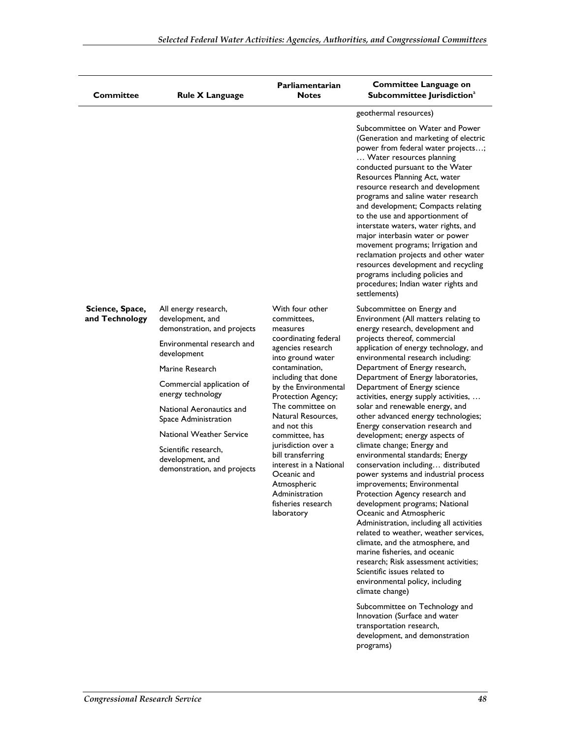| <b>Committee</b>                  | <b>Rule X Language</b>                                                  | Parliamentarian<br><b>Notes</b>                                                                                                                                                                                                                                                                         | <b>Committee Language on</b><br>Subcommittee Jurisdiction <sup>a</sup>                                                                                                                                                                                                                                                                                                                                                                                                                                                                                                                                                                                      |                                                                                                                                        |
|-----------------------------------|-------------------------------------------------------------------------|---------------------------------------------------------------------------------------------------------------------------------------------------------------------------------------------------------------------------------------------------------------------------------------------------------|-------------------------------------------------------------------------------------------------------------------------------------------------------------------------------------------------------------------------------------------------------------------------------------------------------------------------------------------------------------------------------------------------------------------------------------------------------------------------------------------------------------------------------------------------------------------------------------------------------------------------------------------------------------|----------------------------------------------------------------------------------------------------------------------------------------|
|                                   |                                                                         |                                                                                                                                                                                                                                                                                                         | geothermal resources)                                                                                                                                                                                                                                                                                                                                                                                                                                                                                                                                                                                                                                       |                                                                                                                                        |
|                                   |                                                                         |                                                                                                                                                                                                                                                                                                         | Subcommittee on Water and Power<br>(Generation and marketing of electric<br>power from federal water projects;<br>Water resources planning<br>conducted pursuant to the Water<br>Resources Planning Act, water<br>resource research and development<br>programs and saline water research<br>and development; Compacts relating<br>to the use and apportionment of<br>interstate waters, water rights, and<br>major interbasin water or power<br>movement programs; Irrigation and<br>reclamation projects and other water<br>resources development and recycling<br>programs including policies and<br>procedures; Indian water rights and<br>settlements) |                                                                                                                                        |
| Science, Space,<br>and Technology | All energy research,<br>development, and<br>demonstration, and projects | With four other<br>committees,<br>measures                                                                                                                                                                                                                                                              | coordinating federal                                                                                                                                                                                                                                                                                                                                                                                                                                                                                                                                                                                                                                        | Subcommittee on Energy and<br>Environment (All matters relating to<br>energy research, development and<br>projects thereof, commercial |
|                                   | Environmental research and<br>development                               | agencies research<br>into ground water                                                                                                                                                                                                                                                                  | application of energy technology, and<br>environmental research including:                                                                                                                                                                                                                                                                                                                                                                                                                                                                                                                                                                                  |                                                                                                                                        |
|                                   | Marine Research                                                         | contamination,                                                                                                                                                                                                                                                                                          | Department of Energy research,                                                                                                                                                                                                                                                                                                                                                                                                                                                                                                                                                                                                                              |                                                                                                                                        |
|                                   | Commercial application of<br>energy technology                          | including that done<br>by the Environmental<br>Protection Agency;<br>The committee on<br>Natural Resources,<br>and not this<br>committee, has<br>jurisdiction over a<br>bill transferring<br>interest in a National<br>Oceanic and<br>Atmospheric<br>Administration<br>fisheries research<br>laboratory |                                                                                                                                                                                                                                                                                                                                                                                                                                                                                                                                                                                                                                                             | Department of Energy laboratories,<br>Department of Energy science<br>activities, energy supply activities,                            |
|                                   | National Aeronautics and<br>Space Administration                        |                                                                                                                                                                                                                                                                                                         | solar and renewable energy, and<br>other advanced energy technologies;                                                                                                                                                                                                                                                                                                                                                                                                                                                                                                                                                                                      |                                                                                                                                        |
|                                   | <b>National Weather Service</b>                                         |                                                                                                                                                                                                                                                                                                         | Energy conservation research and<br>development; energy aspects of                                                                                                                                                                                                                                                                                                                                                                                                                                                                                                                                                                                          |                                                                                                                                        |
| development, and                  | Scientific research,<br>demonstration, and projects                     |                                                                                                                                                                                                                                                                                                         | climate change; Energy and<br>environmental standards; Energy<br>conservation including distributed<br>power systems and industrial process<br>improvements; Environmental<br>Protection Agency research and<br>development programs; National<br>Oceanic and Atmospheric<br>Administration, including all activities<br>related to weather, weather services,<br>climate, and the atmosphere, and<br>marine fisheries, and oceanic<br>research: Risk assessment activities:<br>Scientific issues related to<br>environmental policy, including<br>climate change)                                                                                          |                                                                                                                                        |
|                                   |                                                                         |                                                                                                                                                                                                                                                                                                         | Subcommittee on Technology and                                                                                                                                                                                                                                                                                                                                                                                                                                                                                                                                                                                                                              |                                                                                                                                        |

Innovation (Surface and water transportation research, development, and demonstration programs)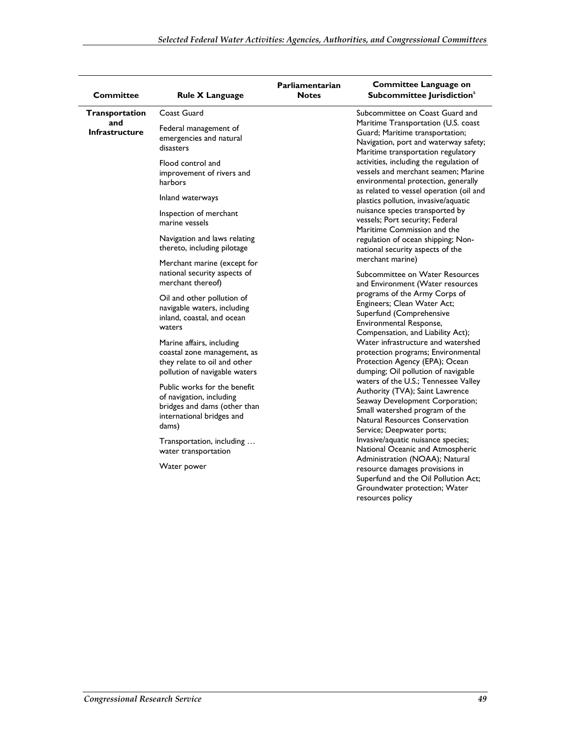|                              |                                                                                                                                | Parliamentarian | <b>Committee Language on</b>                                                                                                                                                                                       |
|------------------------------|--------------------------------------------------------------------------------------------------------------------------------|-----------------|--------------------------------------------------------------------------------------------------------------------------------------------------------------------------------------------------------------------|
| <b>Committee</b>             | <b>Rule X Language</b>                                                                                                         | <b>Notes</b>    | Subcommittee Jurisdiction <sup>a</sup>                                                                                                                                                                             |
| <b>Transportation</b>        | Coast Guard                                                                                                                    |                 | Subcommittee on Coast Guard and                                                                                                                                                                                    |
| and<br><b>Infrastructure</b> | Federal management of<br>emergencies and natural<br>disasters                                                                  |                 | Maritime Transportation (U.S. coast<br>Guard; Maritime transportation;<br>Navigation, port and waterway safety;<br>Maritime transportation regulatory                                                              |
|                              | Flood control and<br>improvement of rivers and<br>harbors                                                                      |                 | activities, including the regulation of<br>vessels and merchant seamen; Marine<br>environmental protection, generally<br>as related to vessel operation (oil and                                                   |
|                              | Inland waterways                                                                                                               |                 | plastics pollution, invasive/aquatic                                                                                                                                                                               |
|                              | Inspection of merchant<br>marine vessels                                                                                       |                 | nuisance species transported by<br>vessels; Port security; Federal<br>Maritime Commission and the                                                                                                                  |
|                              | Navigation and laws relating<br>thereto, including pilotage                                                                    |                 | regulation of ocean shipping; Non-<br>national security aspects of the                                                                                                                                             |
|                              | Merchant marine (except for<br>national security aspects of<br>merchant thereof)                                               |                 | merchant marine)<br>Subcommittee on Water Resources<br>and Environment (Water resources                                                                                                                            |
|                              | Oil and other pollution of<br>navigable waters, including<br>inland, coastal, and ocean<br>waters                              |                 | programs of the Army Corps of<br>Engineers; Clean Water Act;<br>Superfund (Comprehensive<br>Environmental Response,<br>Compensation, and Liability Act);                                                           |
|                              | Marine affairs, including<br>coastal zone management, as<br>they relate to oil and other<br>pollution of navigable waters      |                 | Water infrastructure and watershed<br>protection programs; Environmental<br>Protection Agency (EPA); Ocean<br>dumping; Oil pollution of navigable                                                                  |
|                              | Public works for the benefit<br>of navigation, including<br>bridges and dams (other than<br>international bridges and<br>dams) |                 | waters of the U.S.; Tennessee Valley<br>Authority (TVA); Saint Lawrence<br>Seaway Development Corporation;<br>Small watershed program of the<br><b>Natural Resources Conservation</b><br>Service; Deepwater ports; |
|                              | Transportation, including<br>water transportation                                                                              |                 | Invasive/aquatic nuisance species;<br>National Oceanic and Atmospheric<br>Administration (NOAA); Natural                                                                                                           |
|                              | Water power                                                                                                                    |                 | resource damages provisions in<br>Superfund and the Oil Pollution Act;<br>Groundwater protection; Water<br>resources policy                                                                                        |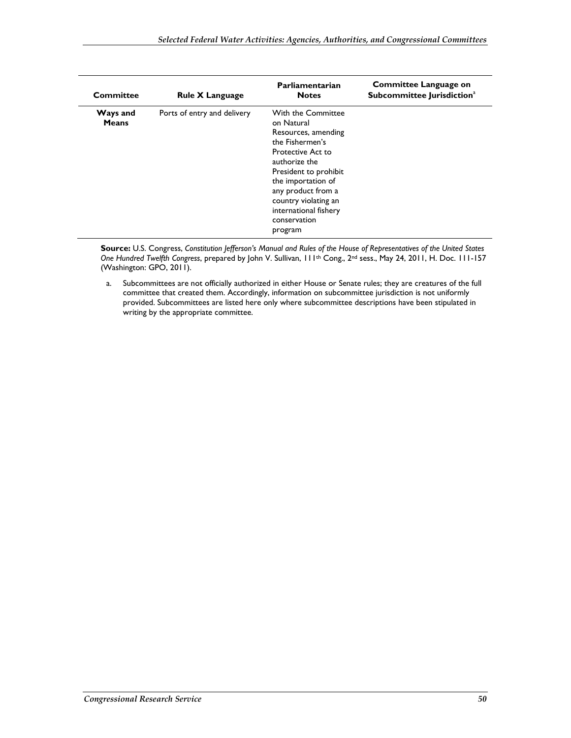| Committee                | <b>Rule X Language</b>      | Parliamentarian<br><b>Notes</b>                                                                                                                                                                                                                                   | <b>Committee Language on</b><br>Subcommittee Jurisdiction <sup>a</sup> |
|--------------------------|-----------------------------|-------------------------------------------------------------------------------------------------------------------------------------------------------------------------------------------------------------------------------------------------------------------|------------------------------------------------------------------------|
| Ways and<br><b>Means</b> | Ports of entry and delivery | With the Committee<br>on Natural<br>Resources, amending<br>the Fishermen's<br>Protective Act to<br>authorize the<br>President to prohibit<br>the importation of<br>any product from a<br>country violating an<br>international fishery<br>conservation<br>program |                                                                        |

**Source:** U.S. Congress, *Constitution Jefferson's Manual and Rules of the House of Representatives of the United States One Hundred Twelfth Congress*, prepared by John V. Sullivan, 111th Cong., 2nd sess., May 24, 2011, H. Doc. 111-157 (Washington: GPO, 2011).

a. Subcommittees are not officially authorized in either House or Senate rules; they are creatures of the full committee that created them. Accordingly, information on subcommittee jurisdiction is not uniformly provided. Subcommittees are listed here only where subcommittee descriptions have been stipulated in writing by the appropriate committee.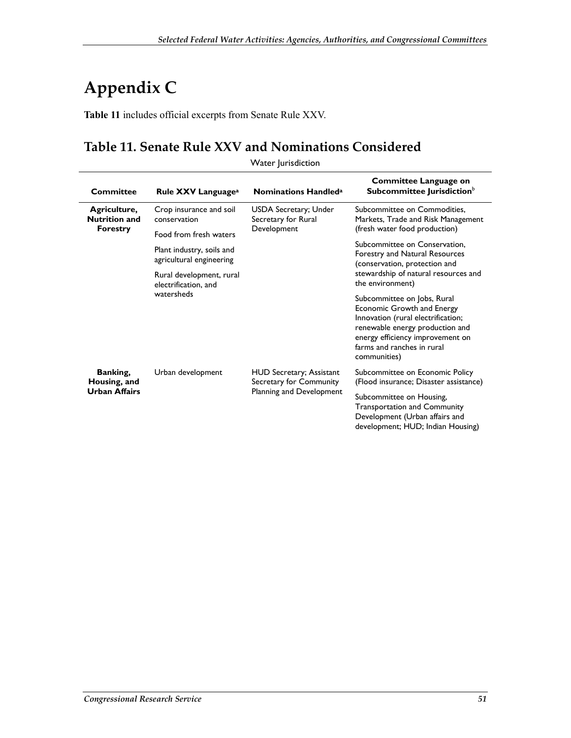# **Appendix C**

**Table 11** includes official excerpts from Senate Rule XXV.

#### **Table 11. Senate Rule XXV and Nominations Considered**

| Committee                                               | Rule XXV Language <sup>a</sup>                        | <b>Nominations Handled</b> <sup>a</sup>                                                | <b>Committee Language on</b><br>Subcommittee Jurisdiction <sup>b</sup>                                                                                                                                               |
|---------------------------------------------------------|-------------------------------------------------------|----------------------------------------------------------------------------------------|----------------------------------------------------------------------------------------------------------------------------------------------------------------------------------------------------------------------|
| Agriculture,<br><b>Nutrition and</b><br><b>Forestry</b> | Crop insurance and soil<br>conservation               | USDA Secretary; Under<br>Secretary for Rural<br>Development                            | Subcommittee on Commodities,<br>Markets, Trade and Risk Management                                                                                                                                                   |
|                                                         | Food from fresh waters                                |                                                                                        | (fresh water food production)                                                                                                                                                                                        |
|                                                         | Plant industry, soils and<br>agricultural engineering |                                                                                        | Subcommittee on Conservation,<br>Forestry and Natural Resources<br>(conservation, protection and<br>stewardship of natural resources and<br>the environment)                                                         |
|                                                         | Rural development, rural<br>electrification, and      |                                                                                        |                                                                                                                                                                                                                      |
|                                                         | watersheds                                            |                                                                                        | Subcommittee on Jobs, Rural<br>Economic Growth and Energy<br>Innovation (rural electrification;<br>renewable energy production and<br>energy efficiency improvement on<br>farms and ranches in rural<br>communities) |
| Banking,<br>Housing, and<br><b>Urban Affairs</b>        | Urban development                                     | <b>HUD Secretary; Assistant</b><br>Secretary for Community<br>Planning and Development | Subcommittee on Economic Policy<br>(Flood insurance; Disaster assistance)                                                                                                                                            |
|                                                         |                                                       |                                                                                        | Subcommittee on Housing,<br><b>Transportation and Community</b><br>Development (Urban affairs and<br>development; HUD; Indian Housing)                                                                               |

Water Jurisdiction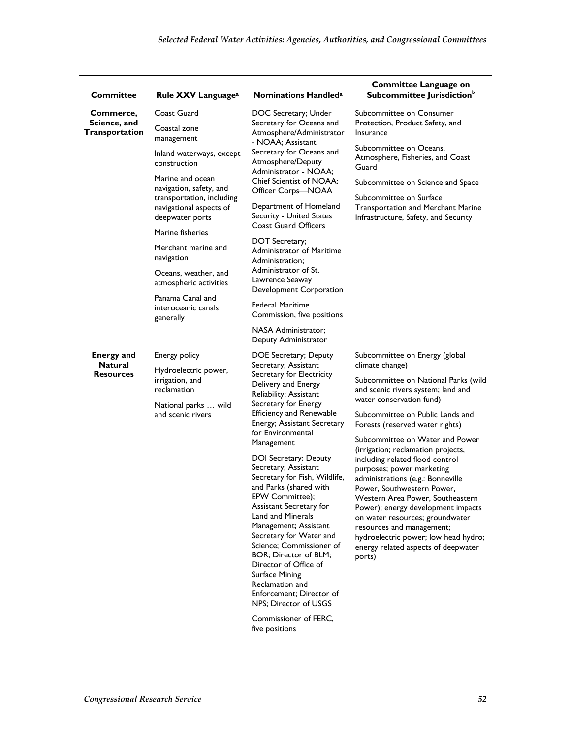| <b>Committee</b>                            | Rule XXV Language <sup>a</sup>                                          | <b>Nominations Handled<sup>a</sup></b>                                                                                                                                                                                                                                                                                                                                                                                | Committee Language on<br>Subcommittee Jurisdiction <sup>b</sup>                                                                                                                                                                                                                                                                                                                                          |
|---------------------------------------------|-------------------------------------------------------------------------|-----------------------------------------------------------------------------------------------------------------------------------------------------------------------------------------------------------------------------------------------------------------------------------------------------------------------------------------------------------------------------------------------------------------------|----------------------------------------------------------------------------------------------------------------------------------------------------------------------------------------------------------------------------------------------------------------------------------------------------------------------------------------------------------------------------------------------------------|
| Commerce,<br>Science, and<br>Transportation | Coast Guard<br>Coastal zone<br>management                               | DOC Secretary; Under<br>Secretary for Oceans and<br>Atmosphere/Administrator                                                                                                                                                                                                                                                                                                                                          | Subcommittee on Consumer<br>Protection, Product Safety, and<br>Insurance                                                                                                                                                                                                                                                                                                                                 |
|                                             | Inland waterways, except<br>construction                                | - NOAA; Assistant<br>Secretary for Oceans and<br>Atmosphere/Deputy<br>Administrator - NOAA;                                                                                                                                                                                                                                                                                                                           | Subcommittee on Oceans,<br>Atmosphere, Fisheries, and Coast<br>Guard                                                                                                                                                                                                                                                                                                                                     |
|                                             | Marine and ocean<br>navigation, safety, and                             | Chief Scientist of NOAA;<br>Officer Corps-NOAA                                                                                                                                                                                                                                                                                                                                                                        | Subcommittee on Science and Space                                                                                                                                                                                                                                                                                                                                                                        |
|                                             | transportation, including<br>navigational aspects of<br>deepwater ports | Department of Homeland<br>Security - United States                                                                                                                                                                                                                                                                                                                                                                    | Subcommittee on Surface<br><b>Transportation and Merchant Marine</b><br>Infrastructure, Safety, and Security                                                                                                                                                                                                                                                                                             |
|                                             | Marine fisheries                                                        | <b>Coast Guard Officers</b><br>DOT Secretary;                                                                                                                                                                                                                                                                                                                                                                         |                                                                                                                                                                                                                                                                                                                                                                                                          |
|                                             | Merchant marine and<br>navigation                                       | Administrator of Maritime<br>Administration;                                                                                                                                                                                                                                                                                                                                                                          |                                                                                                                                                                                                                                                                                                                                                                                                          |
|                                             | Oceans, weather, and<br>atmospheric activities                          | Administrator of St.<br>Lawrence Seaway<br>Development Corporation                                                                                                                                                                                                                                                                                                                                                    |                                                                                                                                                                                                                                                                                                                                                                                                          |
|                                             | Panama Canal and<br>interoceanic canals<br>generally                    | Federal Maritime<br>Commission, five positions                                                                                                                                                                                                                                                                                                                                                                        |                                                                                                                                                                                                                                                                                                                                                                                                          |
|                                             |                                                                         | <b>NASA Administrator:</b><br>Deputy Administrator                                                                                                                                                                                                                                                                                                                                                                    |                                                                                                                                                                                                                                                                                                                                                                                                          |
| <b>Energy and</b>                           | Energy policy                                                           | DOE Secretary; Deputy<br>Secretary; Assistant<br>Secretary for Electricity<br>Delivery and Energy<br>Reliability; Assistant<br>Secretary for Energy<br><b>Efficiency and Renewable</b><br>Energy; Assistant Secretary<br>for Environmental<br>Management                                                                                                                                                              | Subcommittee on Energy (global<br>climate change)                                                                                                                                                                                                                                                                                                                                                        |
| <b>Natural</b><br><b>Resources</b>          | Hydroelectric power,<br>irrigation, and<br>reclamation                  |                                                                                                                                                                                                                                                                                                                                                                                                                       | Subcommittee on National Parks (wild<br>and scenic rivers system; land and                                                                                                                                                                                                                                                                                                                               |
|                                             | National parks  wild<br>and scenic rivers                               |                                                                                                                                                                                                                                                                                                                                                                                                                       | water conservation fund)<br>Subcommittee on Public Lands and<br>Forests (reserved water rights)                                                                                                                                                                                                                                                                                                          |
|                                             |                                                                         |                                                                                                                                                                                                                                                                                                                                                                                                                       | Subcommittee on Water and Power                                                                                                                                                                                                                                                                                                                                                                          |
|                                             |                                                                         | DOI Secretary; Deputy<br>Secretary; Assistant<br>Secretary for Fish, Wildlife,<br>and Parks (shared with<br>EPW Committee);<br>Assistant Secretary for<br><b>Land and Minerals</b><br>Management; Assistant<br>Secretary for Water and<br>Science; Commissioner of<br>BOR; Director of BLM;<br>Director of Office of<br><b>Surface Mining</b><br>Reclamation and<br>Enforcement; Director of<br>NPS; Director of USGS | (irrigation; reclamation projects,<br>including related flood control<br>purposes; power marketing<br>administrations (e.g.: Bonneville<br>Power. Southwestern Power.<br>Western Area Power, Southeastern<br>Power); energy development impacts<br>on water resources; groundwater<br>resources and management;<br>hydroelectric power; low head hydro;<br>energy related aspects of deepwater<br>ports) |
|                                             |                                                                         | Commissioner of FERC,                                                                                                                                                                                                                                                                                                                                                                                                 |                                                                                                                                                                                                                                                                                                                                                                                                          |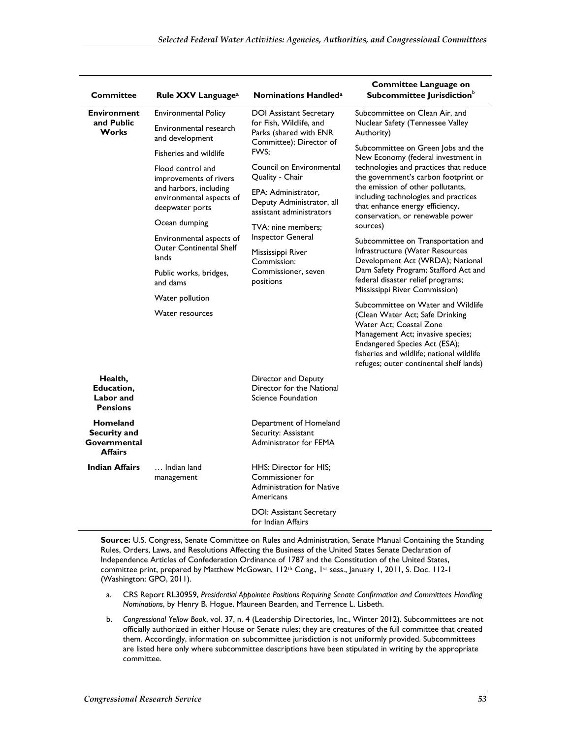| <b>Committee</b>                                           | Rule XXV Language <sup>a</sup>                                                                                       | <b>Nominations Handled<sup>a</sup></b>                                                                                 | <b>Committee Language on</b><br>Subcommittee Jurisdiction <sup>b</sup>                                                                                                                                                                                                                                                     |
|------------------------------------------------------------|----------------------------------------------------------------------------------------------------------------------|------------------------------------------------------------------------------------------------------------------------|----------------------------------------------------------------------------------------------------------------------------------------------------------------------------------------------------------------------------------------------------------------------------------------------------------------------------|
| <b>Environment</b><br>and Public<br><b>Works</b>           | <b>Environmental Policy</b>                                                                                          | <b>DOI Assistant Secretary</b><br>for Fish, Wildlife, and<br>Parks (shared with ENR<br>Committee); Director of<br>FWS: | Subcommittee on Clean Air, and<br>Nuclear Safety (Tennessee Valley<br>Authority)                                                                                                                                                                                                                                           |
|                                                            | Environmental research<br>and development                                                                            |                                                                                                                        |                                                                                                                                                                                                                                                                                                                            |
|                                                            | Fisheries and wildlife                                                                                               |                                                                                                                        | Subcommittee on Green Jobs and the<br>New Economy (federal investment in<br>technologies and practices that reduce<br>the government's carbon footprint or<br>the emission of other pollutants,<br>including technologies and practices<br>that enhance energy efficiency,<br>conservation, or renewable power<br>sources) |
|                                                            | Flood control and<br>improvements of rivers<br>and harbors, including<br>environmental aspects of<br>deepwater ports | Council on Environmental<br>Quality - Chair                                                                            |                                                                                                                                                                                                                                                                                                                            |
|                                                            |                                                                                                                      | EPA: Administrator,<br>Deputy Administrator, all<br>assistant administrators                                           |                                                                                                                                                                                                                                                                                                                            |
|                                                            | Ocean dumping                                                                                                        | TVA: nine members:                                                                                                     |                                                                                                                                                                                                                                                                                                                            |
|                                                            | Environmental aspects of<br><b>Outer Continental Shelf</b><br>lands                                                  | Inspector General<br>Mississippi River<br>Commission:<br>Commissioner, seven<br>positions                              | Subcommittee on Transportation and<br>Infrastructure (Water Resources<br>Development Act (WRDA); National<br>Dam Safety Program; Stafford Act and<br>federal disaster relief programs;<br>Mississippi River Commission)                                                                                                    |
|                                                            | Public works, bridges,<br>and dams                                                                                   |                                                                                                                        |                                                                                                                                                                                                                                                                                                                            |
|                                                            | Water pollution                                                                                                      |                                                                                                                        |                                                                                                                                                                                                                                                                                                                            |
|                                                            | Water resources                                                                                                      |                                                                                                                        | Subcommittee on Water and Wildlife<br>(Clean Water Act; Safe Drinking<br>Water Act; Coastal Zone<br>Management Act; invasive species;<br>Endangered Species Act (ESA);<br>fisheries and wildlife: national wildlife<br>refuges; outer continental shelf lands)                                                             |
| Health,<br>Education,<br>Labor and<br><b>Pensions</b>      |                                                                                                                      | Director and Deputy<br>Director for the National<br>Science Foundation                                                 |                                                                                                                                                                                                                                                                                                                            |
| Homeland<br>Security and<br>Governmental<br><b>Affairs</b> |                                                                                                                      | Department of Homeland<br>Security: Assistant<br>Administrator for FEMA                                                |                                                                                                                                                                                                                                                                                                                            |
| <b>Indian Affairs</b>                                      | Indian land<br>management                                                                                            | HHS: Director for HIS:<br>Commissioner for<br><b>Administration for Native</b><br>Americans                            |                                                                                                                                                                                                                                                                                                                            |
|                                                            |                                                                                                                      | DOI: Assistant Secretary<br>for Indian Affairs                                                                         |                                                                                                                                                                                                                                                                                                                            |

**Source:** U.S. Congress, Senate Committee on Rules and Administration, Senate Manual Containing the Standing Rules, Orders, Laws, and Resolutions Affecting the Business of the United States Senate Declaration of Independence Articles of Confederation Ordinance of 1787 and the Constitution of the United States, committee print, prepared by Matthew McGowan, 112<sup>th</sup> Cong., 1st sess., January 1, 2011, S. Doc. 112-1 (Washington: GPO, 2011).

- a. CRS Report RL30959, *Presidential Appointee Positions Requiring Senate Confirmation and Committees Handling Nominations*, by Henry B. Hogue, Maureen Bearden, and Terrence L. Lisbeth.
- b. *Congressional Yellow Book*, vol. 37, n. 4 (Leadership Directories, Inc., Winter 2012). Subcommittees are not officially authorized in either House or Senate rules; they are creatures of the full committee that created them. Accordingly, information on subcommittee jurisdiction is not uniformly provided. Subcommittees are listed here only where subcommittee descriptions have been stipulated in writing by the appropriate committee.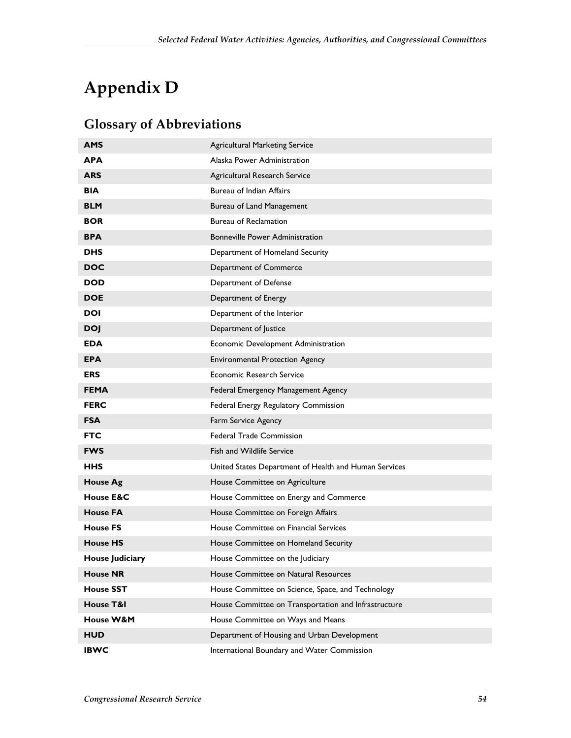# **Appendix D**

#### **Glossary of Abbreviations**

| <b>AMS</b>           | <b>Agricultural Marketing Service</b>                 |
|----------------------|-------------------------------------------------------|
| APA                  | Alaska Power Administration                           |
| <b>ARS</b>           | Agricultural Research Service                         |
| <b>BIA</b>           | <b>Bureau of Indian Affairs</b>                       |
| <b>BLM</b>           | Bureau of Land Management                             |
| <b>BOR</b>           | <b>Bureau of Reclamation</b>                          |
| <b>BPA</b>           | <b>Bonneville Power Administration</b>                |
| <b>DHS</b>           | Department of Homeland Security                       |
| <b>DOC</b>           | Department of Commerce                                |
| <b>DOD</b>           | Department of Defense                                 |
| <b>DOE</b>           | Department of Energy                                  |
| DOI                  | Department of the Interior                            |
| <b>DOJ</b>           | Department of Justice                                 |
| <b>EDA</b>           | Economic Development Administration                   |
| <b>EPA</b>           | <b>Environmental Protection Agency</b>                |
| <b>ERS</b>           | Economic Research Service                             |
| <b>FEMA</b>          | Federal Emergency Management Agency                   |
| <b>FERC</b>          | Federal Energy Regulatory Commission                  |
| <b>FSA</b>           | Farm Service Agency                                   |
| <b>FTC</b>           | <b>Federal Trade Commission</b>                       |
| <b>FWS</b>           | Fish and Wildlife Service                             |
| <b>HHS</b>           | United States Department of Health and Human Services |
| <b>House Ag</b>      | House Committee on Agriculture                        |
| House E&C            | House Committee on Energy and Commerce                |
| <b>House FA</b>      | House Committee on Foreign Affairs                    |
| <b>House FS</b>      | House Committee on Financial Services                 |
| <b>House HS</b>      | House Committee on Homeland Security                  |
| House Judiciary      | House Committee on the Judiciary                      |
| <b>House NR</b>      | House Committee on Natural Resources                  |
| <b>House SST</b>     | House Committee on Science, Space, and Technology     |
| House T&I            | House Committee on Transportation and Infrastructure  |
| <b>House W&amp;M</b> | House Committee on Ways and Means                     |
| <b>HUD</b>           | Department of Housing and Urban Development           |
| <b>IBWC</b>          | International Boundary and Water Commission           |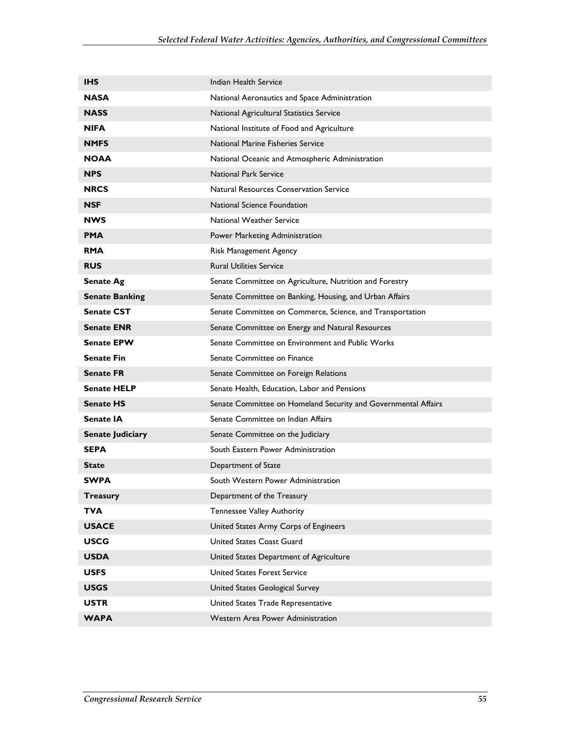| <b>IHS</b>              | Indian Health Service                                          |
|-------------------------|----------------------------------------------------------------|
| <b>NASA</b>             | National Aeronautics and Space Administration                  |
| <b>NASS</b>             | National Agricultural Statistics Service                       |
| <b>NIFA</b>             | National Institute of Food and Agriculture                     |
| <b>NMFS</b>             | National Marine Fisheries Service                              |
| <b>NOAA</b>             | National Oceanic and Atmospheric Administration                |
| <b>NPS</b>              | <b>National Park Service</b>                                   |
| <b>NRCS</b>             | <b>Natural Resources Conservation Service</b>                  |
| <b>NSF</b>              | National Science Foundation                                    |
| <b>NWS</b>              | <b>National Weather Service</b>                                |
| <b>PMA</b>              | Power Marketing Administration                                 |
| <b>RMA</b>              | Risk Management Agency                                         |
| <b>RUS</b>              | <b>Rural Utilities Service</b>                                 |
| <b>Senate Ag</b>        | Senate Committee on Agriculture, Nutrition and Forestry        |
| <b>Senate Banking</b>   | Senate Committee on Banking, Housing, and Urban Affairs        |
| <b>Senate CST</b>       | Senate Committee on Commerce, Science, and Transportation      |
| <b>Senate ENR</b>       | Senate Committee on Energy and Natural Resources               |
| <b>Senate EPW</b>       | Senate Committee on Environment and Public Works               |
| <b>Senate Fin</b>       | Senate Committee on Finance                                    |
| <b>Senate FR</b>        | Senate Committee on Foreign Relations                          |
| <b>Senate HELP</b>      | Senate Health, Education, Labor and Pensions                   |
| <b>Senate HS</b>        | Senate Committee on Homeland Security and Governmental Affairs |
| Senate IA               | Senate Committee on Indian Affairs                             |
| <b>Senate Judiciary</b> | Senate Committee on the Judiciary                              |
| <b>SEPA</b>             | South Eastern Power Administration                             |
| <b>State</b>            | Department of State                                            |
| <b>SWPA</b>             | South Western Power Administration                             |
| Treasury                | Department of the Treasury                                     |
| TVA                     | <b>Tennessee Valley Authority</b>                              |
| <b>USACE</b>            | United States Army Corps of Engineers                          |
| <b>USCG</b>             | United States Coast Guard                                      |
| <b>USDA</b>             | United States Department of Agriculture                        |
| <b>USFS</b>             | United States Forest Service                                   |
| <b>USGS</b>             | United States Geological Survey                                |
| <b>USTR</b>             | United States Trade Representative                             |
| <b>WAPA</b>             | Western Area Power Administration                              |